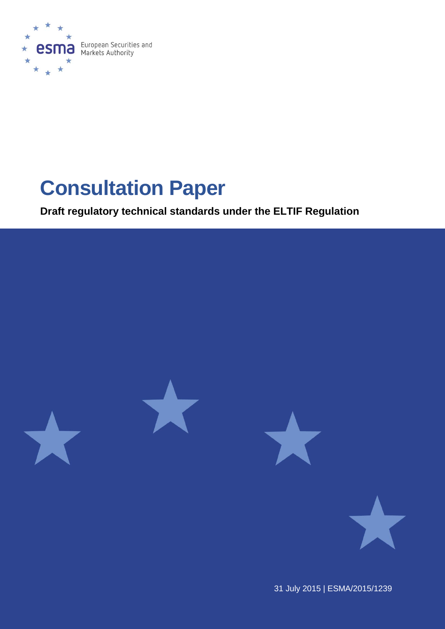

# **Consultation Paper**

**Draft regulatory technical standards under the ELTIF Regulation**



31 July 2015 | ESMA/2015/1239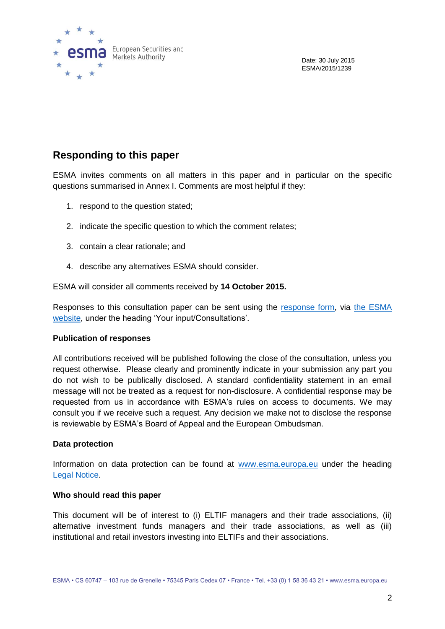

Date: 30 July 2015 ESMA/2015/1239

## **Responding to this paper**

ESMA invites comments on all matters in this paper and in particular on the specific questions summarised in Annex I. Comments are most helpful if they:

- 1. respond to the question stated;
- 2. indicate the specific question to which the comment relates;
- 3. contain a clear rationale; and
- 4. describe any alternatives ESMA should consider.

ESMA will consider all comments received by **14 October 2015.** 

Responses to this consultation paper can be sent using the [response form,](http://www.esma.europa.eu/system/files/form_to_reply_cp_eltif_rts.docx) via [the ESMA](http://www.esma.europa.eu/)  [website,](http://www.esma.europa.eu/) under the heading 'Your input/Consultations'.

#### **Publication of responses**

All contributions received will be published following the close of the consultation, unless you request otherwise. Please clearly and prominently indicate in your submission any part you do not wish to be publically disclosed. A standard confidentiality statement in an email message will not be treated as a request for non-disclosure. A confidential response may be requested from us in accordance with ESMA's rules on access to documents. We may consult you if we receive such a request. Any decision we make not to disclose the response is reviewable by ESMA's Board of Appeal and the European Ombudsman.

#### **Data protection**

Information on data protection can be found at [www.esma.europa.eu](http://www.esma.europa.eu/) under the heading [Legal Notice.](http://www.esma.europa.eu/legal-notice)

#### **Who should read this paper**

This document will be of interest to (i) ELTIF managers and their trade associations, (ii) alternative investment funds managers and their trade associations, as well as (iii) institutional and retail investors investing into ELTIFs and their associations.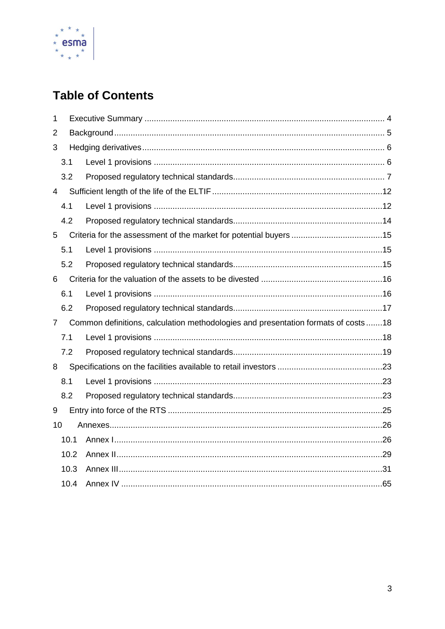

# **Table of Contents**

| $\mathbf 1$    |      |                                                                                   |  |  |
|----------------|------|-----------------------------------------------------------------------------------|--|--|
| 2              |      |                                                                                   |  |  |
| 3              |      |                                                                                   |  |  |
|                | 3.1  |                                                                                   |  |  |
|                | 3.2  |                                                                                   |  |  |
| 4              |      |                                                                                   |  |  |
|                | 4.1  |                                                                                   |  |  |
|                | 4.2  |                                                                                   |  |  |
| 5              |      |                                                                                   |  |  |
|                | 5.1  |                                                                                   |  |  |
|                | 5.2  |                                                                                   |  |  |
| 6              |      |                                                                                   |  |  |
|                | 6.1  |                                                                                   |  |  |
|                | 6.2  |                                                                                   |  |  |
| $\overline{7}$ |      | Common definitions, calculation methodologies and presentation formats of costs18 |  |  |
|                | 7.1  |                                                                                   |  |  |
|                | 7.2  |                                                                                   |  |  |
| 8              |      |                                                                                   |  |  |
|                | 8.1  |                                                                                   |  |  |
|                | 8.2  |                                                                                   |  |  |
| 9              |      |                                                                                   |  |  |
| 10             |      |                                                                                   |  |  |
|                | 10.1 |                                                                                   |  |  |
|                | 10.2 |                                                                                   |  |  |
|                | 10.3 |                                                                                   |  |  |
|                | 10.4 |                                                                                   |  |  |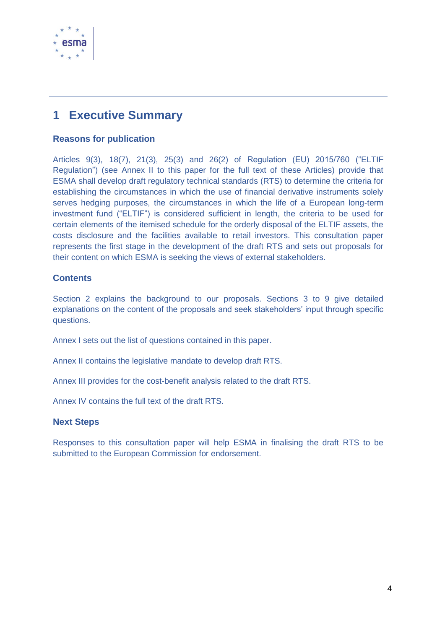

# <span id="page-3-0"></span>**1 Executive Summary**

#### **Reasons for publication**

Articles 9(3), 18(7), 21(3), 25(3) and 26(2) of Regulation (EU) 2015/760 ("ELTIF Regulation") (see Annex II to this paper for the full text of these Articles) provide that ESMA shall develop draft regulatory technical standards (RTS) to determine the criteria for establishing the circumstances in which the use of financial derivative instruments solely serves hedging purposes, the circumstances in which the life of a European long-term investment fund ("ELTIF") is considered sufficient in length, the criteria to be used for certain elements of the itemised schedule for the orderly disposal of the ELTIF assets, the costs disclosure and the facilities available to retail investors. This consultation paper represents the first stage in the development of the draft RTS and sets out proposals for their content on which ESMA is seeking the views of external stakeholders.

#### **Contents**

Section 2 explains the background to our proposals. Sections 3 to 9 give detailed explanations on the content of the proposals and seek stakeholders' input through specific questions.

Annex I sets out the list of questions contained in this paper.

Annex II contains the legislative mandate to develop draft RTS.

Annex III provides for the cost-benefit analysis related to the draft RTS.

Annex IV contains the full text of the draft RTS.

#### **Next Steps**

Responses to this consultation paper will help ESMA in finalising the draft RTS to be submitted to the European Commission for endorsement.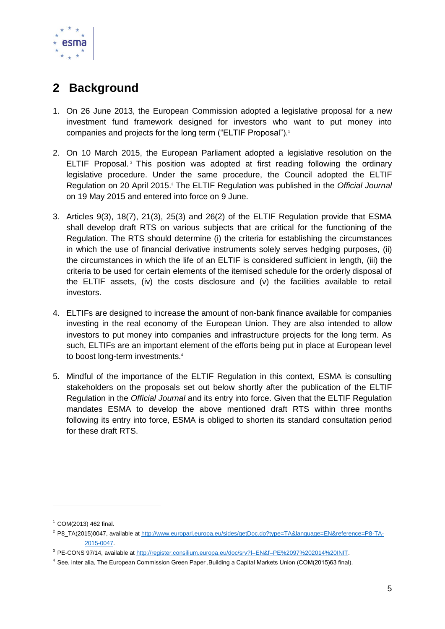

# <span id="page-4-0"></span>**2 Background**

- 1. On 26 June 2013, the European Commission adopted a legislative proposal for a new investment fund framework designed for investors who want to put money into companies and projects for the long term ("ELTIF Proposal"). 1
- 2. On 10 March 2015, the European Parliament adopted a legislative resolution on the ELTIF Proposal. <sup>2</sup> This position was adopted at first reading following the ordinary legislative procedure. Under the same procedure, the Council adopted the ELTIF Regulation on 20 April 2015. <sup>3</sup> The ELTIF Regulation was published in the *Official Journal* on 19 May 2015 and entered into force on 9 June.
- 3. Articles 9(3), 18(7), 21(3), 25(3) and 26(2) of the ELTIF Regulation provide that ESMA shall develop draft RTS on various subjects that are critical for the functioning of the Regulation. The RTS should determine (i) the criteria for establishing the circumstances in which the use of financial derivative instruments solely serves hedging purposes, (ii) the circumstances in which the life of an ELTIF is considered sufficient in length, (iii) the criteria to be used for certain elements of the itemised schedule for the orderly disposal of the ELTIF assets, (iv) the costs disclosure and (v) the facilities available to retail investors.
- 4. ELTIFs are designed to increase the amount of non-bank finance available for companies investing in the real economy of the European Union. They are also intended to allow investors to put money into companies and infrastructure projects for the long term. As such, ELTIFs are an important element of the efforts being put in place at European level to boost long-term investments.<sup>4</sup>
- 5. Mindful of the importance of the ELTIF Regulation in this context, ESMA is consulting stakeholders on the proposals set out below shortly after the publication of the ELTIF Regulation in the *Official Journal* and its entry into force. Given that the ELTIF Regulation mandates ESMA to develop the above mentioned draft RTS within three months following its entry into force, ESMA is obliged to shorten its standard consultation period for these draft RTS.

1

 $1$  COM(2013) 462 final.

<sup>2</sup> P8\_TA(2015)0047, available at [http://www.europarl.europa.eu/sides/getDoc.do?type=TA&language=EN&reference=P8-TA-](http://www.europarl.europa.eu/sides/getDoc.do?type=TA&language=EN&reference=P8-TA-2015-0047)[2015-0047.](http://www.europarl.europa.eu/sides/getDoc.do?type=TA&language=EN&reference=P8-TA-2015-0047)

<sup>3</sup> PE-CONS 97/14, available at [http://register.consilium.europa.eu/doc/srv?l=EN&f=PE%2097%202014%20INIT.](http://register.consilium.europa.eu/doc/srv?l=EN&f=PE%2097%202014%20INIT)

<sup>4</sup> See, inter alia, The European Commission Green Paper 'Building a Capital Markets Union (COM(2015)63 final).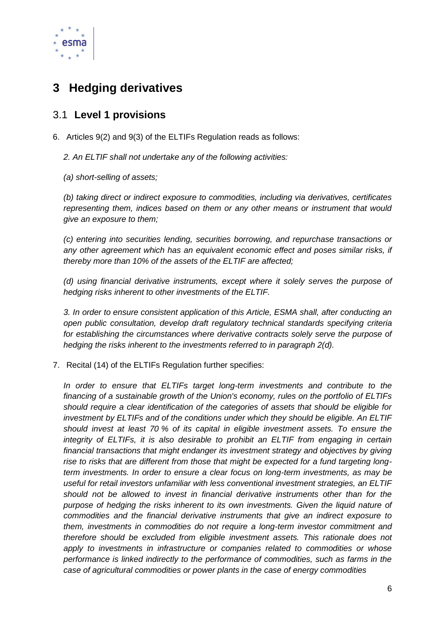

# <span id="page-5-0"></span>**3 Hedging derivatives**

## <span id="page-5-1"></span>3.1 **Level 1 provisions**

6. Articles 9(2) and 9(3) of the ELTIFs Regulation reads as follows:

*2. An ELTIF shall not undertake any of the following activities:*

*(a) short-selling of assets;*

*(b) taking direct or indirect exposure to commodities, including via derivatives, certificates representing them, indices based on them or any other means or instrument that would give an exposure to them;*

*(c) entering into securities lending, securities borrowing, and repurchase transactions or any other agreement which has an equivalent economic effect and poses similar risks, if thereby more than 10% of the assets of the ELTIF are affected;*

*(d) using financial derivative instruments, except where it solely serves the purpose of hedging risks inherent to other investments of the ELTIF.*

*3. In order to ensure consistent application of this Article, ESMA shall, after conducting an open public consultation, develop draft regulatory technical standards specifying criteria for establishing the circumstances where derivative contracts solely serve the purpose of hedging the risks inherent to the investments referred to in paragraph 2(d).*

7. Recital (14) of the ELTIFs Regulation further specifies:

*In order to ensure that ELTIFs target long-term investments and contribute to the financing of a sustainable growth of the Union's economy, rules on the portfolio of ELTIFs should require a clear identification of the categories of assets that should be eligible for investment by ELTIFs and of the conditions under which they should be eligible. An ELTIF should invest at least 70 % of its capital in eligible investment assets. To ensure the integrity of ELTIFs, it is also desirable to prohibit an ELTIF from engaging in certain financial transactions that might endanger its investment strategy and objectives by giving rise to risks that are different from those that might be expected for a fund targeting longterm investments. In order to ensure a clear focus on long-term investments, as may be useful for retail investors unfamiliar with less conventional investment strategies, an ELTIF should not be allowed to invest in financial derivative instruments other than for the purpose of hedging the risks inherent to its own investments. Given the liquid nature of commodities and the financial derivative instruments that give an indirect exposure to them, investments in commodities do not require a long-term investor commitment and therefore should be excluded from eligible investment assets. This rationale does not*  apply to investments in infrastructure or companies related to commodities or whose *performance is linked indirectly to the performance of commodities, such as farms in the case of agricultural commodities or power plants in the case of energy commodities*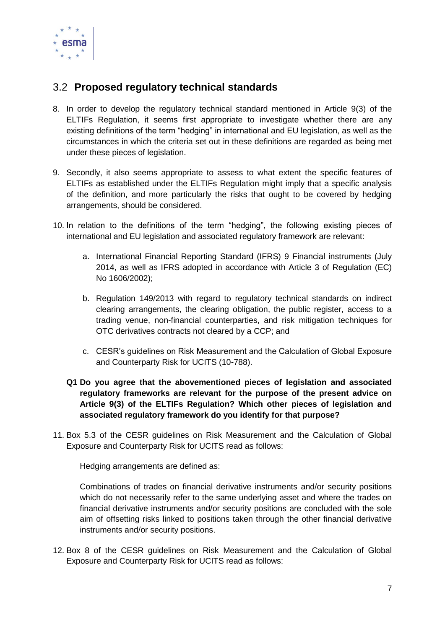

## <span id="page-6-0"></span>3.2 **Proposed regulatory technical standards**

- 8. In order to develop the regulatory technical standard mentioned in Article 9(3) of the ELTIFs Regulation, it seems first appropriate to investigate whether there are any existing definitions of the term "hedging" in international and EU legislation, as well as the circumstances in which the criteria set out in these definitions are regarded as being met under these pieces of legislation.
- 9. Secondly, it also seems appropriate to assess to what extent the specific features of ELTIFs as established under the ELTIFs Regulation might imply that a specific analysis of the definition, and more particularly the risks that ought to be covered by hedging arrangements, should be considered.
- 10. In relation to the definitions of the term "hedging", the following existing pieces of international and EU legislation and associated regulatory framework are relevant:
	- a. International Financial Reporting Standard (IFRS) 9 Financial instruments (July 2014, as well as IFRS adopted in accordance with Article 3 of Regulation (EC) No 1606/2002);
	- b. Regulation 149/2013 with regard to regulatory technical standards on indirect clearing arrangements, the clearing obligation, the public register, access to a trading venue, non-financial counterparties, and risk mitigation techniques for OTC derivatives contracts not cleared by a CCP; and
	- c. CESR's guidelines on Risk Measurement and the Calculation of Global Exposure and Counterparty Risk for UCITS (10-788).
	- **Q1 Do you agree that the abovementioned pieces of legislation and associated regulatory frameworks are relevant for the purpose of the present advice on Article 9(3) of the ELTIFs Regulation? Which other pieces of legislation and associated regulatory framework do you identify for that purpose?**
- 11. Box 5.3 of the CESR guidelines on Risk Measurement and the Calculation of Global Exposure and Counterparty Risk for UCITS read as follows:

Hedging arrangements are defined as:

Combinations of trades on financial derivative instruments and/or security positions which do not necessarily refer to the same underlying asset and where the trades on financial derivative instruments and/or security positions are concluded with the sole aim of offsetting risks linked to positions taken through the other financial derivative instruments and/or security positions.

12. Box 8 of the CESR guidelines on Risk Measurement and the Calculation of Global Exposure and Counterparty Risk for UCITS read as follows: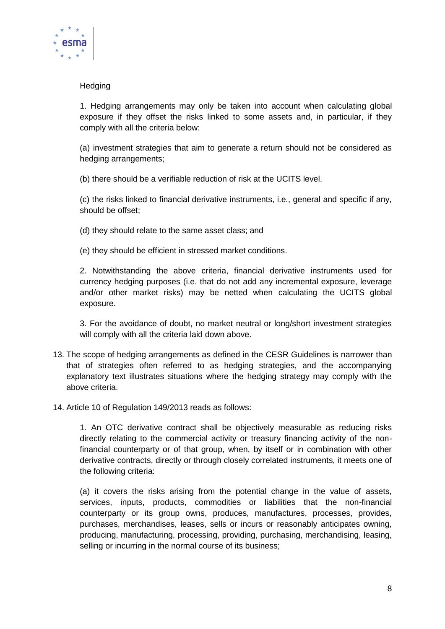

#### **Hedging**

1. Hedging arrangements may only be taken into account when calculating global exposure if they offset the risks linked to some assets and, in particular, if they comply with all the criteria below:

(a) investment strategies that aim to generate a return should not be considered as hedging arrangements;

(b) there should be a verifiable reduction of risk at the UCITS level.

(c) the risks linked to financial derivative instruments, i.e., general and specific if any, should be offset;

(d) they should relate to the same asset class; and

(e) they should be efficient in stressed market conditions.

2. Notwithstanding the above criteria, financial derivative instruments used for currency hedging purposes (i.e. that do not add any incremental exposure, leverage and/or other market risks) may be netted when calculating the UCITS global exposure.

3. For the avoidance of doubt, no market neutral or long/short investment strategies will comply with all the criteria laid down above.

- 13. The scope of hedging arrangements as defined in the CESR Guidelines is narrower than that of strategies often referred to as hedging strategies, and the accompanying explanatory text illustrates situations where the hedging strategy may comply with the above criteria.
- 14. Article 10 of Regulation 149/2013 reads as follows:

1. An OTC derivative contract shall be objectively measurable as reducing risks directly relating to the commercial activity or treasury financing activity of the nonfinancial counterparty or of that group, when, by itself or in combination with other derivative contracts, directly or through closely correlated instruments, it meets one of the following criteria:

(a) it covers the risks arising from the potential change in the value of assets, services, inputs, products, commodities or liabilities that the non-financial counterparty or its group owns, produces, manufactures, processes, provides, purchases, merchandises, leases, sells or incurs or reasonably anticipates owning, producing, manufacturing, processing, providing, purchasing, merchandising, leasing, selling or incurring in the normal course of its business;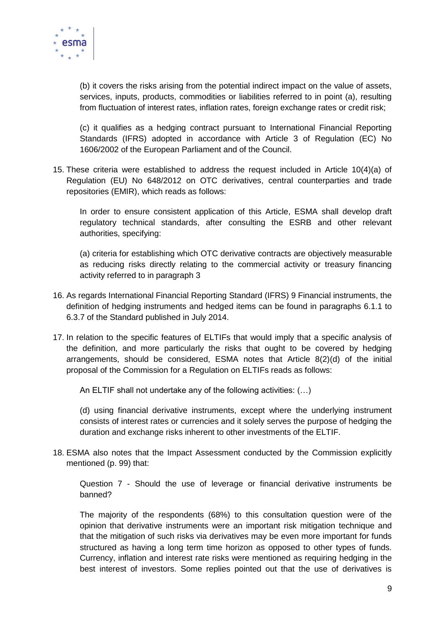

(b) it covers the risks arising from the potential indirect impact on the value of assets, services, inputs, products, commodities or liabilities referred to in point (a), resulting from fluctuation of interest rates, inflation rates, foreign exchange rates or credit risk;

(c) it qualifies as a hedging contract pursuant to International Financial Reporting Standards (IFRS) adopted in accordance with Article 3 of Regulation (EC) No 1606/2002 of the European Parliament and of the Council.

15. These criteria were established to address the request included in Article 10(4)(a) of Regulation (EU) No 648/2012 on OTC derivatives, central counterparties and trade repositories (EMIR), which reads as follows:

In order to ensure consistent application of this Article, ESMA shall develop draft regulatory technical standards, after consulting the ESRB and other relevant authorities, specifying:

(a) criteria for establishing which OTC derivative contracts are objectively measurable as reducing risks directly relating to the commercial activity or treasury financing activity referred to in paragraph 3

- 16. As regards International Financial Reporting Standard (IFRS) 9 Financial instruments, the definition of hedging instruments and hedged items can be found in paragraphs 6.1.1 to 6.3.7 of the Standard published in July 2014.
- 17. In relation to the specific features of ELTIFs that would imply that a specific analysis of the definition, and more particularly the risks that ought to be covered by hedging arrangements, should be considered, ESMA notes that Article 8(2)(d) of the initial proposal of the Commission for a Regulation on ELTIFs reads as follows:

An ELTIF shall not undertake any of the following activities: (…)

(d) using financial derivative instruments, except where the underlying instrument consists of interest rates or currencies and it solely serves the purpose of hedging the duration and exchange risks inherent to other investments of the ELTIF.

18. ESMA also notes that the Impact Assessment conducted by the Commission explicitly mentioned (p. 99) that:

Question 7 - Should the use of leverage or financial derivative instruments be banned?

The majority of the respondents (68%) to this consultation question were of the opinion that derivative instruments were an important risk mitigation technique and that the mitigation of such risks via derivatives may be even more important for funds structured as having a long term time horizon as opposed to other types of funds. Currency, inflation and interest rate risks were mentioned as requiring hedging in the best interest of investors. Some replies pointed out that the use of derivatives is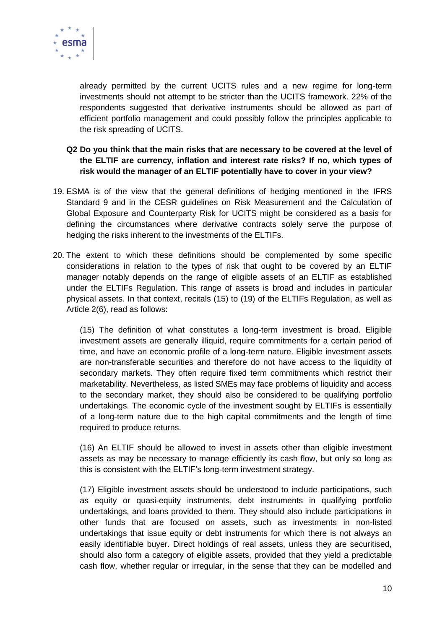

already permitted by the current UCITS rules and a new regime for long-term investments should not attempt to be stricter than the UCITS framework. 22% of the respondents suggested that derivative instruments should be allowed as part of efficient portfolio management and could possibly follow the principles applicable to the risk spreading of UCITS.

#### **Q2 Do you think that the main risks that are necessary to be covered at the level of the ELTIF are currency, inflation and interest rate risks? If no, which types of risk would the manager of an ELTIF potentially have to cover in your view?**

- 19. ESMA is of the view that the general definitions of hedging mentioned in the IFRS Standard 9 and in the CESR guidelines on Risk Measurement and the Calculation of Global Exposure and Counterparty Risk for UCITS might be considered as a basis for defining the circumstances where derivative contracts solely serve the purpose of hedging the risks inherent to the investments of the ELTIFs.
- 20. The extent to which these definitions should be complemented by some specific considerations in relation to the types of risk that ought to be covered by an ELTIF manager notably depends on the range of eligible assets of an ELTIF as established under the ELTIFs Regulation. This range of assets is broad and includes in particular physical assets. In that context, recitals (15) to (19) of the ELTIFs Regulation, as well as Article 2(6), read as follows:

(15) The definition of what constitutes a long-term investment is broad. Eligible investment assets are generally illiquid, require commitments for a certain period of time, and have an economic profile of a long-term nature. Eligible investment assets are non-transferable securities and therefore do not have access to the liquidity of secondary markets. They often require fixed term commitments which restrict their marketability. Nevertheless, as listed SMEs may face problems of liquidity and access to the secondary market, they should also be considered to be qualifying portfolio undertakings. The economic cycle of the investment sought by ELTIFs is essentially of a long-term nature due to the high capital commitments and the length of time required to produce returns.

(16) An ELTIF should be allowed to invest in assets other than eligible investment assets as may be necessary to manage efficiently its cash flow, but only so long as this is consistent with the ELTIF's long-term investment strategy.

(17) Eligible investment assets should be understood to include participations, such as equity or quasi-equity instruments, debt instruments in qualifying portfolio undertakings, and loans provided to them. They should also include participations in other funds that are focused on assets, such as investments in non-listed undertakings that issue equity or debt instruments for which there is not always an easily identifiable buyer. Direct holdings of real assets, unless they are securitised, should also form a category of eligible assets, provided that they yield a predictable cash flow, whether regular or irregular, in the sense that they can be modelled and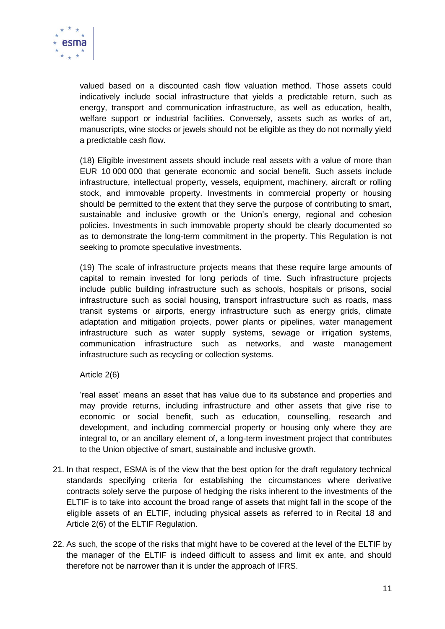

valued based on a discounted cash flow valuation method. Those assets could indicatively include social infrastructure that yields a predictable return, such as energy, transport and communication infrastructure, as well as education, health, welfare support or industrial facilities. Conversely, assets such as works of art, manuscripts, wine stocks or jewels should not be eligible as they do not normally yield a predictable cash flow.

(18) Eligible investment assets should include real assets with a value of more than EUR 10 000 000 that generate economic and social benefit. Such assets include infrastructure, intellectual property, vessels, equipment, machinery, aircraft or rolling stock, and immovable property. Investments in commercial property or housing should be permitted to the extent that they serve the purpose of contributing to smart, sustainable and inclusive growth or the Union's energy, regional and cohesion policies. Investments in such immovable property should be clearly documented so as to demonstrate the long-term commitment in the property. This Regulation is not seeking to promote speculative investments.

(19) The scale of infrastructure projects means that these require large amounts of capital to remain invested for long periods of time. Such infrastructure projects include public building infrastructure such as schools, hospitals or prisons, social infrastructure such as social housing, transport infrastructure such as roads, mass transit systems or airports, energy infrastructure such as energy grids, climate adaptation and mitigation projects, power plants or pipelines, water management infrastructure such as water supply systems, sewage or irrigation systems, communication infrastructure such as networks, and waste management infrastructure such as recycling or collection systems.

#### Article 2(6)

'real asset' means an asset that has value due to its substance and properties and may provide returns, including infrastructure and other assets that give rise to economic or social benefit, such as education, counselling, research and development, and including commercial property or housing only where they are integral to, or an ancillary element of, a long-term investment project that contributes to the Union objective of smart, sustainable and inclusive growth.

- 21. In that respect, ESMA is of the view that the best option for the draft regulatory technical standards specifying criteria for establishing the circumstances where derivative contracts solely serve the purpose of hedging the risks inherent to the investments of the ELTIF is to take into account the broad range of assets that might fall in the scope of the eligible assets of an ELTIF, including physical assets as referred to in Recital 18 and Article 2(6) of the ELTIF Regulation.
- 22. As such, the scope of the risks that might have to be covered at the level of the ELTIF by the manager of the ELTIF is indeed difficult to assess and limit ex ante, and should therefore not be narrower than it is under the approach of IFRS.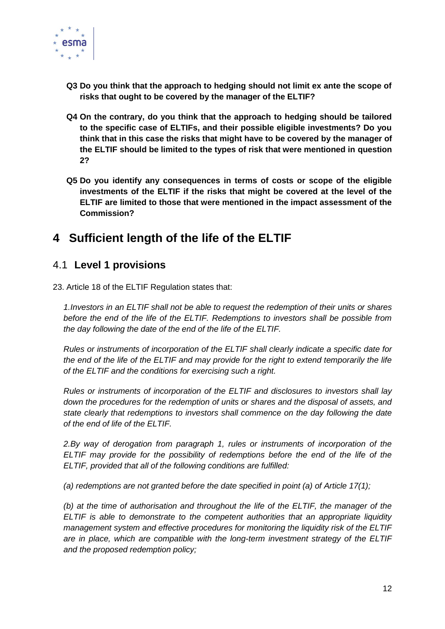

- **Q3 Do you think that the approach to hedging should not limit ex ante the scope of risks that ought to be covered by the manager of the ELTIF?**
- **Q4 On the contrary, do you think that the approach to hedging should be tailored to the specific case of ELTIFs, and their possible eligible investments? Do you think that in this case the risks that might have to be covered by the manager of the ELTIF should be limited to the types of risk that were mentioned in question 2?**
- **Q5 Do you identify any consequences in terms of costs or scope of the eligible investments of the ELTIF if the risks that might be covered at the level of the ELTIF are limited to those that were mentioned in the impact assessment of the Commission?**

# <span id="page-11-0"></span>**4 Sufficient length of the life of the ELTIF**

## <span id="page-11-1"></span>4.1 **Level 1 provisions**

23. Article 18 of the ELTIF Regulation states that:

*1.Investors in an ELTIF shall not be able to request the redemption of their units or shares before the end of the life of the ELTIF. Redemptions to investors shall be possible from the day following the date of the end of the life of the ELTIF.* 

*Rules or instruments of incorporation of the ELTIF shall clearly indicate a specific date for the end of the life of the ELTIF and may provide for the right to extend temporarily the life of the ELTIF and the conditions for exercising such a right.* 

*Rules or instruments of incorporation of the ELTIF and disclosures to investors shall lay down the procedures for the redemption of units or shares and the disposal of assets, and state clearly that redemptions to investors shall commence on the day following the date of the end of life of the ELTIF.*

*2.By way of derogation from paragraph 1, rules or instruments of incorporation of the ELTIF may provide for the possibility of redemptions before the end of the life of the ELTIF, provided that all of the following conditions are fulfilled:* 

*(a) redemptions are not granted before the date specified in point (a) of Article 17(1);* 

*(b) at the time of authorisation and throughout the life of the ELTIF, the manager of the ELTIF is able to demonstrate to the competent authorities that an appropriate liquidity management system and effective procedures for monitoring the liquidity risk of the ELTIF are in place, which are compatible with the long-term investment strategy of the ELTIF and the proposed redemption policy;*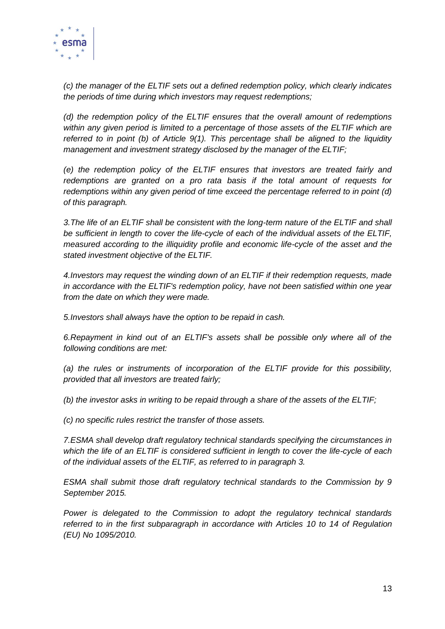

*(c) the manager of the ELTIF sets out a defined redemption policy, which clearly indicates the periods of time during which investors may request redemptions;* 

*(d) the redemption policy of the ELTIF ensures that the overall amount of redemptions within any given period is limited to a percentage of those assets of the ELTIF which are referred to in point (b) of Article 9(1). This percentage shall be aligned to the liquidity management and investment strategy disclosed by the manager of the ELTIF;* 

*(e) the redemption policy of the ELTIF ensures that investors are treated fairly and redemptions are granted on a pro rata basis if the total amount of requests for redemptions within any given period of time exceed the percentage referred to in point (d) of this paragraph.* 

*3. The life of an ELTIF shall be consistent with the long-term nature of the ELTIF and shall be sufficient in length to cover the life-cycle of each of the individual assets of the ELTIF, measured according to the illiquidity profile and economic life-cycle of the asset and the stated investment objective of the ELTIF.* 

*4.Investors may request the winding down of an ELTIF if their redemption requests, made in accordance with the ELTIF's redemption policy, have not been satisfied within one year from the date on which they were made.* 

*5.Investors shall always have the option to be repaid in cash.* 

*6.Repayment in kind out of an ELTIF's assets shall be possible only where all of the following conditions are met:* 

*(a) the rules or instruments of incorporation of the ELTIF provide for this possibility, provided that all investors are treated fairly;* 

*(b) the investor asks in writing to be repaid through a share of the assets of the ELTIF;* 

*(c) no specific rules restrict the transfer of those assets.* 

*7.ESMA shall develop draft regulatory technical standards specifying the circumstances in which the life of an ELTIF is considered sufficient in length to cover the life-cycle of each of the individual assets of the ELTIF, as referred to in paragraph 3.* 

*ESMA shall submit those draft regulatory technical standards to the Commission by 9 September 2015.* 

*Power is delegated to the Commission to adopt the regulatory technical standards referred to in the first subparagraph in accordance with Articles 10 to 14 of Regulation (EU) No 1095/2010.*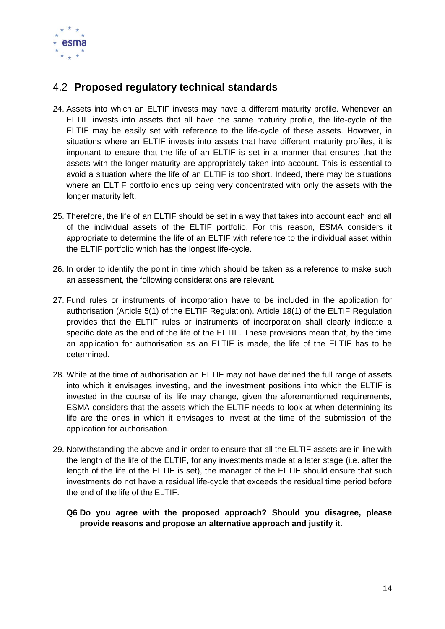

## <span id="page-13-0"></span>4.2 **Proposed regulatory technical standards**

- 24. Assets into which an ELTIF invests may have a different maturity profile. Whenever an ELTIF invests into assets that all have the same maturity profile, the life-cycle of the ELTIF may be easily set with reference to the life-cycle of these assets. However, in situations where an ELTIF invests into assets that have different maturity profiles, it is important to ensure that the life of an ELTIF is set in a manner that ensures that the assets with the longer maturity are appropriately taken into account. This is essential to avoid a situation where the life of an ELTIF is too short. Indeed, there may be situations where an ELTIF portfolio ends up being very concentrated with only the assets with the longer maturity left.
- 25. Therefore, the life of an ELTIF should be set in a way that takes into account each and all of the individual assets of the ELTIF portfolio. For this reason, ESMA considers it appropriate to determine the life of an ELTIF with reference to the individual asset within the ELTIF portfolio which has the longest life-cycle.
- 26. In order to identify the point in time which should be taken as a reference to make such an assessment, the following considerations are relevant.
- 27. Fund rules or instruments of incorporation have to be included in the application for authorisation (Article 5(1) of the ELTIF Regulation). Article 18(1) of the ELTIF Regulation provides that the ELTIF rules or instruments of incorporation shall clearly indicate a specific date as the end of the life of the ELTIF. These provisions mean that, by the time an application for authorisation as an ELTIF is made, the life of the ELTIF has to be determined.
- 28. While at the time of authorisation an ELTIF may not have defined the full range of assets into which it envisages investing, and the investment positions into which the ELTIF is invested in the course of its life may change, given the aforementioned requirements, ESMA considers that the assets which the ELTIF needs to look at when determining its life are the ones in which it envisages to invest at the time of the submission of the application for authorisation.
- 29. Notwithstanding the above and in order to ensure that all the ELTIF assets are in line with the length of the life of the ELTIF, for any investments made at a later stage (i.e. after the length of the life of the ELTIF is set), the manager of the ELTIF should ensure that such investments do not have a residual life-cycle that exceeds the residual time period before the end of the life of the ELTIF.
	- **Q6 Do you agree with the proposed approach? Should you disagree, please provide reasons and propose an alternative approach and justify it.**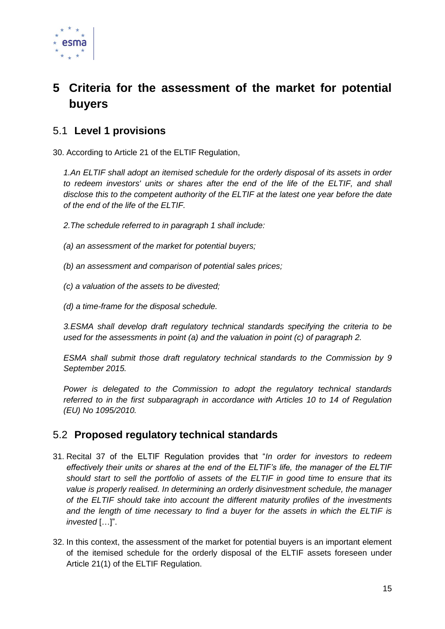

# <span id="page-14-0"></span>**5 Criteria for the assessment of the market for potential buyers**

## <span id="page-14-1"></span>5.1 **Level 1 provisions**

30. According to Article 21 of the ELTIF Regulation,

*1.An ELTIF shall adopt an itemised schedule for the orderly disposal of its assets in order to redeem investors' units or shares after the end of the life of the ELTIF, and shall disclose this to the competent authority of the ELTIF at the latest one year before the date of the end of the life of the ELTIF.* 

*2.The schedule referred to in paragraph 1 shall include:* 

- *(a) an assessment of the market for potential buyers;*
- *(b) an assessment and comparison of potential sales prices;*
- *(c) a valuation of the assets to be divested;*

*(d) a time-frame for the disposal schedule.* 

*3.ESMA shall develop draft regulatory technical standards specifying the criteria to be used for the assessments in point (a) and the valuation in point (c) of paragraph 2.* 

*ESMA shall submit those draft regulatory technical standards to the Commission by 9 September 2015.* 

*Power is delegated to the Commission to adopt the regulatory technical standards referred to in the first subparagraph in accordance with Articles 10 to 14 of Regulation (EU) No 1095/2010.*

## <span id="page-14-2"></span>5.2 **Proposed regulatory technical standards**

- 31. Recital 37 of the ELTIF Regulation provides that "*In order for investors to redeem effectively their units or shares at the end of the ELTIF's life, the manager of the ELTIF should start to sell the portfolio of assets of the ELTIF in good time to ensure that its value is properly realised. In determining an orderly disinvestment schedule, the manager of the ELTIF should take into account the different maturity profiles of the investments and the length of time necessary to find a buyer for the assets in which the ELTIF is invested* […]".
- 32. In this context, the assessment of the market for potential buyers is an important element of the itemised schedule for the orderly disposal of the ELTIF assets foreseen under Article 21(1) of the ELTIF Regulation.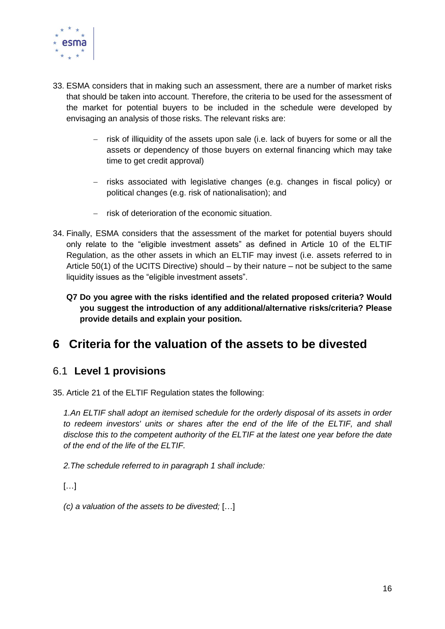

- 33. ESMA considers that in making such an assessment, there are a number of market risks that should be taken into account. Therefore, the criteria to be used for the assessment of the market for potential buyers to be included in the schedule were developed by envisaging an analysis of those risks. The relevant risks are:
	- $-$  risk of illiquidity of the assets upon sale (i.e. lack of buyers for some or all the assets or dependency of those buyers on external financing which may take time to get credit approval)
	- risks associated with legislative changes (e.g. changes in fiscal policy) or political changes (e.g. risk of nationalisation); and
	- $-$  risk of deterioration of the economic situation.
- 34. Finally, ESMA considers that the assessment of the market for potential buyers should only relate to the "eligible investment assets" as defined in Article 10 of the ELTIF Regulation, as the other assets in which an ELTIF may invest (i.e. assets referred to in Article 50(1) of the UCITS Directive) should – by their nature – not be subject to the same liquidity issues as the "eligible investment assets".
	- **Q7 Do you agree with the risks identified and the related proposed criteria? Would you suggest the introduction of any additional/alternative risks/criteria? Please provide details and explain your position.**

# <span id="page-15-0"></span>**6 Criteria for the valuation of the assets to be divested**

## <span id="page-15-1"></span>6.1 **Level 1 provisions**

35. Article 21 of the ELTIF Regulation states the following:

*1.An ELTIF shall adopt an itemised schedule for the orderly disposal of its assets in order to redeem investors' units or shares after the end of the life of the ELTIF, and shall disclose this to the competent authority of the ELTIF at the latest one year before the date of the end of the life of the ELTIF.* 

*2.The schedule referred to in paragraph 1 shall include:* 

 $\left[\ldots\right]$ 

*(c) a valuation of the assets to be divested;* […]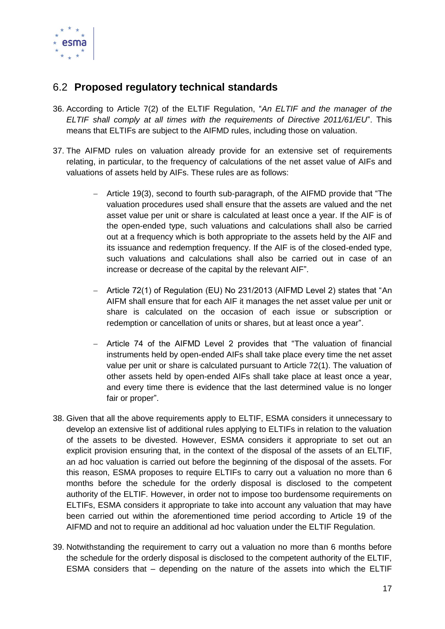

## <span id="page-16-0"></span>6.2 **Proposed regulatory technical standards**

- 36. According to Article 7(2) of the ELTIF Regulation, "*An ELTIF and the manager of the ELTIF shall comply at all times with the requirements of Directive 2011/61/EU*". This means that ELTIFs are subject to the AIFMD rules, including those on valuation.
- 37. The AIFMD rules on valuation already provide for an extensive set of requirements relating, in particular, to the frequency of calculations of the net asset value of AIFs and valuations of assets held by AIFs. These rules are as follows:
	- Article 19(3), second to fourth sub-paragraph, of the AIFMD provide that "The valuation procedures used shall ensure that the assets are valued and the net asset value per unit or share is calculated at least once a year. If the AIF is of the open-ended type, such valuations and calculations shall also be carried out at a frequency which is both appropriate to the assets held by the AIF and its issuance and redemption frequency. If the AIF is of the closed-ended type, such valuations and calculations shall also be carried out in case of an increase or decrease of the capital by the relevant AIF".
	- Article 72(1) of Regulation (EU) No 231/2013 (AIFMD Level 2) states that "An AIFM shall ensure that for each AIF it manages the net asset value per unit or share is calculated on the occasion of each issue or subscription or redemption or cancellation of units or shares, but at least once a year".
	- Article 74 of the AIFMD Level 2 provides that "The valuation of financial instruments held by open-ended AIFs shall take place every time the net asset value per unit or share is calculated pursuant to Article 72(1). The valuation of other assets held by open-ended AIFs shall take place at least once a year, and every time there is evidence that the last determined value is no longer fair or proper".
- 38. Given that all the above requirements apply to ELTIF, ESMA considers it unnecessary to develop an extensive list of additional rules applying to ELTIFs in relation to the valuation of the assets to be divested. However, ESMA considers it appropriate to set out an explicit provision ensuring that, in the context of the disposal of the assets of an ELTIF, an ad hoc valuation is carried out before the beginning of the disposal of the assets. For this reason, ESMA proposes to require ELTIFs to carry out a valuation no more than 6 months before the schedule for the orderly disposal is disclosed to the competent authority of the ELTIF. However, in order not to impose too burdensome requirements on ELTIFs, ESMA considers it appropriate to take into account any valuation that may have been carried out within the aforementioned time period according to Article 19 of the AIFMD and not to require an additional ad hoc valuation under the ELTIF Regulation.
- 39. Notwithstanding the requirement to carry out a valuation no more than 6 months before the schedule for the orderly disposal is disclosed to the competent authority of the ELTIF, ESMA considers that – depending on the nature of the assets into which the ELTIF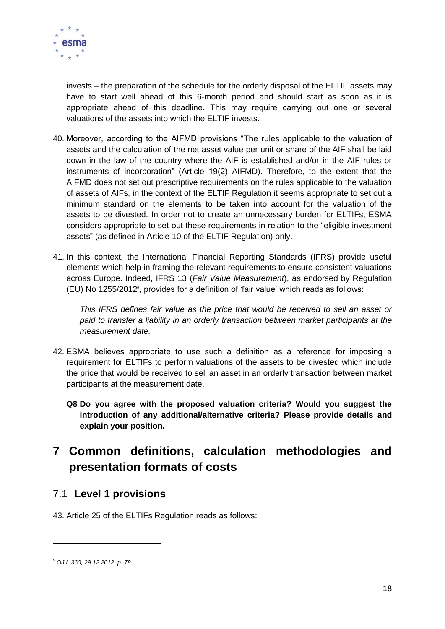

invests – the preparation of the schedule for the orderly disposal of the ELTIF assets may have to start well ahead of this 6-month period and should start as soon as it is appropriate ahead of this deadline. This may require carrying out one or several valuations of the assets into which the ELTIF invests.

- 40. Moreover, according to the AIFMD provisions "The rules applicable to the valuation of assets and the calculation of the net asset value per unit or share of the AIF shall be laid down in the law of the country where the AIF is established and/or in the AIF rules or instruments of incorporation" (Article 19(2) AIFMD). Therefore, to the extent that the AIFMD does not set out prescriptive requirements on the rules applicable to the valuation of assets of AIFs, in the context of the ELTIF Regulation it seems appropriate to set out a minimum standard on the elements to be taken into account for the valuation of the assets to be divested. In order not to create an unnecessary burden for ELTIFs, ESMA considers appropriate to set out these requirements in relation to the "eligible investment assets" (as defined in Article 10 of the ELTIF Regulation) only.
- 41. In this context, the International Financial Reporting Standards (IFRS) provide useful elements which help in framing the relevant requirements to ensure consistent valuations across Europe. Indeed, IFRS 13 (*Fair Value Measurement*), as endorsed by Regulation (EU) No 1255/2012<sup>5</sup> , provides for a definition of 'fair value' which reads as follows:

*This IFRS defines fair value as the price that would be received to sell an asset or paid to transfer a liability in an orderly transaction between market participants at the measurement date.*

- 42. ESMA believes appropriate to use such a definition as a reference for imposing a requirement for ELTIFs to perform valuations of the assets to be divested which include the price that would be received to sell an asset in an orderly transaction between market participants at the measurement date.
	- **Q8 Do you agree with the proposed valuation criteria? Would you suggest the introduction of any additional/alternative criteria? Please provide details and explain your position.**

# <span id="page-17-0"></span>**7 Common definitions, calculation methodologies and presentation formats of costs**

## <span id="page-17-1"></span>7.1 **Level 1 provisions**

43. Article 25 of the ELTIFs Regulation reads as follows:

-

*<sup>5</sup> OJ L 360, 29.12.2012, p. 78.*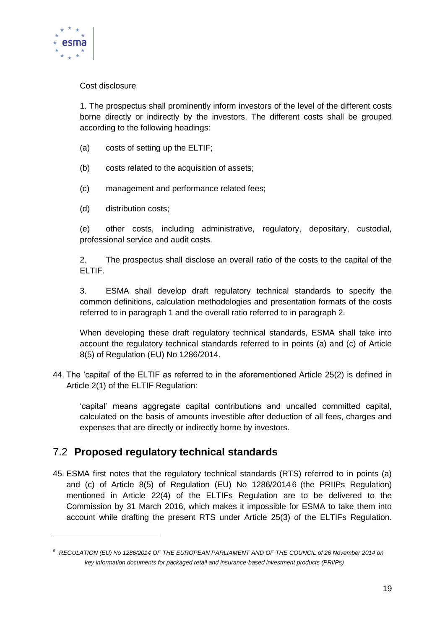

1

#### Cost disclosure

1. The prospectus shall prominently inform investors of the level of the different costs borne directly or indirectly by the investors. The different costs shall be grouped according to the following headings:

- (a) costs of setting up the ELTIF;
- (b) costs related to the acquisition of assets;
- (c) management and performance related fees;
- (d) distribution costs;

(e) other costs, including administrative, regulatory, depositary, custodial, professional service and audit costs.

2. The prospectus shall disclose an overall ratio of the costs to the capital of the ELTIF.

3. ESMA shall develop draft regulatory technical standards to specify the common definitions, calculation methodologies and presentation formats of the costs referred to in paragraph 1 and the overall ratio referred to in paragraph 2.

When developing these draft regulatory technical standards, ESMA shall take into account the regulatory technical standards referred to in points (a) and (c) of Article 8(5) of Regulation (EU) No 1286/2014.

44. The 'capital' of the ELTIF as referred to in the aforementioned Article 25(2) is defined in Article 2(1) of the ELTIF Regulation:

'capital' means aggregate capital contributions and uncalled committed capital, calculated on the basis of amounts investible after deduction of all fees, charges and expenses that are directly or indirectly borne by investors.

## <span id="page-18-0"></span>7.2 **Proposed regulatory technical standards**

45. ESMA first notes that the regulatory technical standards (RTS) referred to in points (a) and (c) of Article 8(5) of Regulation (EU) No 1286/2014 6 (the PRIIPs Regulation) mentioned in Article 22(4) of the ELTIFs Regulation are to be delivered to the Commission by 31 March 2016, which makes it impossible for ESMA to take them into account while drafting the present RTS under Article 25(3) of the ELTIFs Regulation.

*<sup>6</sup> REGULATION (EU) No 1286/2014 OF THE EUROPEAN PARLIAMENT AND OF THE COUNCIL of 26 November 2014 on key information documents for packaged retail and insurance-based investment products (PRIIPs)*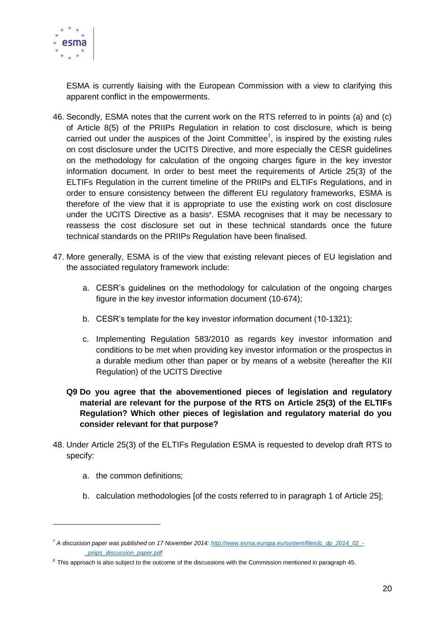

ESMA is currently liaising with the European Commission with a view to clarifying this apparent conflict in the empowerments.

- 46. Secondly, ESMA notes that the current work on the RTS referred to in points (a) and (c) of Article 8(5) of the PRIIPs Regulation in relation to cost disclosure, which is being carried out under the auspices of the Joint Committee<sup>7</sup>, is inspired by the existing rules on cost disclosure under the UCITS Directive, and more especially the CESR guidelines on the methodology for calculation of the ongoing charges figure in the key investor information document. In order to best meet the requirements of Article 25(3) of the ELTIFs Regulation in the current timeline of the PRIIPs and ELTIFs Regulations, and in order to ensure consistency between the different EU regulatory frameworks, ESMA is therefore of the view that it is appropriate to use the existing work on cost disclosure under the UCITS Directive as a basis<sup>8</sup>. ESMA recognises that it may be necessary to reassess the cost disclosure set out in these technical standards once the future technical standards on the PRIIPs Regulation have been finalised.
- 47. More generally, ESMA is of the view that existing relevant pieces of EU legislation and the associated regulatory framework include:
	- a. CESR's guidelines on the methodology for calculation of the ongoing charges figure in the key investor information document (10-674);
	- b. CESR's template for the key investor information document (10-1321);
	- c. Implementing Regulation 583/2010 as regards key investor information and conditions to be met when providing key investor information or the prospectus in a durable medium other than paper or by means of a website (hereafter the KII Regulation) of the UCITS Directive
	- **Q9 Do you agree that the abovementioned pieces of legislation and regulatory material are relevant for the purpose of the RTS on Article 25(3) of the ELTIFs Regulation? Which other pieces of legislation and regulatory material do you consider relevant for that purpose?**
- 48. Under Article 25(3) of the ELTIFs Regulation ESMA is requested to develop draft RTS to specify:
	- a. the common definitions;

 $\overline{a}$ 

b. calculation methodologies [of the costs referred to in paragraph 1 of Article 25];

*<sup>7</sup> A discussion paper was published on 17 November 2014: [http://www.esma.europa.eu/system/files/jc\\_dp\\_2014\\_02\\_-](http://www.esma.europa.eu/system/files/jc_dp_2014_02_-_priips_discussion_paper.pdf) [\\_priips\\_discussion\\_paper.pdf](http://www.esma.europa.eu/system/files/jc_dp_2014_02_-_priips_discussion_paper.pdf)*

*<sup>8</sup>* This approach is also subject to the outcome of the discussions with the Commission mentioned in paragraph 45.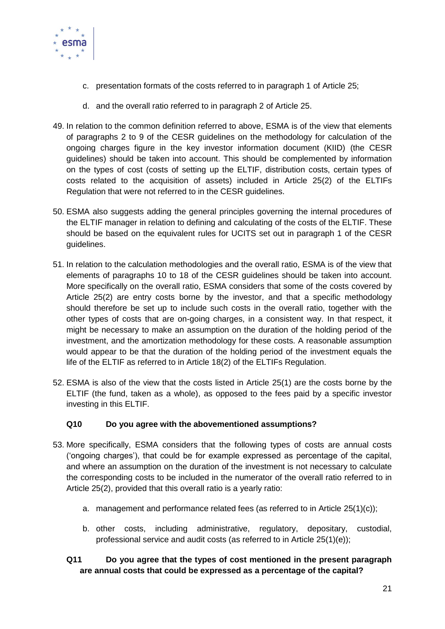

- c. presentation formats of the costs referred to in paragraph 1 of Article 25;
- d. and the overall ratio referred to in paragraph 2 of Article 25.
- 49. In relation to the common definition referred to above, ESMA is of the view that elements of paragraphs 2 to 9 of the CESR guidelines on the methodology for calculation of the ongoing charges figure in the key investor information document (KIID) (the CESR guidelines) should be taken into account. This should be complemented by information on the types of cost (costs of setting up the ELTIF, distribution costs, certain types of costs related to the acquisition of assets) included in Article 25(2) of the ELTIFs Regulation that were not referred to in the CESR guidelines.
- 50. ESMA also suggests adding the general principles governing the internal procedures of the ELTIF manager in relation to defining and calculating of the costs of the ELTIF. These should be based on the equivalent rules for UCITS set out in paragraph 1 of the CESR guidelines.
- 51. In relation to the calculation methodologies and the overall ratio, ESMA is of the view that elements of paragraphs 10 to 18 of the CESR guidelines should be taken into account. More specifically on the overall ratio, ESMA considers that some of the costs covered by Article 25(2) are entry costs borne by the investor, and that a specific methodology should therefore be set up to include such costs in the overall ratio, together with the other types of costs that are on-going charges, in a consistent way. In that respect, it might be necessary to make an assumption on the duration of the holding period of the investment, and the amortization methodology for these costs. A reasonable assumption would appear to be that the duration of the holding period of the investment equals the life of the ELTIF as referred to in Article 18(2) of the ELTIFs Regulation.
- 52. ESMA is also of the view that the costs listed in Article 25(1) are the costs borne by the ELTIF (the fund, taken as a whole), as opposed to the fees paid by a specific investor investing in this ELTIF.

#### **Q10 Do you agree with the abovementioned assumptions?**

- 53. More specifically, ESMA considers that the following types of costs are annual costs ('ongoing charges'), that could be for example expressed as percentage of the capital, and where an assumption on the duration of the investment is not necessary to calculate the corresponding costs to be included in the numerator of the overall ratio referred to in Article 25(2), provided that this overall ratio is a yearly ratio:
	- a. management and performance related fees (as referred to in Article 25(1)(c));
	- b. other costs, including administrative, regulatory, depositary, custodial, professional service and audit costs (as referred to in Article 25(1)(e));

#### **Q11 Do you agree that the types of cost mentioned in the present paragraph are annual costs that could be expressed as a percentage of the capital?**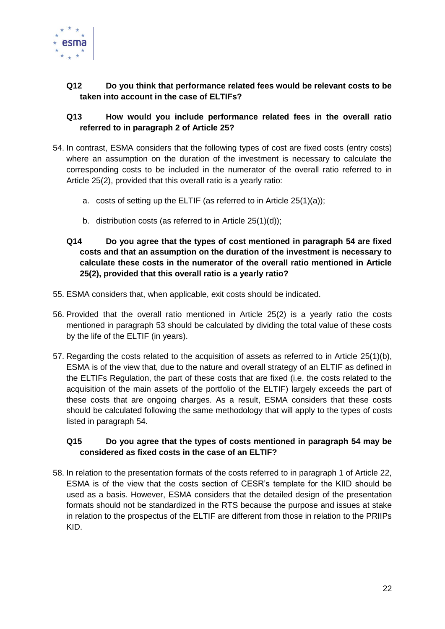

#### **Q12 Do you think that performance related fees would be relevant costs to be taken into account in the case of ELTIFs?**

#### **Q13 How would you include performance related fees in the overall ratio referred to in paragraph 2 of Article 25?**

- 54. In contrast, ESMA considers that the following types of cost are fixed costs (entry costs) where an assumption on the duration of the investment is necessary to calculate the corresponding costs to be included in the numerator of the overall ratio referred to in Article 25(2), provided that this overall ratio is a yearly ratio:
	- a. costs of setting up the ELTIF (as referred to in Article 25(1)(a));
	- b. distribution costs (as referred to in Article 25(1)(d));
	- **Q14 Do you agree that the types of cost mentioned in paragraph 54 are fixed costs and that an assumption on the duration of the investment is necessary to calculate these costs in the numerator of the overall ratio mentioned in Article 25(2), provided that this overall ratio is a yearly ratio?**
- 55. ESMA considers that, when applicable, exit costs should be indicated.
- 56. Provided that the overall ratio mentioned in Article 25(2) is a yearly ratio the costs mentioned in paragraph 53 should be calculated by dividing the total value of these costs by the life of the ELTIF (in years).
- 57. Regarding the costs related to the acquisition of assets as referred to in Article 25(1)(b), ESMA is of the view that, due to the nature and overall strategy of an ELTIF as defined in the ELTIFs Regulation, the part of these costs that are fixed (i.e. the costs related to the acquisition of the main assets of the portfolio of the ELTIF) largely exceeds the part of these costs that are ongoing charges. As a result, ESMA considers that these costs should be calculated following the same methodology that will apply to the types of costs listed in paragraph 54.

#### **Q15 Do you agree that the types of costs mentioned in paragraph 54 may be considered as fixed costs in the case of an ELTIF?**

58. In relation to the presentation formats of the costs referred to in paragraph 1 of Article 22, ESMA is of the view that the costs section of CESR's template for the KIID should be used as a basis. However, ESMA considers that the detailed design of the presentation formats should not be standardized in the RTS because the purpose and issues at stake in relation to the prospectus of the ELTIF are different from those in relation to the PRIIPs KID.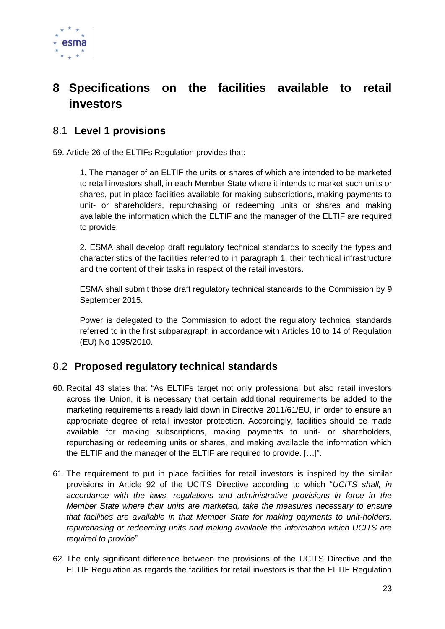

# <span id="page-22-0"></span>**8 Specifications on the facilities available to retail investors**

## <span id="page-22-1"></span>8.1 **Level 1 provisions**

59. Article 26 of the ELTIFs Regulation provides that:

1. The manager of an ELTIF the units or shares of which are intended to be marketed to retail investors shall, in each Member State where it intends to market such units or shares, put in place facilities available for making subscriptions, making payments to unit- or shareholders, repurchasing or redeeming units or shares and making available the information which the ELTIF and the manager of the ELTIF are required to provide.

2. ESMA shall develop draft regulatory technical standards to specify the types and characteristics of the facilities referred to in paragraph 1, their technical infrastructure and the content of their tasks in respect of the retail investors.

ESMA shall submit those draft regulatory technical standards to the Commission by 9 September 2015.

Power is delegated to the Commission to adopt the regulatory technical standards referred to in the first subparagraph in accordance with Articles 10 to 14 of Regulation (EU) No 1095/2010.

## <span id="page-22-2"></span>8.2 **Proposed regulatory technical standards**

- 60. Recital 43 states that "As ELTIFs target not only professional but also retail investors across the Union, it is necessary that certain additional requirements be added to the marketing requirements already laid down in Directive 2011/61/EU, in order to ensure an appropriate degree of retail investor protection. Accordingly, facilities should be made available for making subscriptions, making payments to unit- or shareholders, repurchasing or redeeming units or shares, and making available the information which the ELTIF and the manager of the ELTIF are required to provide. […]".
- 61. The requirement to put in place facilities for retail investors is inspired by the similar provisions in Article 92 of the UCITS Directive according to which "*UCITS shall, in accordance with the laws, regulations and administrative provisions in force in the Member State where their units are marketed, take the measures necessary to ensure that facilities are available in that Member State for making payments to unit-holders, repurchasing or redeeming units and making available the information which UCITS are required to provide*".
- 62. The only significant difference between the provisions of the UCITS Directive and the ELTIF Regulation as regards the facilities for retail investors is that the ELTIF Regulation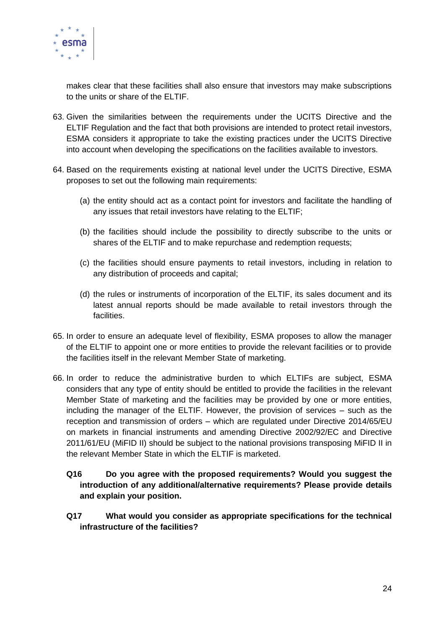

makes clear that these facilities shall also ensure that investors may make subscriptions to the units or share of the ELTIF.

- 63. Given the similarities between the requirements under the UCITS Directive and the ELTIF Regulation and the fact that both provisions are intended to protect retail investors, ESMA considers it appropriate to take the existing practices under the UCITS Directive into account when developing the specifications on the facilities available to investors.
- 64. Based on the requirements existing at national level under the UCITS Directive, ESMA proposes to set out the following main requirements:
	- (a) the entity should act as a contact point for investors and facilitate the handling of any issues that retail investors have relating to the ELTIF;
	- (b) the facilities should include the possibility to directly subscribe to the units or shares of the ELTIF and to make repurchase and redemption requests;
	- (c) the facilities should ensure payments to retail investors, including in relation to any distribution of proceeds and capital;
	- (d) the rules or instruments of incorporation of the ELTIF, its sales document and its latest annual reports should be made available to retail investors through the facilities.
- 65. In order to ensure an adequate level of flexibility, ESMA proposes to allow the manager of the ELTIF to appoint one or more entities to provide the relevant facilities or to provide the facilities itself in the relevant Member State of marketing.
- 66. In order to reduce the administrative burden to which ELTIFs are subject, ESMA considers that any type of entity should be entitled to provide the facilities in the relevant Member State of marketing and the facilities may be provided by one or more entities, including the manager of the ELTIF. However, the provision of services – such as the reception and transmission of orders – which are regulated under Directive 2014/65/EU on markets in financial instruments and amending Directive 2002/92/EC and Directive 2011/61/EU (MiFID II) should be subject to the national provisions transposing MiFID II in the relevant Member State in which the ELTIF is marketed.
	- **Q16 Do you agree with the proposed requirements? Would you suggest the introduction of any additional/alternative requirements? Please provide details and explain your position.**
	- **Q17 What would you consider as appropriate specifications for the technical infrastructure of the facilities?**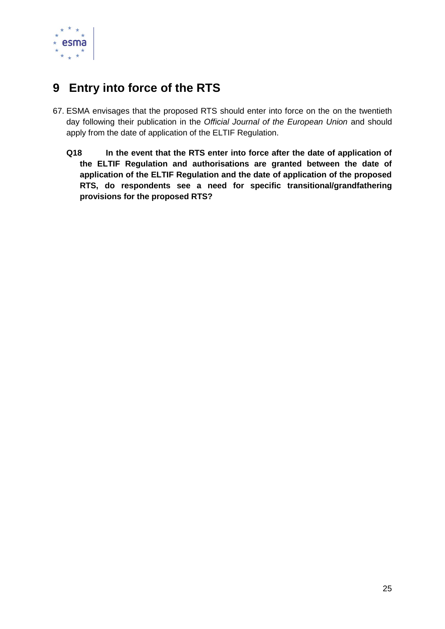

# <span id="page-24-0"></span>**9 Entry into force of the RTS**

- 67. ESMA envisages that the proposed RTS should enter into force on the on the twentieth day following their publication in the *Official Journal of the European Union* and should apply from the date of application of the ELTIF Regulation.
	- **Q18 In the event that the RTS enter into force after the date of application of the ELTIF Regulation and authorisations are granted between the date of application of the ELTIF Regulation and the date of application of the proposed RTS, do respondents see a need for specific transitional/grandfathering provisions for the proposed RTS?**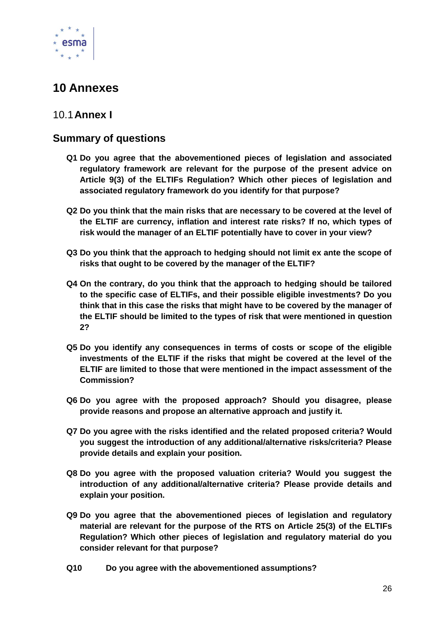

# <span id="page-25-0"></span>**10 Annexes**

## <span id="page-25-1"></span>10.1**Annex I**

## **Summary of questions**

- **Q1 Do you agree that the abovementioned pieces of legislation and associated regulatory framework are relevant for the purpose of the present advice on Article 9(3) of the ELTIFs Regulation? Which other pieces of legislation and associated regulatory framework do you identify for that purpose?**
- **Q2 Do you think that the main risks that are necessary to be covered at the level of the ELTIF are currency, inflation and interest rate risks? If no, which types of risk would the manager of an ELTIF potentially have to cover in your view?**
- **Q3 Do you think that the approach to hedging should not limit ex ante the scope of risks that ought to be covered by the manager of the ELTIF?**
- **Q4 On the contrary, do you think that the approach to hedging should be tailored to the specific case of ELTIFs, and their possible eligible investments? Do you think that in this case the risks that might have to be covered by the manager of the ELTIF should be limited to the types of risk that were mentioned in question 2?**
- **Q5 Do you identify any consequences in terms of costs or scope of the eligible investments of the ELTIF if the risks that might be covered at the level of the ELTIF are limited to those that were mentioned in the impact assessment of the Commission?**
- **Q6 Do you agree with the proposed approach? Should you disagree, please provide reasons and propose an alternative approach and justify it.**
- **Q7 Do you agree with the risks identified and the related proposed criteria? Would you suggest the introduction of any additional/alternative risks/criteria? Please provide details and explain your position.**
- **Q8 Do you agree with the proposed valuation criteria? Would you suggest the introduction of any additional/alternative criteria? Please provide details and explain your position.**
- **Q9 Do you agree that the abovementioned pieces of legislation and regulatory material are relevant for the purpose of the RTS on Article 25(3) of the ELTIFs Regulation? Which other pieces of legislation and regulatory material do you consider relevant for that purpose?**
- **Q10 Do you agree with the abovementioned assumptions?**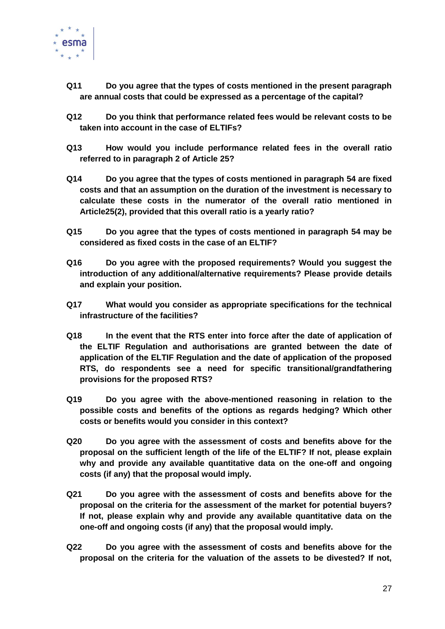

- **Q11 Do you agree that the types of costs mentioned in the present paragraph are annual costs that could be expressed as a percentage of the capital?**
- **Q12 Do you think that performance related fees would be relevant costs to be taken into account in the case of ELTIFs?**
- **Q13 How would you include performance related fees in the overall ratio referred to in paragraph 2 of Article 25?**
- **Q14 Do you agree that the types of costs mentioned in paragraph 54 are fixed costs and that an assumption on the duration of the investment is necessary to calculate these costs in the numerator of the overall ratio mentioned in Article25(2), provided that this overall ratio is a yearly ratio?**
- **Q15 Do you agree that the types of costs mentioned in paragraph 54 may be considered as fixed costs in the case of an ELTIF?**
- **Q16 Do you agree with the proposed requirements? Would you suggest the introduction of any additional/alternative requirements? Please provide details and explain your position.**
- **Q17 What would you consider as appropriate specifications for the technical infrastructure of the facilities?**
- **Q18 In the event that the RTS enter into force after the date of application of the ELTIF Regulation and authorisations are granted between the date of application of the ELTIF Regulation and the date of application of the proposed RTS, do respondents see a need for specific transitional/grandfathering provisions for the proposed RTS?**
- **Q19 Do you agree with the above-mentioned reasoning in relation to the possible costs and benefits of the options as regards hedging? Which other costs or benefits would you consider in this context?**
- **Q20 Do you agree with the assessment of costs and benefits above for the proposal on the sufficient length of the life of the ELTIF? If not, please explain why and provide any available quantitative data on the one-off and ongoing costs (if any) that the proposal would imply.**
- **Q21 Do you agree with the assessment of costs and benefits above for the proposal on the criteria for the assessment of the market for potential buyers? If not, please explain why and provide any available quantitative data on the one-off and ongoing costs (if any) that the proposal would imply.**
- **Q22 Do you agree with the assessment of costs and benefits above for the proposal on the criteria for the valuation of the assets to be divested? If not,**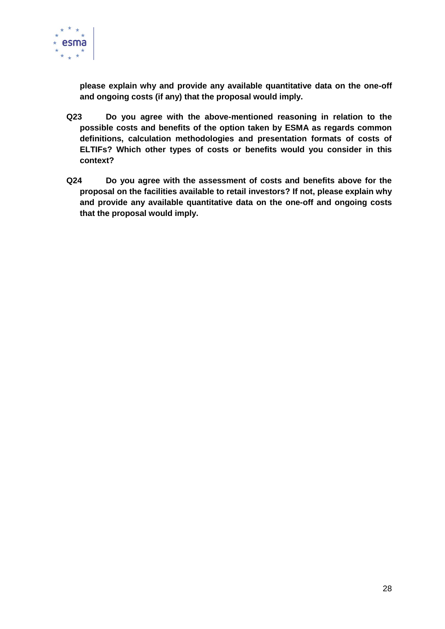

**please explain why and provide any available quantitative data on the one-off and ongoing costs (if any) that the proposal would imply.**

- **Q23 Do you agree with the above-mentioned reasoning in relation to the possible costs and benefits of the option taken by ESMA as regards common definitions, calculation methodologies and presentation formats of costs of ELTIFs? Which other types of costs or benefits would you consider in this context?**
- **Q24 Do you agree with the assessment of costs and benefits above for the proposal on the facilities available to retail investors? If not, please explain why and provide any available quantitative data on the one-off and ongoing costs that the proposal would imply.**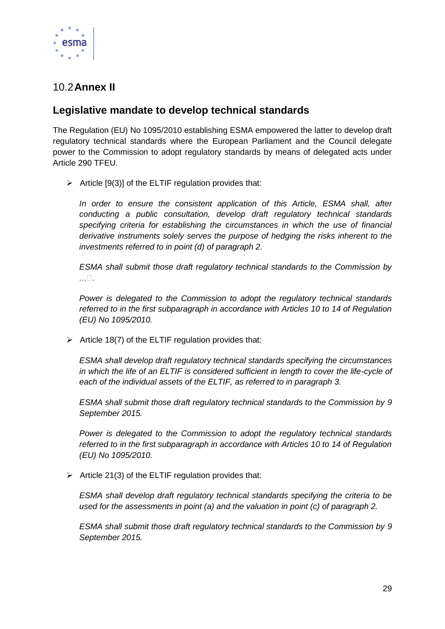

## <span id="page-28-0"></span>10.2**Annex II**

## **Legislative mandate to develop technical standards**

The Regulation (EU) No 1095/2010 establishing ESMA empowered the latter to develop draft regulatory technical standards where the European Parliament and the Council delegate power to the Commission to adopt regulatory standards by means of delegated acts under Article 290 TFEU.

 $\triangleright$  Article [9(3)] of the ELTIF regulation provides that:

*In order to ensure the consistent application of this Article, ESMA shall, after conducting a public consultation, develop draft regulatory technical standards specifying criteria for establishing the circumstances in which the use of financial derivative instruments solely serves the purpose of hedging the risks inherent to the investments referred to in point (d) of paragraph 2.*

*ESMA shall submit those draft regulatory technical standards to the Commission by*   $\ldots \Box$ .

*Power is delegated to the Commission to adopt the regulatory technical standards referred to in the first subparagraph in accordance with Articles 10 to 14 of Regulation (EU) No 1095/2010.*

 $\triangleright$  Article 18(7) of the ELTIF regulation provides that:

*ESMA shall develop draft regulatory technical standards specifying the circumstances*  in which the life of an ELTIF is considered sufficient in length to cover the life-cycle of *each of the individual assets of the ELTIF, as referred to in paragraph 3.*

*ESMA shall submit those draft regulatory technical standards to the Commission by 9 September 2015.*

*Power is delegated to the Commission to adopt the regulatory technical standards referred to in the first subparagraph in accordance with Articles 10 to 14 of Regulation (EU) No 1095/2010.*

 $\triangleright$  Article 21(3) of the ELTIF regulation provides that:

*ESMA shall develop draft regulatory technical standards specifying the criteria to be used for the assessments in point (a) and the valuation in point (c) of paragraph 2.*

*ESMA shall submit those draft regulatory technical standards to the Commission by 9 September 2015.*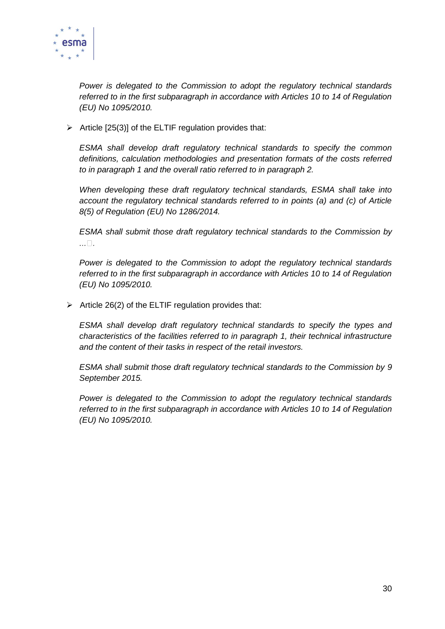

*Power is delegated to the Commission to adopt the regulatory technical standards referred to in the first subparagraph in accordance with Articles 10 to 14 of Regulation (EU) No 1095/2010.*

 $\triangleright$  Article [25(3)] of the ELTIF regulation provides that:

*ESMA shall develop draft regulatory technical standards to specify the common definitions, calculation methodologies and presentation formats of the costs referred to in paragraph 1 and the overall ratio referred to in paragraph 2.*

*When developing these draft regulatory technical standards, ESMA shall take into account the regulatory technical standards referred to in points (a) and (c) of Article 8(5) of Regulation (EU) No 1286/2014.*

*ESMA shall submit those draft regulatory technical standards to the Commission by*   $\ldots \Box$ .

*Power is delegated to the Commission to adopt the regulatory technical standards referred to in the first subparagraph in accordance with Articles 10 to 14 of Regulation (EU) No 1095/2010.*

 $\triangleright$  Article 26(2) of the ELTIF regulation provides that:

*ESMA shall develop draft regulatory technical standards to specify the types and characteristics of the facilities referred to in paragraph 1, their technical infrastructure and the content of their tasks in respect of the retail investors.*

*ESMA shall submit those draft regulatory technical standards to the Commission by 9 September 2015.*

*Power is delegated to the Commission to adopt the regulatory technical standards referred to in the first subparagraph in accordance with Articles 10 to 14 of Regulation (EU) No 1095/2010.*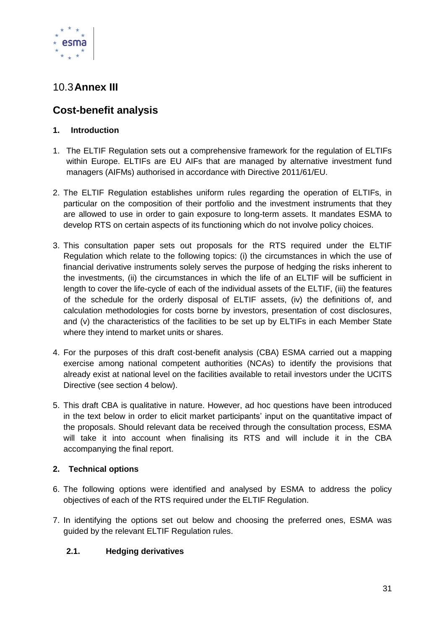

## <span id="page-30-0"></span>10.3**Annex III**

## **Cost-benefit analysis**

#### **1. Introduction**

- 1. The ELTIF Regulation sets out a comprehensive framework for the regulation of ELTIFs within Europe. ELTIFs are EU AIFs that are managed by alternative investment fund managers (AIFMs) authorised in accordance with Directive 2011/61/EU.
- 2. The ELTIF Regulation establishes uniform rules regarding the operation of ELTIFs, in particular on the composition of their portfolio and the investment instruments that they are allowed to use in order to gain exposure to long-term assets. It mandates ESMA to develop RTS on certain aspects of its functioning which do not involve policy choices.
- 3. This consultation paper sets out proposals for the RTS required under the ELTIF Regulation which relate to the following topics: (i) the circumstances in which the use of financial derivative instruments solely serves the purpose of hedging the risks inherent to the investments, (ii) the circumstances in which the life of an ELTIF will be sufficient in length to cover the life-cycle of each of the individual assets of the ELTIF, (iii) the features of the schedule for the orderly disposal of ELTIF assets, (iv) the definitions of, and calculation methodologies for costs borne by investors, presentation of cost disclosures, and (v) the characteristics of the facilities to be set up by ELTIFs in each Member State where they intend to market units or shares.
- 4. For the purposes of this draft cost-benefit analysis (CBA) ESMA carried out a mapping exercise among national competent authorities (NCAs) to identify the provisions that already exist at national level on the facilities available to retail investors under the UCITS Directive (see section 4 below).
- 5. This draft CBA is qualitative in nature. However, ad hoc questions have been introduced in the text below in order to elicit market participants' input on the quantitative impact of the proposals. Should relevant data be received through the consultation process, ESMA will take it into account when finalising its RTS and will include it in the CBA accompanying the final report.

#### **2. Technical options**

- 6. The following options were identified and analysed by ESMA to address the policy objectives of each of the RTS required under the ELTIF Regulation.
- 7. In identifying the options set out below and choosing the preferred ones, ESMA was guided by the relevant ELTIF Regulation rules.

#### **2.1. Hedging derivatives**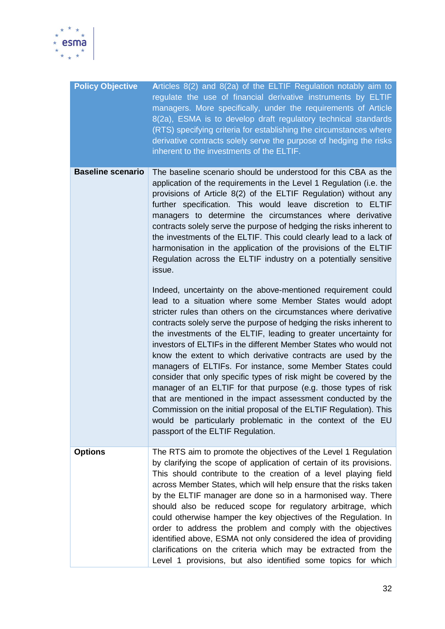

| <b>Policy Objective</b>  | Articles 8(2) and 8(2a) of the ELTIF Regulation notably aim to<br>regulate the use of financial derivative instruments by ELTIF<br>managers. More specifically, under the requirements of Article<br>8(2a), ESMA is to develop draft regulatory technical standards<br>(RTS) specifying criteria for establishing the circumstances where<br>derivative contracts solely serve the purpose of hedging the risks<br>inherent to the investments of the ELTIF.                                                                                                                                                                                                                                                                                                                                                                                                                                                              |
|--------------------------|---------------------------------------------------------------------------------------------------------------------------------------------------------------------------------------------------------------------------------------------------------------------------------------------------------------------------------------------------------------------------------------------------------------------------------------------------------------------------------------------------------------------------------------------------------------------------------------------------------------------------------------------------------------------------------------------------------------------------------------------------------------------------------------------------------------------------------------------------------------------------------------------------------------------------|
| <b>Baseline scenario</b> | The baseline scenario should be understood for this CBA as the<br>application of the requirements in the Level 1 Regulation (i.e. the<br>provisions of Article 8(2) of the ELTIF Regulation) without any<br>further specification. This would leave discretion to ELTIF<br>managers to determine the circumstances where derivative<br>contracts solely serve the purpose of hedging the risks inherent to<br>the investments of the ELTIF. This could clearly lead to a lack of<br>harmonisation in the application of the provisions of the ELTIF<br>Regulation across the ELTIF industry on a potentially sensitive<br>issue.                                                                                                                                                                                                                                                                                          |
|                          | Indeed, uncertainty on the above-mentioned requirement could<br>lead to a situation where some Member States would adopt<br>stricter rules than others on the circumstances where derivative<br>contracts solely serve the purpose of hedging the risks inherent to<br>the investments of the ELTIF, leading to greater uncertainty for<br>investors of ELTIFs in the different Member States who would not<br>know the extent to which derivative contracts are used by the<br>managers of ELTIFs. For instance, some Member States could<br>consider that only specific types of risk might be covered by the<br>manager of an ELTIF for that purpose (e.g. those types of risk<br>that are mentioned in the impact assessment conducted by the<br>Commission on the initial proposal of the ELTIF Regulation). This<br>would be particularly problematic in the context of the EU<br>passport of the ELTIF Regulation. |
| <b>Options</b>           | The RTS aim to promote the objectives of the Level 1 Regulation<br>by clarifying the scope of application of certain of its provisions.<br>This should contribute to the creation of a level playing field<br>across Member States, which will help ensure that the risks taken<br>by the ELTIF manager are done so in a harmonised way. There<br>should also be reduced scope for regulatory arbitrage, which<br>could otherwise hamper the key objectives of the Regulation. In<br>order to address the problem and comply with the objectives<br>identified above, ESMA not only considered the idea of providing<br>clarifications on the criteria which may be extracted from the<br>Level 1 provisions, but also identified some topics for which                                                                                                                                                                   |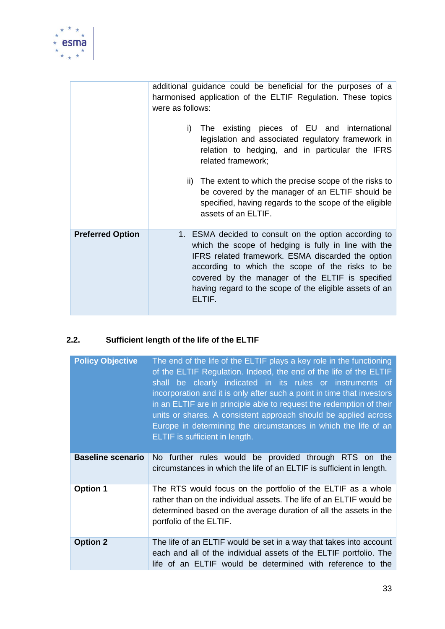

|                         | additional guidance could be beneficial for the purposes of a<br>harmonised application of the ELTIF Regulation. These topics<br>were as follows:<br>i) The existing pieces of EU and international<br>legislation and associated regulatory framework in<br>relation to hedging, and in particular the IFRS<br>related framework;<br>ii) The extent to which the precise scope of the risks to<br>be covered by the manager of an ELTIF should be<br>specified, having regards to the scope of the eligible<br>assets of an ELTIF. |
|-------------------------|-------------------------------------------------------------------------------------------------------------------------------------------------------------------------------------------------------------------------------------------------------------------------------------------------------------------------------------------------------------------------------------------------------------------------------------------------------------------------------------------------------------------------------------|
| <b>Preferred Option</b> | 1. ESMA decided to consult on the option according to<br>which the scope of hedging is fully in line with the<br>IFRS related framework. ESMA discarded the option<br>according to which the scope of the risks to be<br>covered by the manager of the ELTIF is specified<br>having regard to the scope of the eligible assets of an<br>ELTIF.                                                                                                                                                                                      |

## **2.2. Sufficient length of the life of the ELTIF**

| <b>Policy Objective</b>  | The end of the life of the ELTIF plays a key role in the functioning<br>of the ELTIF Regulation. Indeed, the end of the life of the ELTIF<br>shall be clearly indicated in its rules or instruments of<br>incorporation and it is only after such a point in time that investors<br>in an ELTIF are in principle able to request the redemption of their<br>units or shares. A consistent approach should be applied across<br>Europe in determining the circumstances in which the life of an<br>ELTIF is sufficient in length. |  |  |  |
|--------------------------|----------------------------------------------------------------------------------------------------------------------------------------------------------------------------------------------------------------------------------------------------------------------------------------------------------------------------------------------------------------------------------------------------------------------------------------------------------------------------------------------------------------------------------|--|--|--|
| <b>Baseline scenario</b> | No further rules would be provided through RTS on the<br>circumstances in which the life of an ELTIF is sufficient in length.                                                                                                                                                                                                                                                                                                                                                                                                    |  |  |  |
| <b>Option 1</b>          | The RTS would focus on the portfolio of the ELTIF as a whole<br>rather than on the individual assets. The life of an ELTIF would be<br>determined based on the average duration of all the assets in the<br>portfolio of the ELTIF.                                                                                                                                                                                                                                                                                              |  |  |  |
| <b>Option 2</b>          | The life of an ELTIF would be set in a way that takes into account<br>each and all of the individual assets of the ELTIF portfolio. The<br>life of an ELTIF would be determined with reference to the                                                                                                                                                                                                                                                                                                                            |  |  |  |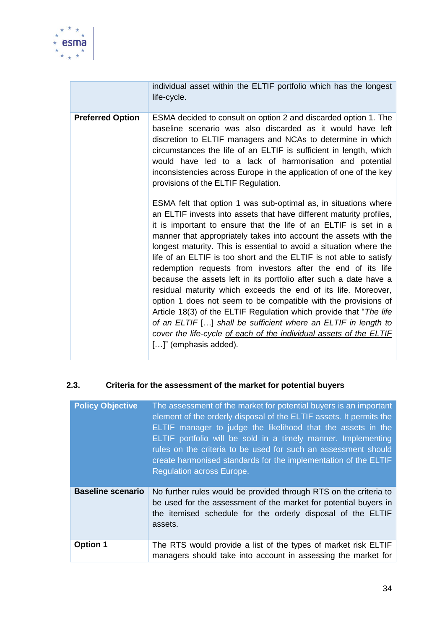

|                         | individual asset within the ELTIF portfolio which has the longest<br>life-cycle.                                                                                                                                                                                                                                                                                                                                                                                                                                                                                                                                                                                                                                                                                                                                                                                                                                                             |
|-------------------------|----------------------------------------------------------------------------------------------------------------------------------------------------------------------------------------------------------------------------------------------------------------------------------------------------------------------------------------------------------------------------------------------------------------------------------------------------------------------------------------------------------------------------------------------------------------------------------------------------------------------------------------------------------------------------------------------------------------------------------------------------------------------------------------------------------------------------------------------------------------------------------------------------------------------------------------------|
| <b>Preferred Option</b> | ESMA decided to consult on option 2 and discarded option 1. The<br>baseline scenario was also discarded as it would have left<br>discretion to ELTIF managers and NCAs to determine in which<br>circumstances the life of an ELTIF is sufficient in length, which<br>would have led to a lack of harmonisation and potential<br>inconsistencies across Europe in the application of one of the key<br>provisions of the ELTIF Regulation.                                                                                                                                                                                                                                                                                                                                                                                                                                                                                                    |
|                         | ESMA felt that option 1 was sub-optimal as, in situations where<br>an ELTIF invests into assets that have different maturity profiles,<br>it is important to ensure that the life of an ELTIF is set in a<br>manner that appropriately takes into account the assets with the<br>longest maturity. This is essential to avoid a situation where the<br>life of an ELTIF is too short and the ELTIF is not able to satisfy<br>redemption requests from investors after the end of its life<br>because the assets left in its portfolio after such a date have a<br>residual maturity which exceeds the end of its life. Moreover,<br>option 1 does not seem to be compatible with the provisions of<br>Article 18(3) of the ELTIF Regulation which provide that "The life<br>of an ELTIF [] shall be sufficient where an ELTIF in length to<br>cover the life-cycle of each of the individual assets of the ELTIF<br>$[]$ " (emphasis added). |

#### **2.3. Criteria for the assessment of the market for potential buyers**

| <b>Policy Objective</b>  | The assessment of the market for potential buyers is an important<br>element of the orderly disposal of the ELTIF assets. It permits the<br>ELTIF manager to judge the likelihood that the assets in the<br>ELTIF portfolio will be sold in a timely manner. Implementing<br>rules on the criteria to be used for such an assessment should<br>create harmonised standards for the implementation of the ELTIF<br><b>Requlation across Europe.</b> |
|--------------------------|----------------------------------------------------------------------------------------------------------------------------------------------------------------------------------------------------------------------------------------------------------------------------------------------------------------------------------------------------------------------------------------------------------------------------------------------------|
| <b>Baseline scenario</b> | No further rules would be provided through RTS on the criteria to<br>be used for the assessment of the market for potential buyers in<br>the itemised schedule for the orderly disposal of the ELTIF<br>assets.                                                                                                                                                                                                                                    |
| <b>Option 1</b>          | The RTS would provide a list of the types of market risk ELTIF<br>managers should take into account in assessing the market for                                                                                                                                                                                                                                                                                                                    |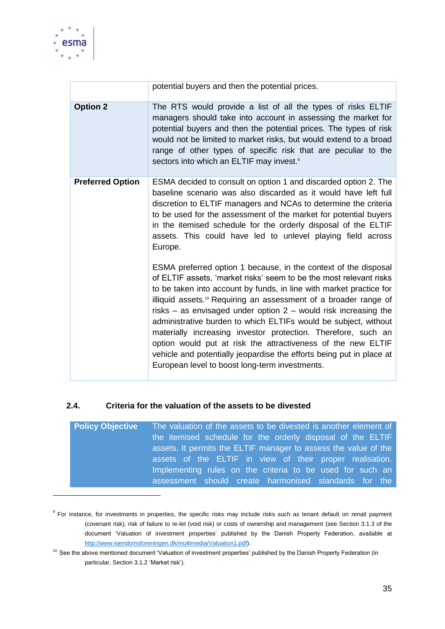

1

|                         | potential buyers and then the potential prices.                                                                                                                                                                                                                                                                                                                                                                                                                                                                                                                                                                                                                                                   |
|-------------------------|---------------------------------------------------------------------------------------------------------------------------------------------------------------------------------------------------------------------------------------------------------------------------------------------------------------------------------------------------------------------------------------------------------------------------------------------------------------------------------------------------------------------------------------------------------------------------------------------------------------------------------------------------------------------------------------------------|
| <b>Option 2</b>         | The RTS would provide a list of all the types of risks ELTIF<br>managers should take into account in assessing the market for<br>potential buyers and then the potential prices. The types of risk<br>would not be limited to market risks, but would extend to a broad<br>range of other types of specific risk that are peculiar to the<br>sectors into which an ELTIF may invest. <sup>9</sup>                                                                                                                                                                                                                                                                                                 |
| <b>Preferred Option</b> | ESMA decided to consult on option 1 and discarded option 2. The<br>baseline scenario was also discarded as it would have left full<br>discretion to ELTIF managers and NCAs to determine the criteria<br>to be used for the assessment of the market for potential buyers<br>in the itemised schedule for the orderly disposal of the ELTIF<br>assets. This could have led to unlevel playing field across<br>Europe.                                                                                                                                                                                                                                                                             |
|                         | ESMA preferred option 1 because, in the context of the disposal<br>of ELTIF assets, 'market risks' seem to be the most relevant risks<br>to be taken into account by funds, in line with market practice for<br>illiquid assets. <sup>10</sup> Requiring an assessment of a broader range of<br>risks $-$ as envisaged under option $2$ – would risk increasing the<br>administrative burden to which ELTIFs would be subject, without<br>materially increasing investor protection. Therefore, such an<br>option would put at risk the attractiveness of the new ELTIF<br>vehicle and potentially jeopardise the efforts being put in place at<br>European level to boost long-term investments. |

#### **2.4. Criteria for the valuation of the assets to be divested**

| <b>Policy Objective</b> | The valuation of the assets to be divested is another element of |
|-------------------------|------------------------------------------------------------------|
|                         | the itemised schedule for the orderly disposal of the ELTIF      |
|                         | assets. It permits the ELTIF manager to assess the value of the  |
|                         | assets of the ELTIF in view of their proper realisation.         |
|                         | Implementing rules on the criteria to be used for such an        |
|                         | assessment should create harmonised standards for the            |

<sup>&</sup>lt;sup>9</sup> For instance, for investments in properties, the specific risks may include risks such as tenant default on renatl payment (covenant risk), risk of failure to re-let (void risk) or costs of ownership and management (see Section 3.1.3 of the document 'Valuation of investment properties' published by the Danish Property Federation, available at [http://www.ejendomsforeningen.dk/multimedia/Valuation1.pdf\)](http://www.ejendomsforeningen.dk/multimedia/Valuation1.pdf).

<sup>&</sup>lt;sup>10</sup> See the above mentioned document 'Valuation of investment properties' published by the Danish Property Federation (in particular, Section 3.1.2 'Market risk').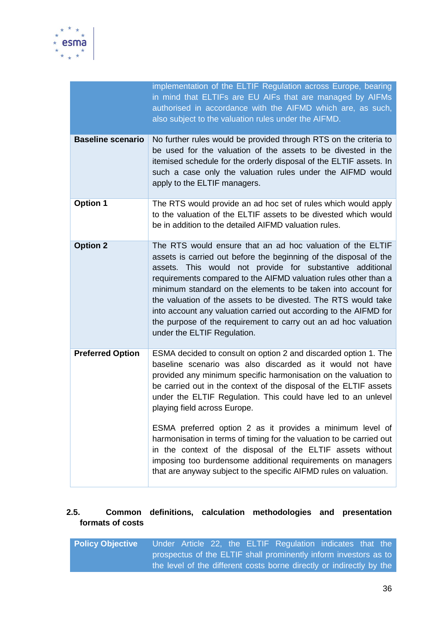

|                          | implementation of the ELTIF Regulation across Europe, bearing<br>in mind that ELTIFs are EU AIFs that are managed by AIFMs<br>authorised in accordance with the AIFMD which are, as such,<br>also subject to the valuation rules under the AIFMD.                                                                                                                                                                                                                                                                                                                         |  |  |  |  |
|--------------------------|---------------------------------------------------------------------------------------------------------------------------------------------------------------------------------------------------------------------------------------------------------------------------------------------------------------------------------------------------------------------------------------------------------------------------------------------------------------------------------------------------------------------------------------------------------------------------|--|--|--|--|
| <b>Baseline scenario</b> | No further rules would be provided through RTS on the criteria to<br>be used for the valuation of the assets to be divested in the<br>itemised schedule for the orderly disposal of the ELTIF assets. In<br>such a case only the valuation rules under the AIFMD would<br>apply to the ELTIF managers.                                                                                                                                                                                                                                                                    |  |  |  |  |
| <b>Option 1</b>          | The RTS would provide an ad hoc set of rules which would apply<br>to the valuation of the ELTIF assets to be divested which would<br>be in addition to the detailed AIFMD valuation rules.                                                                                                                                                                                                                                                                                                                                                                                |  |  |  |  |
| <b>Option 2</b>          | The RTS would ensure that an ad hoc valuation of the ELTIF<br>assets is carried out before the beginning of the disposal of the<br>assets. This would not provide for substantive additional<br>requirements compared to the AIFMD valuation rules other than a<br>minimum standard on the elements to be taken into account for<br>the valuation of the assets to be divested. The RTS would take<br>into account any valuation carried out according to the AIFMD for<br>the purpose of the requirement to carry out an ad hoc valuation<br>under the ELTIF Regulation. |  |  |  |  |
| <b>Preferred Option</b>  | ESMA decided to consult on option 2 and discarded option 1. The<br>baseline scenario was also discarded as it would not have<br>provided any minimum specific harmonisation on the valuation to<br>be carried out in the context of the disposal of the ELTIF assets<br>under the ELTIF Regulation. This could have led to an unlevel<br>playing field across Europe.                                                                                                                                                                                                     |  |  |  |  |
|                          | ESMA preferred option 2 as it provides a minimum level of<br>harmonisation in terms of timing for the valuation to be carried out<br>in the context of the disposal of the ELTIF assets without<br>imposing too burdensome additional requirements on managers<br>that are anyway subject to the specific AIFMD rules on valuation.                                                                                                                                                                                                                                       |  |  |  |  |

## **2.5. Common definitions, calculation methodologies and presentation formats of costs**

| <b>Policy Objective</b> |  |  | Under Article 22, the ELTIF Regulation indicates that the            |  |  |
|-------------------------|--|--|----------------------------------------------------------------------|--|--|
|                         |  |  | prospectus of the ELTIF shall prominently inform investors as to     |  |  |
|                         |  |  | the level of the different costs borne directly or indirectly by the |  |  |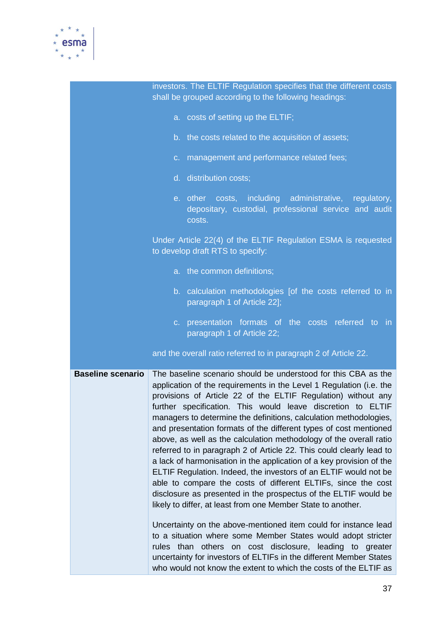

|                          | investors. The ELTIF Regulation specifies that the different costs<br>shall be grouped according to the following headings:                                                                                                                                                                                                                                                                                                                                                                                                                                                                                                                                                                                                                                                                                                                                                                                                                                                                                                                                                                                                                                                                                                                            |
|--------------------------|--------------------------------------------------------------------------------------------------------------------------------------------------------------------------------------------------------------------------------------------------------------------------------------------------------------------------------------------------------------------------------------------------------------------------------------------------------------------------------------------------------------------------------------------------------------------------------------------------------------------------------------------------------------------------------------------------------------------------------------------------------------------------------------------------------------------------------------------------------------------------------------------------------------------------------------------------------------------------------------------------------------------------------------------------------------------------------------------------------------------------------------------------------------------------------------------------------------------------------------------------------|
|                          | a. costs of setting up the ELTIF;                                                                                                                                                                                                                                                                                                                                                                                                                                                                                                                                                                                                                                                                                                                                                                                                                                                                                                                                                                                                                                                                                                                                                                                                                      |
|                          | b. the costs related to the acquisition of assets;                                                                                                                                                                                                                                                                                                                                                                                                                                                                                                                                                                                                                                                                                                                                                                                                                                                                                                                                                                                                                                                                                                                                                                                                     |
|                          | c. management and performance related fees;                                                                                                                                                                                                                                                                                                                                                                                                                                                                                                                                                                                                                                                                                                                                                                                                                                                                                                                                                                                                                                                                                                                                                                                                            |
|                          | d. distribution costs;                                                                                                                                                                                                                                                                                                                                                                                                                                                                                                                                                                                                                                                                                                                                                                                                                                                                                                                                                                                                                                                                                                                                                                                                                                 |
|                          | e. other costs, including administrative, regulatory,<br>depositary, custodial, professional service and audit<br>costs.                                                                                                                                                                                                                                                                                                                                                                                                                                                                                                                                                                                                                                                                                                                                                                                                                                                                                                                                                                                                                                                                                                                               |
|                          | Under Article 22(4) of the ELTIF Regulation ESMA is requested<br>to develop draft RTS to specify:                                                                                                                                                                                                                                                                                                                                                                                                                                                                                                                                                                                                                                                                                                                                                                                                                                                                                                                                                                                                                                                                                                                                                      |
|                          | a. the common definitions;                                                                                                                                                                                                                                                                                                                                                                                                                                                                                                                                                                                                                                                                                                                                                                                                                                                                                                                                                                                                                                                                                                                                                                                                                             |
|                          | b. calculation methodologies [of the costs referred to in<br>paragraph 1 of Article 22];                                                                                                                                                                                                                                                                                                                                                                                                                                                                                                                                                                                                                                                                                                                                                                                                                                                                                                                                                                                                                                                                                                                                                               |
|                          | c. presentation formats of the costs referred to in<br>paragraph 1 of Article 22;                                                                                                                                                                                                                                                                                                                                                                                                                                                                                                                                                                                                                                                                                                                                                                                                                                                                                                                                                                                                                                                                                                                                                                      |
|                          | and the overall ratio referred to in paragraph 2 of Article 22.                                                                                                                                                                                                                                                                                                                                                                                                                                                                                                                                                                                                                                                                                                                                                                                                                                                                                                                                                                                                                                                                                                                                                                                        |
| <b>Baseline scenario</b> | The baseline scenario should be understood for this CBA as the<br>application of the requirements in the Level 1 Regulation (i.e. the<br>provisions of Article 22 of the ELTIF Regulation) without any<br>further specification. This would leave discretion to ELTIF<br>managers to determine the definitions, calculation methodologies,<br>and presentation formats of the different types of cost mentioned<br>above, as well as the calculation methodology of the overall ratio<br>referred to in paragraph 2 of Article 22. This could clearly lead to<br>a lack of harmonisation in the application of a key provision of the<br>ELTIF Regulation. Indeed, the investors of an ELTIF would not be<br>able to compare the costs of different ELTIFs, since the cost<br>disclosure as presented in the prospectus of the ELTIF would be<br>likely to differ, at least from one Member State to another.<br>Uncertainty on the above-mentioned item could for instance lead<br>to a situation where some Member States would adopt stricter<br>rules than others on cost disclosure, leading to greater<br>uncertainty for investors of ELTIFs in the different Member States<br>who would not know the extent to which the costs of the ELTIF as |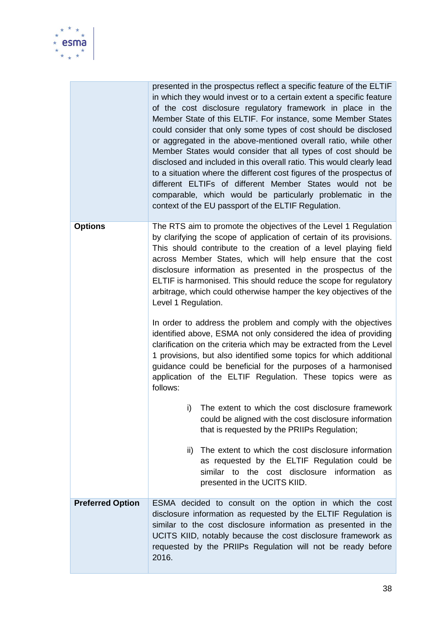

|                         | presented in the prospectus reflect a specific feature of the ELTIF<br>in which they would invest or to a certain extent a specific feature<br>of the cost disclosure regulatory framework in place in the<br>Member State of this ELTIF. For instance, some Member States<br>could consider that only some types of cost should be disclosed<br>or aggregated in the above-mentioned overall ratio, while other<br>Member States would consider that all types of cost should be<br>disclosed and included in this overall ratio. This would clearly lead<br>to a situation where the different cost figures of the prospectus of<br>different ELTIFs of different Member States would not be<br>comparable, which would be particularly problematic in the<br>context of the EU passport of the ELTIF Regulation. |
|-------------------------|---------------------------------------------------------------------------------------------------------------------------------------------------------------------------------------------------------------------------------------------------------------------------------------------------------------------------------------------------------------------------------------------------------------------------------------------------------------------------------------------------------------------------------------------------------------------------------------------------------------------------------------------------------------------------------------------------------------------------------------------------------------------------------------------------------------------|
| <b>Options</b>          | The RTS aim to promote the objectives of the Level 1 Regulation<br>by clarifying the scope of application of certain of its provisions.<br>This should contribute to the creation of a level playing field<br>across Member States, which will help ensure that the cost<br>disclosure information as presented in the prospectus of the<br>ELTIF is harmonised. This should reduce the scope for regulatory<br>arbitrage, which could otherwise hamper the key objectives of the<br>Level 1 Regulation.                                                                                                                                                                                                                                                                                                            |
|                         | In order to address the problem and comply with the objectives<br>identified above, ESMA not only considered the idea of providing<br>clarification on the criteria which may be extracted from the Level<br>1 provisions, but also identified some topics for which additional<br>guidance could be beneficial for the purposes of a harmonised<br>application of the ELTIF Regulation. These topics were as<br>follows:                                                                                                                                                                                                                                                                                                                                                                                           |
|                         | The extent to which the cost disclosure framework<br>i)<br>could be aligned with the cost disclosure information<br>that is requested by the PRIIPs Regulation;                                                                                                                                                                                                                                                                                                                                                                                                                                                                                                                                                                                                                                                     |
|                         | The extent to which the cost disclosure information<br>$\mathsf{ii}$<br>as requested by the ELTIF Regulation could be<br>similar to the cost disclosure information<br>as<br>presented in the UCITS KIID.                                                                                                                                                                                                                                                                                                                                                                                                                                                                                                                                                                                                           |
| <b>Preferred Option</b> | ESMA decided to consult on the option in which the cost<br>disclosure information as requested by the ELTIF Regulation is<br>similar to the cost disclosure information as presented in the<br>UCITS KIID, notably because the cost disclosure framework as<br>requested by the PRIIPs Regulation will not be ready before<br>2016.                                                                                                                                                                                                                                                                                                                                                                                                                                                                                 |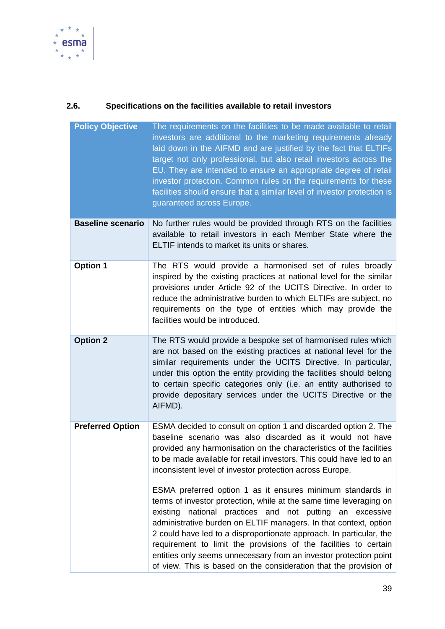

# **2.6. Specifications on the facilities available to retail investors**

| <b>Policy Objective</b>  | The requirements on the facilities to be made available to retail<br>investors are additional to the marketing requirements already<br>laid down in the AIFMD and are justified by the fact that ELTIFs<br>target not only professional, but also retail investors across the<br>EU. They are intended to ensure an appropriate degree of retail<br>investor protection. Common rules on the requirements for these<br>facilities should ensure that a similar level of investor protection is<br>guaranteed across Europe.                           |
|--------------------------|-------------------------------------------------------------------------------------------------------------------------------------------------------------------------------------------------------------------------------------------------------------------------------------------------------------------------------------------------------------------------------------------------------------------------------------------------------------------------------------------------------------------------------------------------------|
| <b>Baseline scenario</b> | No further rules would be provided through RTS on the facilities<br>available to retail investors in each Member State where the<br>ELTIF intends to market its units or shares.                                                                                                                                                                                                                                                                                                                                                                      |
| <b>Option 1</b>          | The RTS would provide a harmonised set of rules broadly<br>inspired by the existing practices at national level for the similar<br>provisions under Article 92 of the UCITS Directive. In order to<br>reduce the administrative burden to which ELTIFs are subject, no<br>requirements on the type of entities which may provide the<br>facilities would be introduced.                                                                                                                                                                               |
| <b>Option 2</b>          | The RTS would provide a bespoke set of harmonised rules which<br>are not based on the existing practices at national level for the<br>similar requirements under the UCITS Directive. In particular,<br>under this option the entity providing the facilities should belong<br>to certain specific categories only (i.e. an entity authorised to<br>provide depositary services under the UCITS Directive or the<br>AIFMD).                                                                                                                           |
| <b>Preferred Option</b>  | ESMA decided to consult on option 1 and discarded option 2. The<br>baseline scenario was also discarded as it would not have<br>provided any harmonisation on the characteristics of the facilities<br>to be made available for retail investors. This could have led to an<br>inconsistent level of investor protection across Europe.                                                                                                                                                                                                               |
|                          | ESMA preferred option 1 as it ensures minimum standards in<br>terms of investor protection, while at the same time leveraging on<br>existing national practices and not putting an excessive<br>administrative burden on ELTIF managers. In that context, option<br>2 could have led to a disproportionate approach. In particular, the<br>requirement to limit the provisions of the facilities to certain<br>entities only seems unnecessary from an investor protection point<br>of view. This is based on the consideration that the provision of |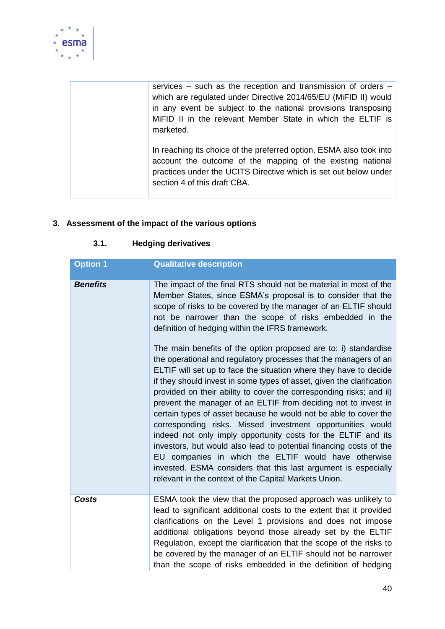

services – such as the reception and transmission of orders – which are regulated under Directive 2014/65/EU (MiFID II) would in any event be subject to the national provisions transposing MiFID II in the relevant Member State in which the ELTIF is marketed.

In reaching its choice of the preferred option, ESMA also took into account the outcome of the mapping of the existing national practices under the UCITS Directive which is set out below under section 4 of this draft CBA.

## **3. Assessment of the impact of the various options**

| <b>Option 1</b> | <b>Qualitative description</b>                                                                                                                                                                                                                                                                                                                                                                                                                                                                                                                                                                                                                                                                                                                                                                                                                                                                                                                                                                                                                                                                                                                                                                               |
|-----------------|--------------------------------------------------------------------------------------------------------------------------------------------------------------------------------------------------------------------------------------------------------------------------------------------------------------------------------------------------------------------------------------------------------------------------------------------------------------------------------------------------------------------------------------------------------------------------------------------------------------------------------------------------------------------------------------------------------------------------------------------------------------------------------------------------------------------------------------------------------------------------------------------------------------------------------------------------------------------------------------------------------------------------------------------------------------------------------------------------------------------------------------------------------------------------------------------------------------|
| <b>Benefits</b> | The impact of the final RTS should not be material in most of the<br>Member States, since ESMA's proposal is to consider that the<br>scope of risks to be covered by the manager of an ELTIF should<br>not be narrower than the scope of risks embedded in the<br>definition of hedging within the IFRS framework.<br>The main benefits of the option proposed are to: i) standardise<br>the operational and regulatory processes that the managers of an<br>ELTIF will set up to face the situation where they have to decide<br>if they should invest in some types of asset, given the clarification<br>provided on their ability to cover the corresponding risks; and ii)<br>prevent the manager of an ELTIF from deciding not to invest in<br>certain types of asset because he would not be able to cover the<br>corresponding risks. Missed investment opportunities would<br>indeed not only imply opportunity costs for the ELTIF and its<br>investors, but would also lead to potential financing costs of the<br>EU companies in which the ELTIF would have otherwise<br>invested. ESMA considers that this last argument is especially<br>relevant in the context of the Capital Markets Union. |
| Costs           | ESMA took the view that the proposed approach was unlikely to<br>lead to significant additional costs to the extent that it provided<br>clarifications on the Level 1 provisions and does not impose<br>additional obligations beyond those already set by the ELTIF<br>Regulation, except the clarification that the scope of the risks to<br>be covered by the manager of an ELTIF should not be narrower<br>than the scope of risks embedded in the definition of hedging                                                                                                                                                                                                                                                                                                                                                                                                                                                                                                                                                                                                                                                                                                                                 |

#### **3.1. Hedging derivatives**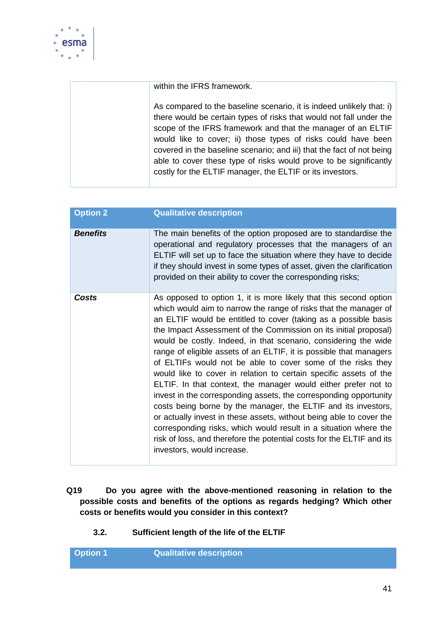

within the IFRS framework.

As compared to the baseline scenario, it is indeed unlikely that: i) there would be certain types of risks that would not fall under the scope of the IFRS framework and that the manager of an ELTIF would like to cover; ii) those types of risks could have been covered in the baseline scenario; and iii) that the fact of not being able to cover these type of risks would prove to be significantly costly for the ELTIF manager, the ELTIF or its investors.

| <b>Option 2</b> | <b>Qualitative description</b>                                                                                                                                                                                                                                                                                                                                                                                                                                                                                                                                                                                                                                                                                                                                                                                                                                                                                                                                                                                       |
|-----------------|----------------------------------------------------------------------------------------------------------------------------------------------------------------------------------------------------------------------------------------------------------------------------------------------------------------------------------------------------------------------------------------------------------------------------------------------------------------------------------------------------------------------------------------------------------------------------------------------------------------------------------------------------------------------------------------------------------------------------------------------------------------------------------------------------------------------------------------------------------------------------------------------------------------------------------------------------------------------------------------------------------------------|
| <b>Benefits</b> | The main benefits of the option proposed are to standardise the<br>operational and regulatory processes that the managers of an<br>ELTIF will set up to face the situation where they have to decide<br>if they should invest in some types of asset, given the clarification<br>provided on their ability to cover the corresponding risks;                                                                                                                                                                                                                                                                                                                                                                                                                                                                                                                                                                                                                                                                         |
| Costs           | As opposed to option 1, it is more likely that this second option<br>which would aim to narrow the range of risks that the manager of<br>an ELTIF would be entitled to cover (taking as a possible basis<br>the Impact Assessment of the Commission on its initial proposal)<br>would be costly. Indeed, in that scenario, considering the wide<br>range of eligible assets of an ELTIF, it is possible that managers<br>of ELTIFs would not be able to cover some of the risks they<br>would like to cover in relation to certain specific assets of the<br>ELTIF. In that context, the manager would either prefer not to<br>invest in the corresponding assets, the corresponding opportunity<br>costs being borne by the manager, the ELTIF and its investors,<br>or actually invest in these assets, without being able to cover the<br>corresponding risks, which would result in a situation where the<br>risk of loss, and therefore the potential costs for the ELTIF and its<br>investors, would increase. |

- **Q19 Do you agree with the above-mentioned reasoning in relation to the possible costs and benefits of the options as regards hedging? Which other costs or benefits would you consider in this context?**
	- **3.2. Sufficient length of the life of the ELTIF**

**Option 1 Qualitative description**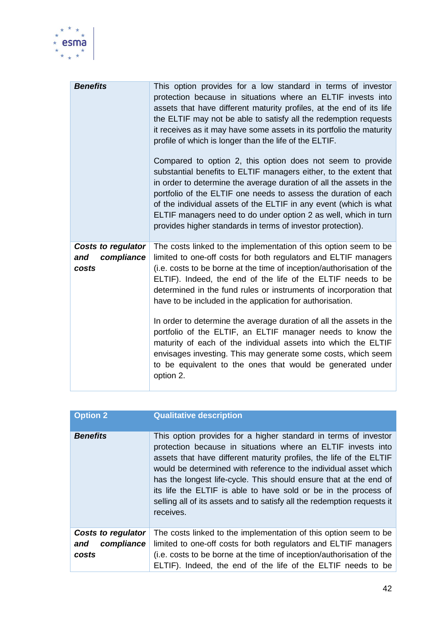

| <b>Benefits</b>                                         | This option provides for a low standard in terms of investor<br>protection because in situations where an ELTIF invests into<br>assets that have different maturity profiles, at the end of its life<br>the ELTIF may not be able to satisfy all the redemption requests<br>it receives as it may have some assets in its portfolio the maturity<br>profile of which is longer than the life of the ELTIF.<br>Compared to option 2, this option does not seem to provide<br>substantial benefits to ELTIF managers either, to the extent that<br>in order to determine the average duration of all the assets in the<br>portfolio of the ELTIF one needs to assess the duration of each<br>of the individual assets of the ELTIF in any event (which is what<br>ELTIF managers need to do under option 2 as well, which in turn<br>provides higher standards in terms of investor protection). |
|---------------------------------------------------------|------------------------------------------------------------------------------------------------------------------------------------------------------------------------------------------------------------------------------------------------------------------------------------------------------------------------------------------------------------------------------------------------------------------------------------------------------------------------------------------------------------------------------------------------------------------------------------------------------------------------------------------------------------------------------------------------------------------------------------------------------------------------------------------------------------------------------------------------------------------------------------------------|
| <b>Costs to regulator</b><br>compliance<br>and<br>costs | The costs linked to the implementation of this option seem to be<br>limited to one-off costs for both regulators and ELTIF managers<br>(i.e. costs to be borne at the time of inception/authorisation of the<br>ELTIF). Indeed, the end of the life of the ELTIF needs to be<br>determined in the fund rules or instruments of incorporation that<br>have to be included in the application for authorisation.<br>In order to determine the average duration of all the assets in the<br>portfolio of the ELTIF, an ELTIF manager needs to know the<br>maturity of each of the individual assets into which the ELTIF<br>envisages investing. This may generate some costs, which seem<br>to be equivalent to the ones that would be generated under<br>option 2.                                                                                                                              |

| <b>Option 2</b>                                  | <b>Qualitative description</b>                                                                                                                                                                                                                                                                                                                                                                                                                                                                             |
|--------------------------------------------------|------------------------------------------------------------------------------------------------------------------------------------------------------------------------------------------------------------------------------------------------------------------------------------------------------------------------------------------------------------------------------------------------------------------------------------------------------------------------------------------------------------|
| <b>Benefits</b>                                  | This option provides for a higher standard in terms of investor<br>protection because in situations where an ELTIF invests into<br>assets that have different maturity profiles, the life of the ELTIF<br>would be determined with reference to the individual asset which<br>has the longest life-cycle. This should ensure that at the end of<br>its life the ELTIF is able to have sold or be in the process of<br>selling all of its assets and to satisfy all the redemption requests it<br>receives. |
| Costs to regulator<br>compliance<br>and<br>costs | The costs linked to the implementation of this option seem to be<br>limited to one-off costs for both regulators and ELTIF managers<br>(i.e. costs to be borne at the time of inception/authorisation of the<br>ELTIF). Indeed, the end of the life of the ELTIF needs to be                                                                                                                                                                                                                               |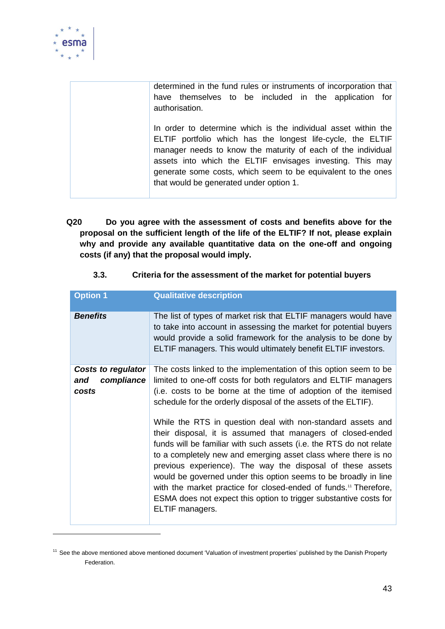

1

determined in the fund rules or instruments of incorporation that have themselves to be included in the application for authorisation.

In order to determine which is the individual asset within the ELTIF portfolio which has the longest life-cycle, the ELTIF manager needs to know the maturity of each of the individual assets into which the ELTIF envisages investing. This may generate some costs, which seem to be equivalent to the ones that would be generated under option 1.

**Q20 Do you agree with the assessment of costs and benefits above for the proposal on the sufficient length of the life of the ELTIF? If not, please explain why and provide any available quantitative data on the one-off and ongoing costs (if any) that the proposal would imply.**

| Option 1                                                | <b>Qualitative description</b>                                                                                                                                                                                                                                                                                                                                                                                                                                                                                                                                               |
|---------------------------------------------------------|------------------------------------------------------------------------------------------------------------------------------------------------------------------------------------------------------------------------------------------------------------------------------------------------------------------------------------------------------------------------------------------------------------------------------------------------------------------------------------------------------------------------------------------------------------------------------|
| <b>Benefits</b>                                         | The list of types of market risk that ELTIF managers would have<br>to take into account in assessing the market for potential buyers<br>would provide a solid framework for the analysis to be done by<br>ELTIF managers. This would ultimately benefit ELTIF investors.                                                                                                                                                                                                                                                                                                     |
| <b>Costs to regulator</b><br>compliance<br>and<br>costs | The costs linked to the implementation of this option seem to be<br>limited to one-off costs for both regulators and ELTIF managers<br>(i.e. costs to be borne at the time of adoption of the itemised<br>schedule for the orderly disposal of the assets of the ELTIF).                                                                                                                                                                                                                                                                                                     |
|                                                         | While the RTS in question deal with non-standard assets and<br>their disposal, it is assumed that managers of closed-ended<br>funds will be familiar with such assets (i.e. the RTS do not relate<br>to a completely new and emerging asset class where there is no<br>previous experience). The way the disposal of these assets<br>would be governed under this option seems to be broadly in line<br>with the market practice for closed-ended of funds. <sup>11</sup> Therefore,<br>ESMA does not expect this option to trigger substantive costs for<br>ELTIF managers. |

**3.3. Criteria for the assessment of the market for potential buyers**

<sup>&</sup>lt;sup>11</sup> See the above mentioned above mentioned document 'Valuation of investment properties' published by the Danish Property Federation.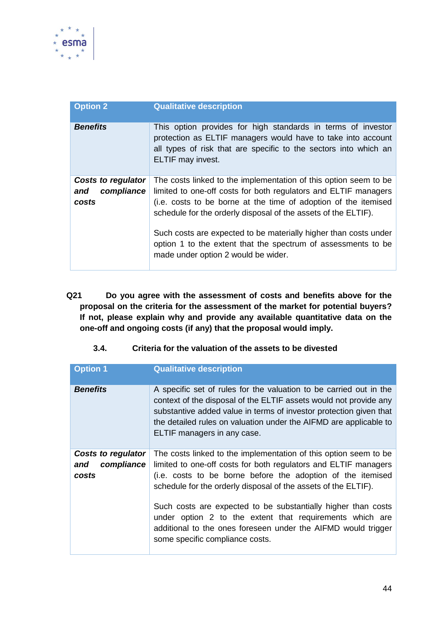

| <b>Option 2</b><br><b>Qualitative description</b>                                                                                                                                                                                                                                                                                                                                                                                                                 |  |
|-------------------------------------------------------------------------------------------------------------------------------------------------------------------------------------------------------------------------------------------------------------------------------------------------------------------------------------------------------------------------------------------------------------------------------------------------------------------|--|
| <b>Benefits</b><br>This option provides for high standards in terms of investor<br>protection as ELTIF managers would have to take into account<br>all types of risk that are specific to the sectors into which an<br>ELTIF may invest.                                                                                                                                                                                                                          |  |
| The costs linked to the implementation of this option seem to be<br>Costs to regulator<br>limited to one-off costs for both regulators and ELTIF managers<br>compliance<br>and<br>(i.e. costs to be borne at the time of adoption of the itemised<br>costs<br>schedule for the orderly disposal of the assets of the ELTIF).<br>Such costs are expected to be materially higher than costs under<br>option 1 to the extent that the spectrum of assessments to be |  |
| made under option 2 would be wider.                                                                                                                                                                                                                                                                                                                                                                                                                               |  |

**Q21 Do you agree with the assessment of costs and benefits above for the proposal on the criteria for the assessment of the market for potential buyers? If not, please explain why and provide any available quantitative data on the one-off and ongoing costs (if any) that the proposal would imply.**

## **3.4. Criteria for the valuation of the assets to be divested**

| <b>Option 1</b>                                  | <b>Qualitative description</b>                                                                                                                                                                                                                                                                                    |
|--------------------------------------------------|-------------------------------------------------------------------------------------------------------------------------------------------------------------------------------------------------------------------------------------------------------------------------------------------------------------------|
| <b>Benefits</b>                                  | A specific set of rules for the valuation to be carried out in the<br>context of the disposal of the ELTIF assets would not provide any<br>substantive added value in terms of investor protection given that<br>the detailed rules on valuation under the AIFMD are applicable to<br>ELTIF managers in any case. |
| Costs to regulator<br>compliance<br>and<br>costs | The costs linked to the implementation of this option seem to be<br>limited to one-off costs for both regulators and ELTIF managers<br>(i.e. costs to be borne before the adoption of the itemised<br>schedule for the orderly disposal of the assets of the ELTIF).                                              |
|                                                  | Such costs are expected to be substantially higher than costs<br>under option 2 to the extent that requirements which are<br>additional to the ones foreseen under the AIFMD would trigger<br>some specific compliance costs.                                                                                     |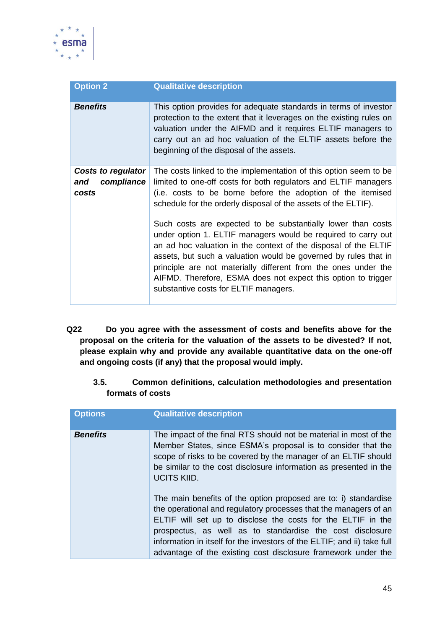

| <b>Option 2</b>                                         | <b>Qualitative description</b>                                                                                                                                                                                                                                                                                                                                                                                                                                           |
|---------------------------------------------------------|--------------------------------------------------------------------------------------------------------------------------------------------------------------------------------------------------------------------------------------------------------------------------------------------------------------------------------------------------------------------------------------------------------------------------------------------------------------------------|
| <b>Benefits</b>                                         | This option provides for adequate standards in terms of investor<br>protection to the extent that it leverages on the existing rules on<br>valuation under the AIFMD and it requires ELTIF managers to<br>carry out an ad hoc valuation of the ELTIF assets before the<br>beginning of the disposal of the assets.                                                                                                                                                       |
| <b>Costs to regulator</b><br>compliance<br>and<br>costs | The costs linked to the implementation of this option seem to be<br>limited to one-off costs for both regulators and ELTIF managers<br>(i.e. costs to be borne before the adoption of the itemised<br>schedule for the orderly disposal of the assets of the ELTIF).<br>Such costs are expected to be substantially lower than costs<br>under option 1. ELTIF managers would be required to carry out<br>an ad hoc valuation in the context of the disposal of the ELTIF |
|                                                         | assets, but such a valuation would be governed by rules that in<br>principle are not materially different from the ones under the<br>AIFMD. Therefore, ESMA does not expect this option to trigger<br>substantive costs for ELTIF managers.                                                                                                                                                                                                                              |

- **Q22 Do you agree with the assessment of costs and benefits above for the proposal on the criteria for the valuation of the assets to be divested? If not, please explain why and provide any available quantitative data on the one-off and ongoing costs (if any) that the proposal would imply.**
	- **3.5. Common definitions, calculation methodologies and presentation formats of costs**

| <b>Options</b>  | <b>Qualitative description</b>                                                                                                                                                                                                                                                                                                                                                                               |
|-----------------|--------------------------------------------------------------------------------------------------------------------------------------------------------------------------------------------------------------------------------------------------------------------------------------------------------------------------------------------------------------------------------------------------------------|
| <b>Benefits</b> | The impact of the final RTS should not be material in most of the<br>Member States, since ESMA's proposal is to consider that the<br>scope of risks to be covered by the manager of an ELTIF should<br>be similar to the cost disclosure information as presented in the<br><b>UCITS KIID.</b>                                                                                                               |
|                 | The main benefits of the option proposed are to: i) standardise<br>the operational and regulatory processes that the managers of an<br>ELTIF will set up to disclose the costs for the ELTIF in the<br>prospectus, as well as to standardise the cost disclosure<br>information in itself for the investors of the ELTIF; and ii) take full<br>advantage of the existing cost disclosure framework under the |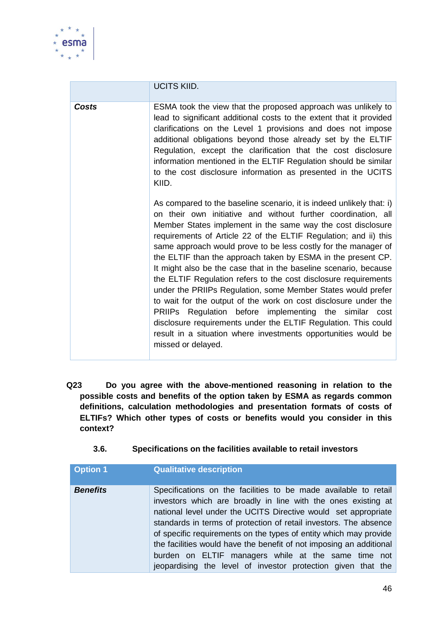

|       | <b>UCITS KIID.</b>                                                                                                                                                                                                                                                                                                                                                                                                                                                                                                                                                                                                                                                                                                                                                                                                                                                                                       |
|-------|----------------------------------------------------------------------------------------------------------------------------------------------------------------------------------------------------------------------------------------------------------------------------------------------------------------------------------------------------------------------------------------------------------------------------------------------------------------------------------------------------------------------------------------------------------------------------------------------------------------------------------------------------------------------------------------------------------------------------------------------------------------------------------------------------------------------------------------------------------------------------------------------------------|
| Costs | ESMA took the view that the proposed approach was unlikely to<br>lead to significant additional costs to the extent that it provided<br>clarifications on the Level 1 provisions and does not impose<br>additional obligations beyond those already set by the ELTIF<br>Regulation, except the clarification that the cost disclosure<br>information mentioned in the ELTIF Regulation should be similar<br>to the cost disclosure information as presented in the UCITS<br>KIID.                                                                                                                                                                                                                                                                                                                                                                                                                        |
|       | As compared to the baseline scenario, it is indeed unlikely that: i)<br>on their own initiative and without further coordination, all<br>Member States implement in the same way the cost disclosure<br>requirements of Article 22 of the ELTIF Regulation; and ii) this<br>same approach would prove to be less costly for the manager of<br>the ELTIF than the approach taken by ESMA in the present CP.<br>It might also be the case that in the baseline scenario, because<br>the ELTIF Regulation refers to the cost disclosure requirements<br>under the PRIIPs Regulation, some Member States would prefer<br>to wait for the output of the work on cost disclosure under the<br>PRIIPs Regulation before implementing the similar cost<br>disclosure requirements under the ELTIF Regulation. This could<br>result in a situation where investments opportunities would be<br>missed or delayed. |

- **Q23 Do you agree with the above-mentioned reasoning in relation to the possible costs and benefits of the option taken by ESMA as regards common definitions, calculation methodologies and presentation formats of costs of ELTIFs? Which other types of costs or benefits would you consider in this context?**
	- **3.6. Specifications on the facilities available to retail investors**

| <b>Option 1</b> | <b>Qualitative description</b>                                                                                                                                                                                                                                                                                                                                                                                                                                                                                                             |
|-----------------|--------------------------------------------------------------------------------------------------------------------------------------------------------------------------------------------------------------------------------------------------------------------------------------------------------------------------------------------------------------------------------------------------------------------------------------------------------------------------------------------------------------------------------------------|
| <b>Benefits</b> | Specifications on the facilities to be made available to retail<br>investors which are broadly in line with the ones existing at<br>national level under the UCITS Directive would set appropriate<br>standards in terms of protection of retail investors. The absence<br>of specific requirements on the types of entity which may provide<br>the facilities would have the benefit of not imposing an additional<br>burden on ELTIF managers while at the same time not<br>jeopardising the level of investor protection given that the |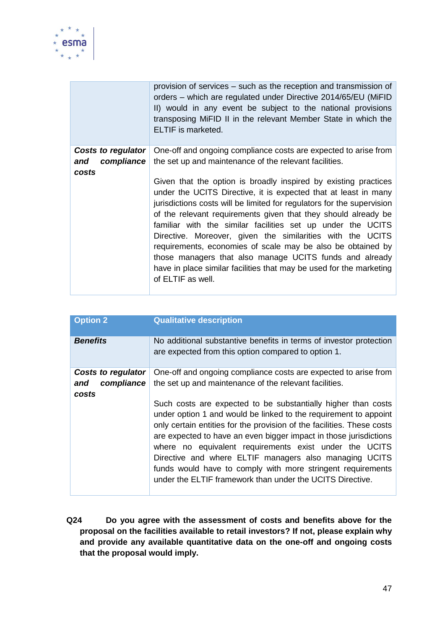

|                           | provision of services – such as the reception and transmission of<br>orders – which are regulated under Directive 2014/65/EU (MiFID<br>II) would in any event be subject to the national provisions<br>transposing MiFID II in the relevant Member State in which the<br><b>ELTIF</b> is marketed.                                                                                                                                                                                                                                                                                                                                |
|---------------------------|-----------------------------------------------------------------------------------------------------------------------------------------------------------------------------------------------------------------------------------------------------------------------------------------------------------------------------------------------------------------------------------------------------------------------------------------------------------------------------------------------------------------------------------------------------------------------------------------------------------------------------------|
| <b>Costs to regulator</b> | One-off and ongoing compliance costs are expected to arise from                                                                                                                                                                                                                                                                                                                                                                                                                                                                                                                                                                   |
| compliance<br>and         | the set up and maintenance of the relevant facilities.                                                                                                                                                                                                                                                                                                                                                                                                                                                                                                                                                                            |
| costs                     |                                                                                                                                                                                                                                                                                                                                                                                                                                                                                                                                                                                                                                   |
|                           | Given that the option is broadly inspired by existing practices<br>under the UCITS Directive, it is expected that at least in many<br>jurisdictions costs will be limited for regulators for the supervision<br>of the relevant requirements given that they should already be<br>familiar with the similar facilities set up under the UCITS<br>Directive. Moreover, given the similarities with the UCITS<br>requirements, economies of scale may be also be obtained by<br>those managers that also manage UCITS funds and already<br>have in place similar facilities that may be used for the marketing<br>of ELTIF as well. |

| <b>Option 2</b>                                         | <b>Qualitative description</b>                                                                                                                                                                                                                                                                                                                                                                                                                                                                                                                                                                                                                                |
|---------------------------------------------------------|---------------------------------------------------------------------------------------------------------------------------------------------------------------------------------------------------------------------------------------------------------------------------------------------------------------------------------------------------------------------------------------------------------------------------------------------------------------------------------------------------------------------------------------------------------------------------------------------------------------------------------------------------------------|
| <b>Benefits</b>                                         | No additional substantive benefits in terms of investor protection<br>are expected from this option compared to option 1.                                                                                                                                                                                                                                                                                                                                                                                                                                                                                                                                     |
| <b>Costs to regulator</b><br>compliance<br>and<br>costs | One-off and ongoing compliance costs are expected to arise from<br>the set up and maintenance of the relevant facilities.<br>Such costs are expected to be substantially higher than costs<br>under option 1 and would be linked to the requirement to appoint<br>only certain entities for the provision of the facilities. These costs<br>are expected to have an even bigger impact in those jurisdictions<br>where no equivalent requirements exist under the UCITS<br>Directive and where ELTIF managers also managing UCITS<br>funds would have to comply with more stringent requirements<br>under the ELTIF framework than under the UCITS Directive. |

**Q24 Do you agree with the assessment of costs and benefits above for the proposal on the facilities available to retail investors? If not, please explain why and provide any available quantitative data on the one-off and ongoing costs that the proposal would imply.**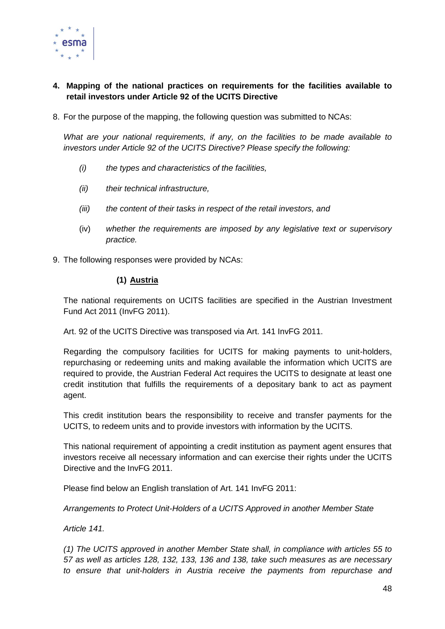

## **4. Mapping of the national practices on requirements for the facilities available to retail investors under Article 92 of the UCITS Directive**

8. For the purpose of the mapping, the following question was submitted to NCAs:

*What are your national requirements, if any, on the facilities to be made available to investors under Article 92 of the UCITS Directive? Please specify the following:*

- *(i) the types and characteristics of the facilities,*
- *(ii) their technical infrastructure,*
- *(iii) the content of their tasks in respect of the retail investors, and*
- (iv) *whether the requirements are imposed by any legislative text or supervisory practice.*
- 9. The following responses were provided by NCAs:

#### **(1) Austria**

The national requirements on UCITS facilities are specified in the Austrian Investment Fund Act 2011 (InvFG 2011).

Art. 92 of the UCITS Directive was transposed via Art. 141 InvFG 2011.

Regarding the compulsory facilities for UCITS for making payments to unit-holders, repurchasing or redeeming units and making available the information which UCITS are required to provide, the Austrian Federal Act requires the UCITS to designate at least one credit institution that fulfills the requirements of a depositary bank to act as payment agent.

This credit institution bears the responsibility to receive and transfer payments for the UCITS, to redeem units and to provide investors with information by the UCITS.

This national requirement of appointing a credit institution as payment agent ensures that investors receive all necessary information and can exercise their rights under the UCITS Directive and the InvFG 2011.

Please find below an English translation of Art. 141 InvFG 2011:

*Arrangements to Protect Unit-Holders of a UCITS Approved in another Member State*

*Article 141.*

*(1) The UCITS approved in another Member State shall, in compliance with articles 55 to 57 as well as articles 128, 132, 133, 136 and 138, take such measures as are necessary to ensure that unit-holders in Austria receive the payments from repurchase and*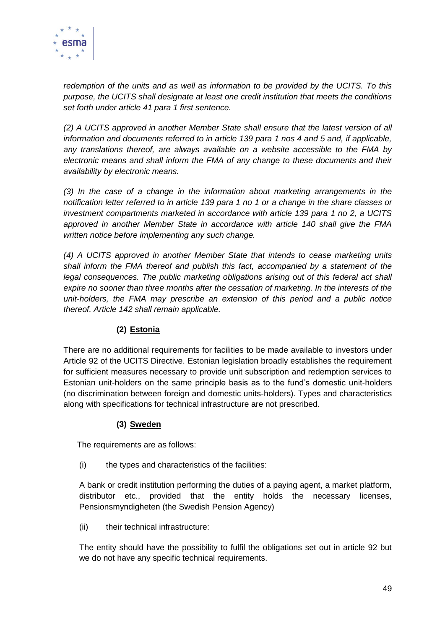

*redemption of the units and as well as information to be provided by the UCITS. To this purpose, the UCITS shall designate at least one credit institution that meets the conditions set forth under article 41 para 1 first sentence.*

*(2) A UCITS approved in another Member State shall ensure that the latest version of all information and documents referred to in article 139 para 1 nos 4 and 5 and, if applicable, any translations thereof, are always available on a website accessible to the FMA by electronic means and shall inform the FMA of any change to these documents and their availability by electronic means.*

*(3) In the case of a change in the information about marketing arrangements in the notification letter referred to in article 139 para 1 no 1 or a change in the share classes or investment compartments marketed in accordance with article 139 para 1 no 2, a UCITS approved in another Member State in accordance with article 140 shall give the FMA written notice before implementing any such change.*

*(4) A UCITS approved in another Member State that intends to cease marketing units shall inform the FMA thereof and publish this fact, accompanied by a statement of the*  legal consequences. The public marketing obligations arising out of this federal act shall *expire no sooner than three months after the cessation of marketing. In the interests of the unit-holders, the FMA may prescribe an extension of this period and a public notice thereof. Article 142 shall remain applicable.*

## **(2) Estonia**

There are no additional requirements for facilities to be made available to investors under Article 92 of the UCITS Directive. Estonian legislation broadly establishes the requirement for sufficient measures necessary to provide unit subscription and redemption services to Estonian unit-holders on the same principle basis as to the fund's domestic unit-holders (no discrimination between foreign and domestic units-holders). Types and characteristics along with specifications for technical infrastructure are not prescribed.

## **(3) Sweden**

The requirements are as follows:

(i) the types and characteristics of the facilities:

A bank or credit institution performing the duties of a paying agent, a market platform, distributor etc., provided that the entity holds the necessary licenses, Pensionsmyndigheten (the Swedish Pension Agency)

(ii) their technical infrastructure:

The entity should have the possibility to fulfil the obligations set out in article 92 but we do not have any specific technical requirements.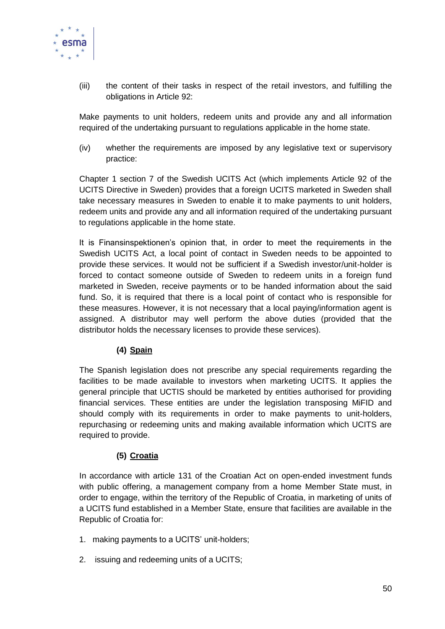

(iii) the content of their tasks in respect of the retail investors, and fulfilling the obligations in Article 92:

Make payments to unit holders, redeem units and provide any and all information required of the undertaking pursuant to regulations applicable in the home state.

(iv) whether the requirements are imposed by any legislative text or supervisory practice:

Chapter 1 section 7 of the Swedish UCITS Act (which implements Article 92 of the UCITS Directive in Sweden) provides that a foreign UCITS marketed in Sweden shall take necessary measures in Sweden to enable it to make payments to unit holders, redeem units and provide any and all information required of the undertaking pursuant to regulations applicable in the home state.

It is Finansinspektionen's opinion that, in order to meet the requirements in the Swedish UCITS Act, a local point of contact in Sweden needs to be appointed to provide these services. It would not be sufficient if a Swedish investor/unit-holder is forced to contact someone outside of Sweden to redeem units in a foreign fund marketed in Sweden, receive payments or to be handed information about the said fund. So, it is required that there is a local point of contact who is responsible for these measures. However, it is not necessary that a local paying/information agent is assigned. A distributor may well perform the above duties (provided that the distributor holds the necessary licenses to provide these services).

## **(4) Spain**

The Spanish legislation does not prescribe any special requirements regarding the facilities to be made available to investors when marketing UCITS. It applies the general principle that UCTIS should be marketed by entities authorised for providing financial services. These entities are under the legislation transposing MiFID and should comply with its requirements in order to make payments to unit-holders, repurchasing or redeeming units and making available information which UCITS are required to provide.

## **(5) Croatia**

In accordance with article 131 of the Croatian Act on open-ended investment funds with public offering, a management company from a home Member State must, in order to engage, within the territory of the Republic of Croatia, in marketing of units of a UCITS fund established in a Member State, ensure that facilities are available in the Republic of Croatia for:

- 1. making payments to a UCITS' unit-holders;
- 2. issuing and redeeming units of a UCITS;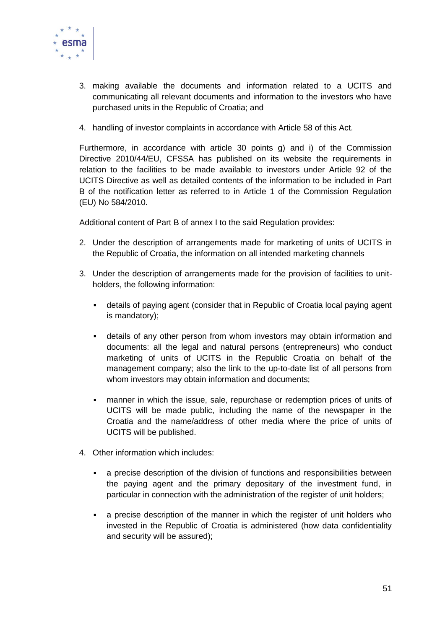

- 3. making available the documents and information related to a UCITS and communicating all relevant documents and information to the investors who have purchased units in the Republic of Croatia; and
- 4. handling of investor complaints in accordance with Article 58 of this Act.

Furthermore, in accordance with article 30 points g) and i) of the Commission Directive 2010/44/EU, CFSSA has published on its website the requirements in relation to the facilities to be made available to investors under Article 92 of the UCITS Directive as well as detailed contents of the information to be included in Part B of the notification letter as referred to in Article 1 of the Commission Regulation (EU) No 584/2010.

Additional content of Part B of annex I to the said Regulation provides:

- 2. Under the description of arrangements made for marketing of units of UCITS in the Republic of Croatia, the information on all intended marketing channels
- 3. Under the description of arrangements made for the provision of facilities to unitholders, the following information:
	- details of paying agent (consider that in Republic of Croatia local paying agent is mandatory);
	- details of any other person from whom investors may obtain information and documents: all the legal and natural persons (entrepreneurs) who conduct marketing of units of UCITS in the Republic Croatia on behalf of the management company; also the link to the up-to-date list of all persons from whom investors may obtain information and documents;
	- manner in which the issue, sale, repurchase or redemption prices of units of UCITS will be made public, including the name of the newspaper in the Croatia and the name/address of other media where the price of units of UCITS will be published.
- 4. Other information which includes:
	- a precise description of the division of functions and responsibilities between the paying agent and the primary depositary of the investment fund, in particular in connection with the administration of the register of unit holders;
	- a precise description of the manner in which the register of unit holders who invested in the Republic of Croatia is administered (how data confidentiality and security will be assured);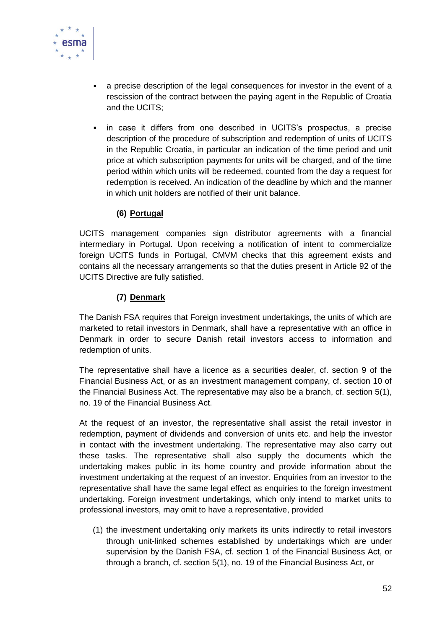

- a precise description of the legal consequences for investor in the event of a rescission of the contract between the paying agent in the Republic of Croatia and the UCITS;
- in case it differs from one described in UCITS's prospectus, a precise description of the procedure of subscription and redemption of units of UCITS in the Republic Croatia, in particular an indication of the time period and unit price at which subscription payments for units will be charged, and of the time period within which units will be redeemed, counted from the day a request for redemption is received. An indication of the deadline by which and the manner in which unit holders are notified of their unit balance.

## **(6) Portugal**

UCITS management companies sign distributor agreements with a financial intermediary in Portugal. Upon receiving a notification of intent to commercialize foreign UCITS funds in Portugal, CMVM checks that this agreement exists and contains all the necessary arrangements so that the duties present in Article 92 of the UCITS Directive are fully satisfied.

## **(7) Denmark**

The Danish FSA requires that Foreign investment undertakings, the units of which are marketed to retail investors in Denmark, shall have a representative with an office in Denmark in order to secure Danish retail investors access to information and redemption of units.

The representative shall have a licence as a securities dealer, cf. section 9 of the Financial Business Act, or as an investment management company, cf. section 10 of the Financial Business Act. The representative may also be a branch, cf. section 5(1), no. 19 of the Financial Business Act.

At the request of an investor, the representative shall assist the retail investor in redemption, payment of dividends and conversion of units etc. and help the investor in contact with the investment undertaking. The representative may also carry out these tasks. The representative shall also supply the documents which the undertaking makes public in its home country and provide information about the investment undertaking at the request of an investor. Enquiries from an investor to the representative shall have the same legal effect as enquiries to the foreign investment undertaking. Foreign investment undertakings, which only intend to market units to professional investors, may omit to have a representative, provided

(1) the investment undertaking only markets its units indirectly to retail investors through unit-linked schemes established by undertakings which are under supervision by the Danish FSA, cf. section 1 of the Financial Business Act, or through a branch, cf. section 5(1), no. 19 of the Financial Business Act, or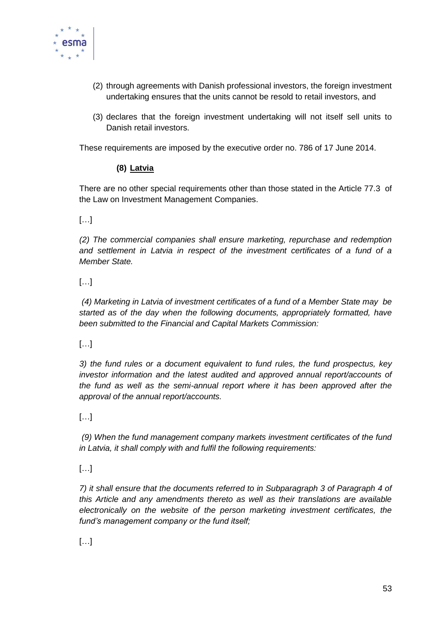

- (2) through agreements with Danish professional investors, the foreign investment undertaking ensures that the units cannot be resold to retail investors, and
- (3) declares that the foreign investment undertaking will not itself sell units to Danish retail investors.

These requirements are imposed by the executive order no. 786 of 17 June 2014.

## **(8) Latvia**

There are no other special requirements other than those stated in the Article 77.3 of the Law on Investment Management Companies.

 $[...]$ 

*(2) The commercial companies shall ensure marketing, repurchase and redemption and settlement in Latvia in respect of the investment certificates of a fund of a Member State.*

[…]

*(4) Marketing in Latvia of investment certificates of a fund of a Member State may be started as of the day when the following documents, appropriately formatted, have been submitted to the Financial and Capital Markets Commission:*

[…]

*3) the fund rules or a document equivalent to fund rules, the fund prospectus, key investor information and the latest audited and approved annual report/accounts of the fund as well as the semi-annual report where it has been approved after the approval of the annual report/accounts.*

 $[...]$ 

*(9) When the fund management company markets investment certificates of the fund in Latvia, it shall comply with and fulfil the following requirements:*

[…]

*7) it shall ensure that the documents referred to in Subparagraph 3 of Paragraph 4 of this Article and any amendments thereto as well as their translations are available electronically on the website of the person marketing investment certificates, the fund's management company or the fund itself;*

[…]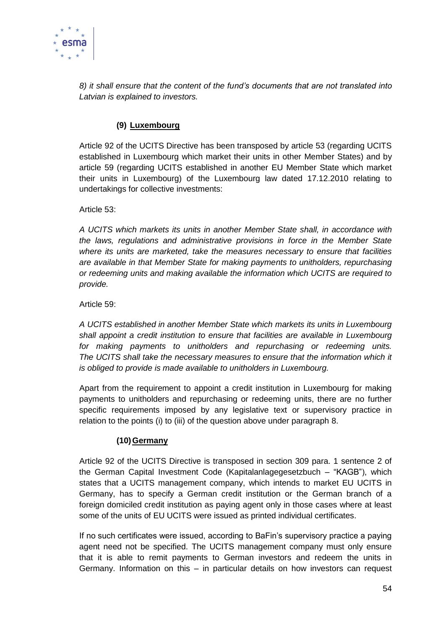

*8) it shall ensure that the content of the fund's documents that are not translated into Latvian is explained to investors.*

## **(9) Luxembourg**

Article 92 of the UCITS Directive has been transposed by article 53 (regarding UCITS established in Luxembourg which market their units in other Member States) and by article 59 (regarding UCITS established in another EU Member State which market their units in Luxembourg) of the Luxembourg law dated 17.12.2010 relating to undertakings for collective investments:

Article 53:

*A UCITS which markets its units in another Member State shall, in accordance with the laws, regulations and administrative provisions in force in the Member State where its units are marketed, take the measures necessary to ensure that facilities are available in that Member State for making payments to unitholders, repurchasing or redeeming units and making available the information which UCITS are required to provide.* 

Article 59:

*A UCITS established in another Member State which markets its units in Luxembourg shall appoint a credit institution to ensure that facilities are available in Luxembourg for making payments to unitholders and repurchasing or redeeming units. The UCITS shall take the necessary measures to ensure that the information which it is obliged to provide is made available to unitholders in Luxembourg.* 

Apart from the requirement to appoint a credit institution in Luxembourg for making payments to unitholders and repurchasing or redeeming units, there are no further specific requirements imposed by any legislative text or supervisory practice in relation to the points (i) to (iii) of the question above under paragraph 8.

## **(10)Germany**

Article 92 of the UCITS Directive is transposed in section 309 para. 1 sentence 2 of the German Capital Investment Code (Kapitalanlagegesetzbuch – "KAGB"), which states that a UCITS management company, which intends to market EU UCITS in Germany, has to specify a German credit institution or the German branch of a foreign domiciled credit institution as paying agent only in those cases where at least some of the units of EU UCITS were issued as printed individual certificates.

If no such certificates were issued, according to BaFin's supervisory practice a paying agent need not be specified. The UCITS management company must only ensure that it is able to remit payments to German investors and redeem the units in Germany. Information on this – in particular details on how investors can request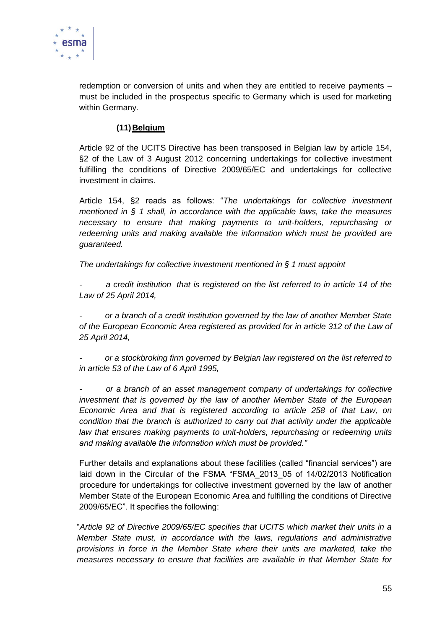

redemption or conversion of units and when they are entitled to receive payments – must be included in the prospectus specific to Germany which is used for marketing within Germany.

#### **(11)Belgium**

Article 92 of the UCITS Directive has been transposed in Belgian law by article 154, §2 of the Law of 3 August 2012 concerning undertakings for collective investment fulfilling the conditions of Directive 2009/65/EC and undertakings for collective investment in claims.

Article 154, §2 reads as follows: "*The undertakings for collective investment mentioned in § 1 shall, in accordance with the applicable laws, take the measures necessary to ensure that making payments to unit-holders, repurchasing or redeeming units and making available the information which must be provided are guaranteed.*

*The undertakings for collective investment mentioned in § 1 must appoint* 

*- a credit institution that is registered on the list referred to in article 14 of the Law of 25 April 2014,* 

*- or a branch of a credit institution governed by the law of another Member State of the European Economic Area registered as provided for in article 312 of the Law of 25 April 2014,* 

*- or a stockbroking firm governed by Belgian law registered on the list referred to in article 53 of the Law of 6 April 1995,* 

*- or a branch of an asset management company of undertakings for collective investment that is governed by the law of another Member State of the European Economic Area and that is registered according to article 258 of that Law, on condition that the branch is authorized to carry out that activity under the applicable law that ensures making payments to unit-holders, repurchasing or redeeming units and making available the information which must be provided."*

Further details and explanations about these facilities (called "financial services") are laid down in the Circular of the FSMA "FSMA 2013 05 of 14/02/2013 Notification procedure for undertakings for collective investment governed by the law of another Member State of the European Economic Area and fulfilling the conditions of Directive 2009/65/EC". It specifies the following:

"*Article 92 of Directive 2009/65/EC specifies that UCITS which market their units in a Member State must, in accordance with the laws, regulations and administrative provisions in force in the Member State where their units are marketed, take the measures necessary to ensure that facilities are available in that Member State for*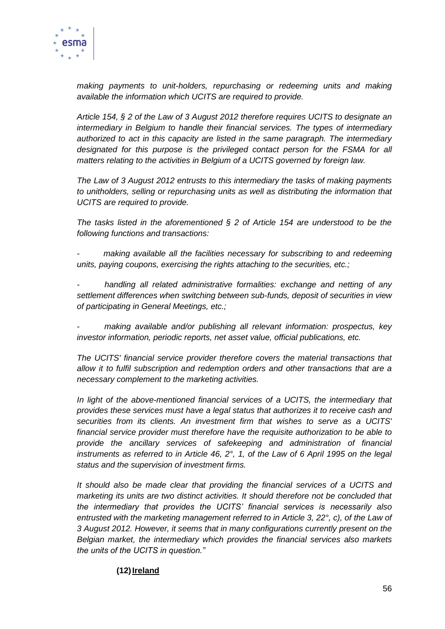

*making payments to unit-holders, repurchasing or redeeming units and making available the information which UCITS are required to provide.*

*Article 154, § 2 of the Law of 3 August 2012 therefore requires UCITS to designate an intermediary in Belgium to handle their financial services. The types of intermediary authorized to act in this capacity are listed in the same paragraph. The intermediary designated for this purpose is the privileged contact person for the FSMA for all matters relating to the activities in Belgium of a UCITS governed by foreign law.*

*The Law of 3 August 2012 entrusts to this intermediary the tasks of making payments to unitholders, selling or repurchasing units as well as distributing the information that UCITS are required to provide.* 

*The tasks listed in the aforementioned § 2 of Article 154 are understood to be the following functions and transactions:*

*- making available all the facilities necessary for subscribing to and redeeming units, paying coupons, exercising the rights attaching to the securities, etc.;*

*- handling all related administrative formalities: exchange and netting of any settlement differences when switching between sub-funds, deposit of securities in view of participating in General Meetings, etc.;*

*- making available and/or publishing all relevant information: prospectus, key investor information, periodic reports, net asset value, official publications, etc.*

*The UCITS' financial service provider therefore covers the material transactions that allow it to fulfil subscription and redemption orders and other transactions that are a necessary complement to the marketing activities.*

*In light of the above-mentioned financial services of a UCITS, the intermediary that provides these services must have a legal status that authorizes it to receive cash and securities from its clients. An investment firm that wishes to serve as a UCITS' financial service provider must therefore have the requisite authorization to be able to provide the ancillary services of safekeeping and administration of financial instruments as referred to in Article 46, 2°, 1, of the Law of 6 April 1995 on the legal status and the supervision of investment firms.*

*It should also be made clear that providing the financial services of a UCITS and marketing its units are two distinct activities. It should therefore not be concluded that the intermediary that provides the UCITS' financial services is necessarily also entrusted with the marketing management referred to in Article 3, 22°, c), of the Law of 3 August 2012. However, it seems that in many configurations currently present on the Belgian market, the intermediary which provides the financial services also markets the units of the UCITS in question."*

## **(12)Ireland**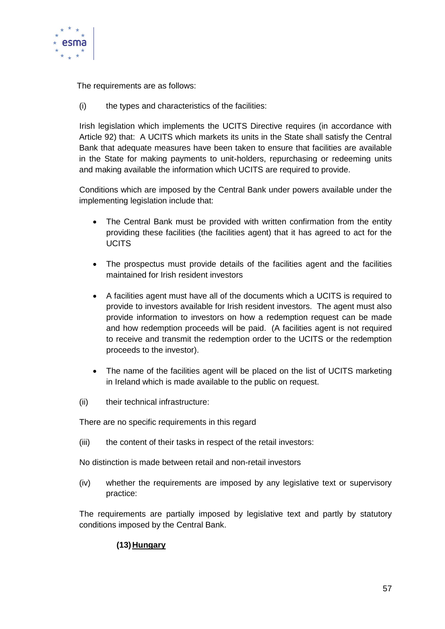

The requirements are as follows:

(i) the types and characteristics of the facilities:

Irish legislation which implements the UCITS Directive requires (in accordance with Article 92) that: A UCITS which markets its units in the State shall satisfy the Central Bank that adequate measures have been taken to ensure that facilities are available in the State for making payments to unit-holders, repurchasing or redeeming units and making available the information which UCITS are required to provide.

Conditions which are imposed by the Central Bank under powers available under the implementing legislation include that:

- The Central Bank must be provided with written confirmation from the entity providing these facilities (the facilities agent) that it has agreed to act for the UCITS
- The prospectus must provide details of the facilities agent and the facilities maintained for Irish resident investors
- A facilities agent must have all of the documents which a UCITS is required to provide to investors available for Irish resident investors. The agent must also provide information to investors on how a redemption request can be made and how redemption proceeds will be paid. (A facilities agent is not required to receive and transmit the redemption order to the UCITS or the redemption proceeds to the investor).
- The name of the facilities agent will be placed on the list of UCITS marketing in Ireland which is made available to the public on request.
- (ii) their technical infrastructure:

There are no specific requirements in this regard

(iii) the content of their tasks in respect of the retail investors:

No distinction is made between retail and non-retail investors

(iv) whether the requirements are imposed by any legislative text or supervisory practice:

The requirements are partially imposed by legislative text and partly by statutory conditions imposed by the Central Bank.

## **(13)Hungary**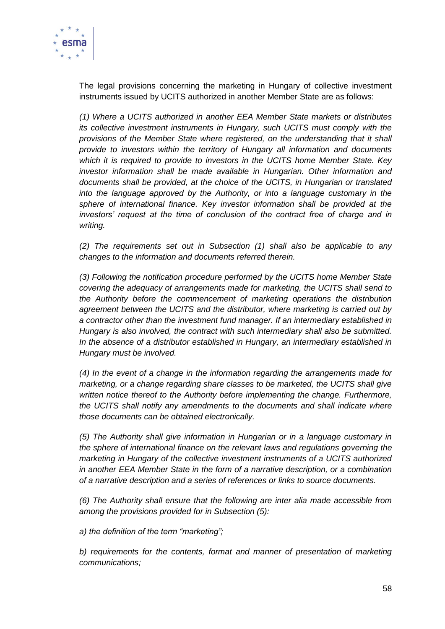

The legal provisions concerning the marketing in Hungary of collective investment instruments issued by UCITS authorized in another Member State are as follows:

*(1) Where a UCITS authorized in another EEA Member State markets or distributes its collective investment instruments in Hungary, such UCITS must comply with the provisions of the Member State where registered, on the understanding that it shall provide to investors within the territory of Hungary all information and documents which it is required to provide to investors in the UCITS home Member State. Key investor information shall be made available in Hungarian. Other information and documents shall be provided, at the choice of the UCITS, in Hungarian or translated into the language approved by the Authority, or into a language customary in the sphere of international finance. Key investor information shall be provided at the investors' request at the time of conclusion of the contract free of charge and in writing.*

*(2) The requirements set out in Subsection (1) shall also be applicable to any changes to the information and documents referred therein.*

*(3) Following the notification procedure performed by the UCITS home Member State covering the adequacy of arrangements made for marketing, the UCITS shall send to the Authority before the commencement of marketing operations the distribution agreement between the UCITS and the distributor, where marketing is carried out by a contractor other than the investment fund manager. If an intermediary established in Hungary is also involved, the contract with such intermediary shall also be submitted. In the absence of a distributor established in Hungary, an intermediary established in Hungary must be involved.*

*(4) In the event of a change in the information regarding the arrangements made for marketing, or a change regarding share classes to be marketed, the UCITS shall give written notice thereof to the Authority before implementing the change. Furthermore, the UCITS shall notify any amendments to the documents and shall indicate where those documents can be obtained electronically.*

*(5) The Authority shall give information in Hungarian or in a language customary in the sphere of international finance on the relevant laws and regulations governing the marketing in Hungary of the collective investment instruments of a UCITS authorized in another EEA Member State in the form of a narrative description, or a combination of a narrative description and a series of references or links to source documents.*

*(6) The Authority shall ensure that the following are inter alia made accessible from among the provisions provided for in Subsection (5):*

*a) the definition of the term "marketing";*

*b) requirements for the contents, format and manner of presentation of marketing communications;*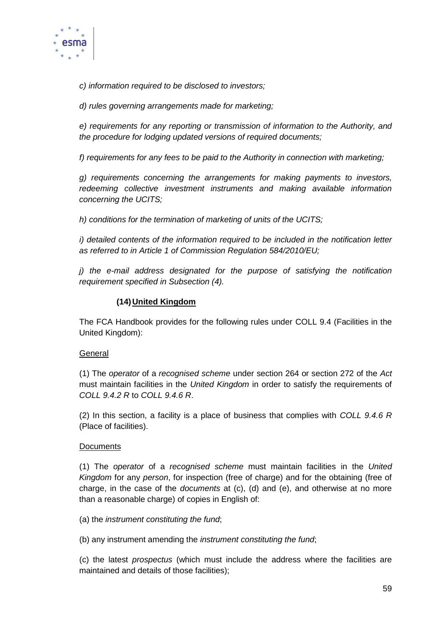

*c) information required to be disclosed to investors;*

*d) rules governing arrangements made for marketing;*

*e) requirements for any reporting or transmission of information to the Authority, and the procedure for lodging updated versions of required documents;*

*f) requirements for any fees to be paid to the Authority in connection with marketing;*

*g) requirements concerning the arrangements for making payments to investors, redeeming collective investment instruments and making available information concerning the UCITS;*

*h) conditions for the termination of marketing of units of the UCITS;*

*i) detailed contents of the information required to be included in the notification letter as referred to in Article 1 of Commission Regulation 584/2010/EU;*

*j) the e-mail address designated for the purpose of satisfying the notification requirement specified in Subsection (4).*

#### **(14)United Kingdom**

The FCA Handbook provides for the following rules under COLL 9.4 (Facilities in the United Kingdom):

#### **General**

(1) The *operator* of a *recognised scheme* under section 264 or section 272 of the *Act* must maintain facilities in the *United Kingdom* in order to satisfy the requirements of *COLL 9.4.2 R* to *COLL 9.4.6 R*.

(2) In this section, a facility is a place of business that complies with *COLL 9.4.6 R* (Place of facilities).

#### **Documents**

(1) The *operator* of a *recognised scheme* must maintain facilities in the *United Kingdom* for any *person*, for inspection (free of charge) and for the obtaining (free of charge, in the case of the *documents* at (c), (d) and (e), and otherwise at no more than a reasonable charge) of copies in English of:

#### (a) the *instrument constituting the fund*;

(b) any instrument amending the *instrument constituting the fund*;

(c) the latest *prospectus* (which must include the address where the facilities are maintained and details of those facilities);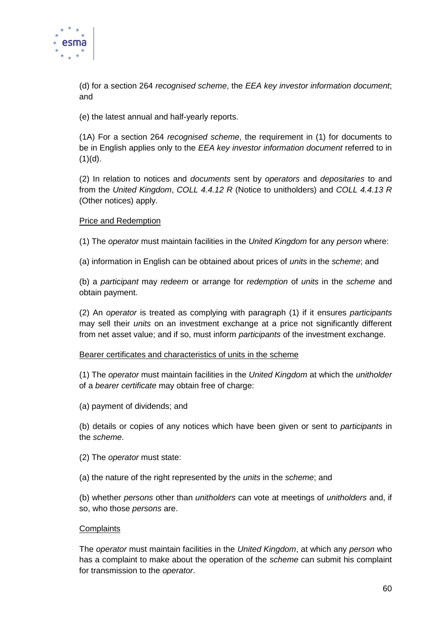

(d) for a section 264 *recognised scheme*, the *EEA key investor information document*; and

(e) the latest annual and half-yearly reports.

(1A) For a section 264 *recognised scheme*, the requirement in (1) for documents to be in English applies only to the *EEA key investor information document* referred to in  $(1)(d)$ .

(2) In relation to notices and *documents* sent by *operators* and *depositaries* to and from the *United Kingdom*, *COLL 4.4.12 R* (Notice to unitholders) and *COLL 4.4.13 R* (Other notices) apply.

#### Price and Redemption

(1) The *operator* must maintain facilities in the *United Kingdom* for any *person* where:

(a) information in English can be obtained about prices of *units* in the *scheme*; and

(b) a *participant* may *redeem* or arrange for *redemption* of *units* in the *scheme* and obtain payment.

(2) An *operator* is treated as complying with paragraph (1) if it ensures *participants* may sell their *units* on an investment exchange at a price not significantly different from net asset value; and if so, must inform *participants* of the investment exchange.

#### Bearer certificates and characteristics of units in the scheme

(1) The *operator* must maintain facilities in the *United Kingdom* at which the *unitholder* of a *bearer certificate* may obtain free of charge:

(a) payment of dividends; and

(b) details or copies of any notices which have been given or sent to *participants* in the *scheme*.

- (2) The *operator* must state:
- (a) the nature of the right represented by the *units* in the *scheme*; and

(b) whether *persons* other than *unitholders* can vote at meetings of *unitholders* and, if so, who those *persons* are.

#### **Complaints**

The *operator* must maintain facilities in the *United Kingdom*, at which any *person* who has a complaint to make about the operation of the *scheme* can submit his complaint for transmission to the *operator*.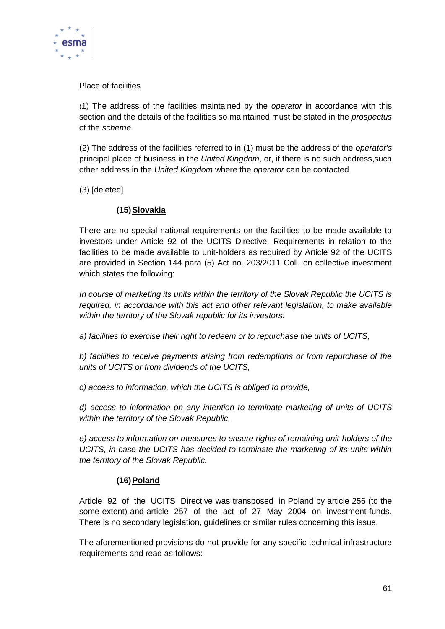

## Place of facilities

(1) The address of the facilities maintained by the *operator* in accordance with this section and the details of the facilities so maintained must be stated in the *prospectus* of the *scheme*.

(2) The address of the facilities referred to in (1) must be the address of the *operator's* principal place of business in the *United Kingdom*, or, if there is no such address,such other address in the *United Kingdom* where the *operator* can be contacted.

(3) [deleted]

#### **(15)Slovakia**

There are no special national requirements on the facilities to be made available to investors under Article 92 of the UCITS Directive. Requirements in relation to the facilities to be made available to unit-holders as required by Article 92 of the UCITS are provided in Section 144 para (5) Act no. 203/2011 Coll. on collective investment which states the following:

*In course of marketing its units within the territory of the Slovak Republic the UCITS is required, in accordance with this act and other relevant legislation, to make available within the territory of the Slovak republic for its investors:* 

*a) facilities to exercise their right to redeem or to repurchase the units of UCITS,* 

*b) facilities to receive payments arising from redemptions or from repurchase of the units of UCITS or from dividends of the UCITS,* 

*c) access to information, which the UCITS is obliged to provide,* 

*d) access to information on any intention to terminate marketing of units of UCITS within the territory of the Slovak Republic,* 

*e) access to information on measures to ensure rights of remaining unit-holders of the UCITS, in case the UCITS has decided to terminate the marketing of its units within the territory of the Slovak Republic.*

## **(16)Poland**

Article 92 of the UCITS Directive was transposed in Poland by article 256 (to the some extent) and article 257 of the act of 27 May 2004 on investment funds. There is no secondary legislation, guidelines or similar rules concerning this issue.

The aforementioned provisions do not provide for any specific technical infrastructure requirements and read as follows: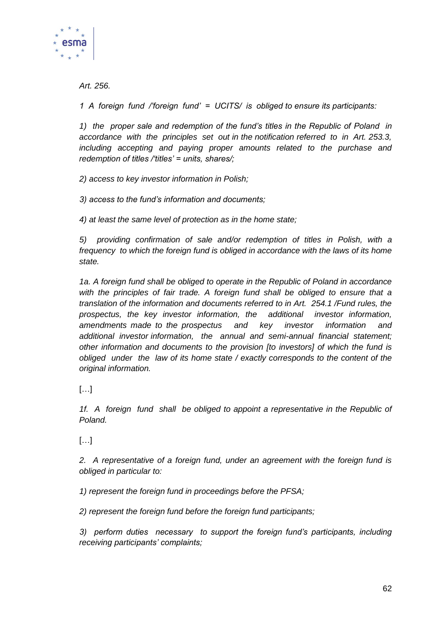

*Art. 256.*

*1 A foreign fund /'foreign fund' = UCITS/ is obliged to ensure its participants:*

*1) the proper sale and redemption of the fund's titles in the Republic of Poland in accordance with the principles set out in the notification referred to in Art. 253.3, including accepting and paying proper amounts related to the purchase and redemption of titles /'titles' = units, shares/;*

*2) access to key investor information in Polish;*

*3) access to the fund's information and documents;*

*4) at least the same level of protection as in the home state;*

*5) providing confirmation of sale and/or redemption of titles in Polish, with a frequency to which the foreign fund is obliged in accordance with the laws of its home state.*

*1a. A foreign fund shall be obliged to operate in the Republic of Poland in accordance with the principles of fair trade. A foreign fund shall be obliged to ensure that a translation of the information and documents referred to in Art. 254.1 /Fund rules, the prospectus, the key investor information, the additional investor information, amendments made to the prospectus and key investor information and additional investor information, the annual and semi-annual financial statement; other information and documents to the provision [to investors] of which the fund is obliged under the law of its home state / exactly corresponds to the content of the original information.*

 $\lbrack$ ...

*1f. A foreign fund shall be obliged to appoint a representative in the Republic of Poland.*

[…]

*2. A representative of a foreign fund, under an agreement with the foreign fund is obliged in particular to:*

*1) represent the foreign fund in proceedings before the PFSA;*

*2) represent the foreign fund before the foreign fund participants;*

*3) perform duties necessary to support the foreign fund's participants, including receiving participants' complaints;*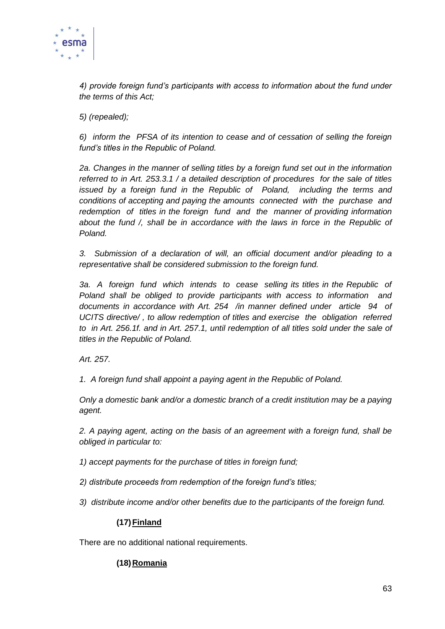

*4) provide foreign fund's participants with access to information about the fund under the terms of this Act;*

*5) (repealed);*

*6) inform the PFSA of its intention to cease and of cessation of selling the foreign fund's titles in the Republic of Poland.*

*2a. Changes in the manner of selling titles by a foreign fund set out in the information referred to in Art. 253.3.1 / a detailed description of procedures for the sale of titles issued by a foreign fund in the Republic of Poland, including the terms and conditions of accepting and paying the amounts connected with the purchase and redemption of titles in the foreign fund and the manner of providing information about the fund /, shall be in accordance with the laws in force in the Republic of Poland.*

*3. Submission of a declaration of will, an official document and/or pleading to a representative shall be considered submission to the foreign fund.*

*3a. A foreign fund which intends to cease selling its titles in the Republic of Poland shall be obliged to provide participants with access to information and documents in accordance with Art. 254 /in manner defined under article 94 of UCITS directive/ , to allow redemption of titles and exercise the obligation referred to in Art. 256.1f. and in Art. 257.1, until redemption of all titles sold under the sale of titles in the Republic of Poland.*

*Art. 257.*

*1. A foreign fund shall appoint a paying agent in the Republic of Poland.*

*Only a domestic bank and/or a domestic branch of a credit institution may be a paying agent.*

*2. A paying agent, acting on the basis of an agreement with a foreign fund, shall be obliged in particular to:*

*1) accept payments for the purchase of titles in foreign fund;*

*2) distribute proceeds from redemption of the foreign fund's titles;*

*3) distribute income and/or other benefits due to the participants of the foreign fund.*

## **(17)Finland**

There are no additional national requirements.

## **(18)Romania**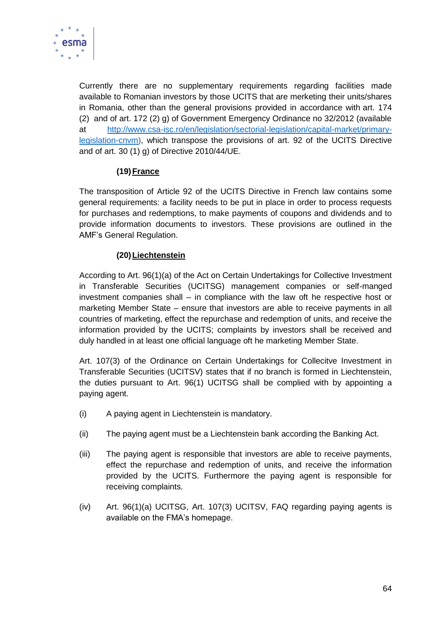

Currently there are no supplementary requirements regarding facilities made available to Romanian investors by those UCITS that are merketing their units/shares in Romania, other than the general provisions provided in accordance with art. 174 (2) and of art. 172 (2) g) of Government Emergency Ordinance no 32/2012 (available at [http://www.csa-isc.ro/en/legislation/sectorial-legislation/capital-market/primary](http://www.csa-isc.ro/en/legislation/sectorial-legislation/capital-market/primary-legislation-cnvm)[legislation-cnvm\)](http://www.csa-isc.ro/en/legislation/sectorial-legislation/capital-market/primary-legislation-cnvm), which transpose the provisions of art. 92 of the UCITS Directive and of art. 30 (1) g) of Directive 2010/44/UE.

## **(19)France**

The transposition of Article 92 of the UCITS Directive in French law contains some general requirements: a facility needs to be put in place in order to process requests for purchases and redemptions, to make payments of coupons and dividends and to provide information documents to investors. These provisions are outlined in the AMF's General Regulation.

#### **(20)Liechtenstein**

According to Art. 96(1)(a) of the Act on Certain Undertakings for Collective Investment in Transferable Securities (UCITSG) management companies or self-manged investment companies shall – in compliance with the law oft he respective host or marketing Member State – ensure that investors are able to receive payments in all countries of marketing, effect the repurchase and redemption of units, and receive the information provided by the UCITS; complaints by investors shall be received and duly handled in at least one official language oft he marketing Member State.

Art. 107(3) of the Ordinance on Certain Undertakings for Collecitve Investment in Transferable Securities (UCITSV) states that if no branch is formed in Liechtenstein, the duties pursuant to Art. 96(1) UCITSG shall be complied with by appointing a paying agent.

- (i) A paying agent in Liechtenstein is mandatory.
- (ii) The paying agent must be a Liechtenstein bank according the Banking Act.
- (iii) The paying agent is responsible that investors are able to receive payments, effect the repurchase and redemption of units, and receive the information provided by the UCITS. Furthermore the paying agent is responsible for receiving complaints.
- (iv) Art. 96(1)(a) UCITSG, Art. 107(3) UCITSV, FAQ regarding paying agents is available on the FMA's homepage.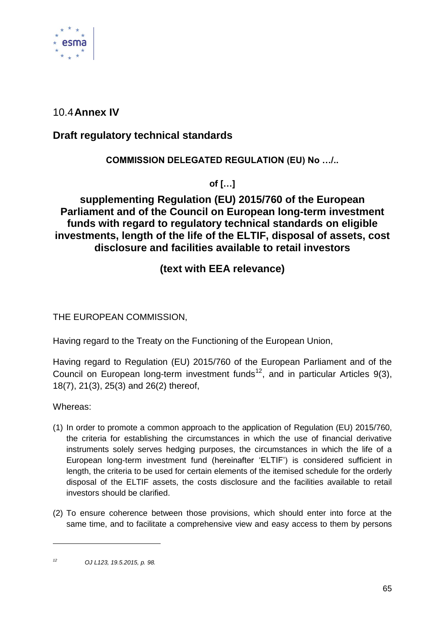

# 10.4**Annex IV**

# **Draft regulatory technical standards**

## **COMMISSION DELEGATED REGULATION (EU) No …/..**

**of […]**

# **supplementing Regulation (EU) 2015/760 of the European Parliament and of the Council on European long-term investment funds with regard to regulatory technical standards on eligible investments, length of the life of the ELTIF, disposal of assets, cost disclosure and facilities available to retail investors**

# **(text with EEA relevance)**

THE EUROPEAN COMMISSION,

Having regard to the Treaty on the Functioning of the European Union,

Having regard to Regulation (EU) 2015/760 of the European Parliament and of the Council on European long-term investment funds<sup>12</sup>, and in particular Articles 9(3), 18(7), 21(3), 25(3) and 26(2) thereof,

Whereas:

-

- (1) In order to promote a common approach to the application of Regulation (EU) 2015/760, the criteria for establishing the circumstances in which the use of financial derivative instruments solely serves hedging purposes, the circumstances in which the life of a European long-term investment fund (hereinafter 'ELTIF') is considered sufficient in length, the criteria to be used for certain elements of the itemised schedule for the orderly disposal of the ELTIF assets, the costs disclosure and the facilities available to retail investors should be clarified.
- (2) To ensure coherence between those provisions, which should enter into force at the same time, and to facilitate a comprehensive view and easy access to them by persons

*<sup>12</sup> OJ L123, 19.5.2015, p. 98.*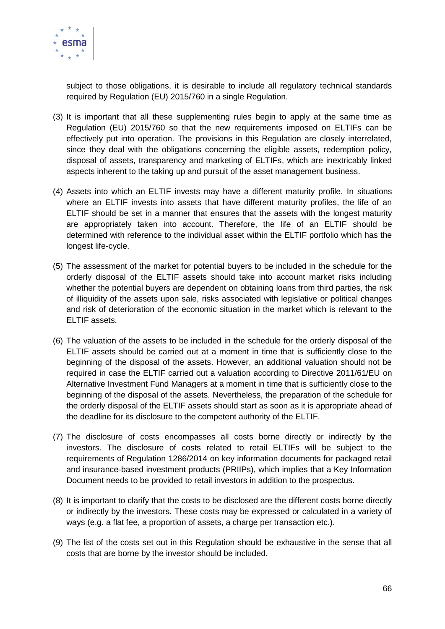

subject to those obligations, it is desirable to include all regulatory technical standards required by Regulation (EU) 2015/760 in a single Regulation.

- (3) It is important that all these supplementing rules begin to apply at the same time as Regulation (EU) 2015/760 so that the new requirements imposed on ELTIFs can be effectively put into operation. The provisions in this Regulation are closely interrelated, since they deal with the obligations concerning the eligible assets, redemption policy, disposal of assets, transparency and marketing of ELTIFs, which are inextricably linked aspects inherent to the taking up and pursuit of the asset management business.
- (4) Assets into which an ELTIF invests may have a different maturity profile. In situations where an ELTIF invests into assets that have different maturity profiles, the life of an ELTIF should be set in a manner that ensures that the assets with the longest maturity are appropriately taken into account. Therefore, the life of an ELTIF should be determined with reference to the individual asset within the ELTIF portfolio which has the longest life-cycle.
- (5) The assessment of the market for potential buyers to be included in the schedule for the orderly disposal of the ELTIF assets should take into account market risks including whether the potential buyers are dependent on obtaining loans from third parties, the risk of illiquidity of the assets upon sale, risks associated with legislative or political changes and risk of deterioration of the economic situation in the market which is relevant to the ELTIF assets.
- (6) The valuation of the assets to be included in the schedule for the orderly disposal of the ELTIF assets should be carried out at a moment in time that is sufficiently close to the beginning of the disposal of the assets. However, an additional valuation should not be required in case the ELTIF carried out a valuation according to Directive 2011/61/EU on Alternative Investment Fund Managers at a moment in time that is sufficiently close to the beginning of the disposal of the assets. Nevertheless, the preparation of the schedule for the orderly disposal of the ELTIF assets should start as soon as it is appropriate ahead of the deadline for its disclosure to the competent authority of the ELTIF.
- (7) The disclosure of costs encompasses all costs borne directly or indirectly by the investors. The disclosure of costs related to retail ELTIFs will be subject to the requirements of Regulation 1286/2014 on key information documents for packaged retail and insurance-based investment products (PRIIPs), which implies that a Key Information Document needs to be provided to retail investors in addition to the prospectus.
- (8) It is important to clarify that the costs to be disclosed are the different costs borne directly or indirectly by the investors. These costs may be expressed or calculated in a variety of ways (e.g. a flat fee, a proportion of assets, a charge per transaction etc.).
- (9) The list of the costs set out in this Regulation should be exhaustive in the sense that all costs that are borne by the investor should be included.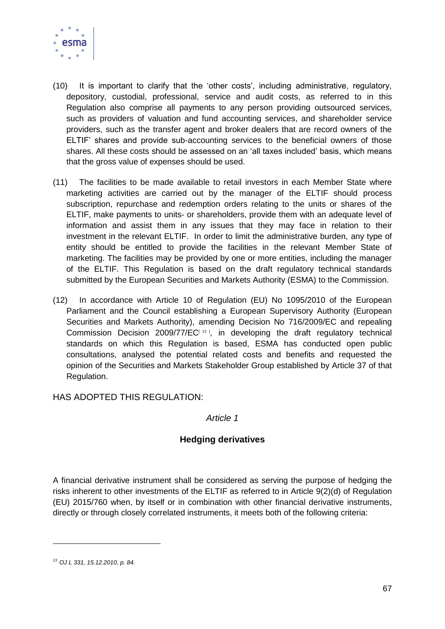

- (10) It is important to clarify that the 'other costs', including administrative, regulatory, depository, custodial, professional, service and audit costs, as referred to in this Regulation also comprise all payments to any person providing outsourced services, such as providers of valuation and fund accounting services, and shareholder service providers, such as the transfer agent and broker dealers that are record owners of the ELTIF' shares and provide sub-accounting services to the beneficial owners of those shares. All these costs should be assessed on an 'all taxes included' basis, which means that the gross value of expenses should be used.
- (11) The facilities to be made available to retail investors in each Member State where marketing activities are carried out by the manager of the ELTIF should process subscription, repurchase and redemption orders relating to the units or shares of the ELTIF, make payments to units- or shareholders, provide them with an adequate level of information and assist them in any issues that they may face in relation to their investment in the relevant ELTIF. In order to limit the administrative burden, any type of entity should be entitled to provide the facilities in the relevant Member State of marketing. The facilities may be provided by one or more entities, including the manager of the ELTIF. This Regulation is based on the draft regulatory technical standards submitted by the European Securities and Markets Authority (ESMA) to the Commission.
- (12) In accordance with Article 10 of Regulation (EU) No 1095/2010 of the European Parliament and the Council establishing a European Supervisory Authority (European Securities and Markets Authority), amending Decision No 716/2009/EC and repealing Commission Decision  $2009/77/EC^{13}$ , in developing the draft regulatory technical standards on which this Regulation is based, ESMA has conducted open public consultations, analysed the potential related costs and benefits and requested the opinion of the Securities and Markets Stakeholder Group established by Article 37 of that Regulation.

HAS ADOPTED THIS REGULATION:

#### *Article 1*

## **Hedging derivatives**

A financial derivative instrument shall be considered as serving the purpose of hedging the risks inherent to other investments of the ELTIF as referred to in Article 9(2)(d) of Regulation (EU) 2015/760 when, by itself or in combination with other financial derivative instruments, directly or through closely correlated instruments, it meets both of the following criteria:

-

*<sup>13</sup> OJ L 331, 15.12.2010, p. 84.*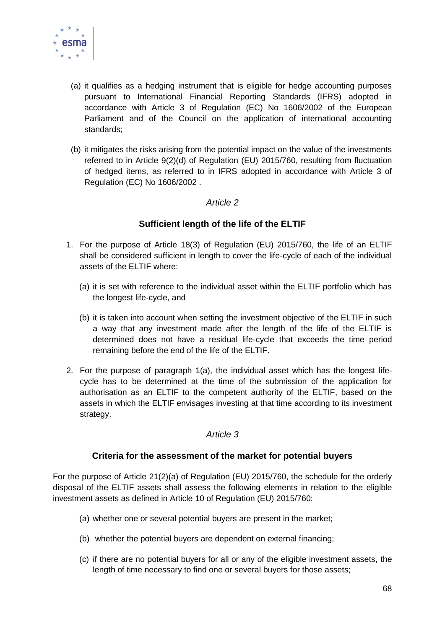

- (a) it qualifies as a hedging instrument that is eligible for hedge accounting purposes pursuant to International Financial Reporting Standards (IFRS) adopted in accordance with Article 3 of Regulation (EC) No 1606/2002 of the European Parliament and of the Council on the application of international accounting standards;
- (b) it mitigates the risks arising from the potential impact on the value of the investments referred to in Article 9(2)(d) of Regulation (EU) 2015/760, resulting from fluctuation of hedged items, as referred to in IFRS adopted in accordance with Article 3 of Regulation (EC) No 1606/2002 .

## *Article 2*

## **Sufficient length of the life of the ELTIF**

- 1. For the purpose of Article 18(3) of Regulation (EU) 2015/760, the life of an ELTIF shall be considered sufficient in length to cover the life-cycle of each of the individual assets of the ELTIF where:
	- (a) it is set with reference to the individual asset within the ELTIF portfolio which has the longest life-cycle, and
	- (b) it is taken into account when setting the investment objective of the ELTIF in such a way that any investment made after the length of the life of the ELTIF is determined does not have a residual life-cycle that exceeds the time period remaining before the end of the life of the ELTIF.
- 2. For the purpose of paragraph 1(a), the individual asset which has the longest lifecycle has to be determined at the time of the submission of the application for authorisation as an ELTIF to the competent authority of the ELTIF, based on the assets in which the ELTIF envisages investing at that time according to its investment strategy.

## *Article 3*

## **Criteria for the assessment of the market for potential buyers**

For the purpose of Article 21(2)(a) of Regulation (EU) 2015/760, the schedule for the orderly disposal of the ELTIF assets shall assess the following elements in relation to the eligible investment assets as defined in Article 10 of Regulation (EU) 2015/760:

- (a) whether one or several potential buyers are present in the market;
- (b) whether the potential buyers are dependent on external financing;
- (c) if there are no potential buyers for all or any of the eligible investment assets, the length of time necessary to find one or several buyers for those assets;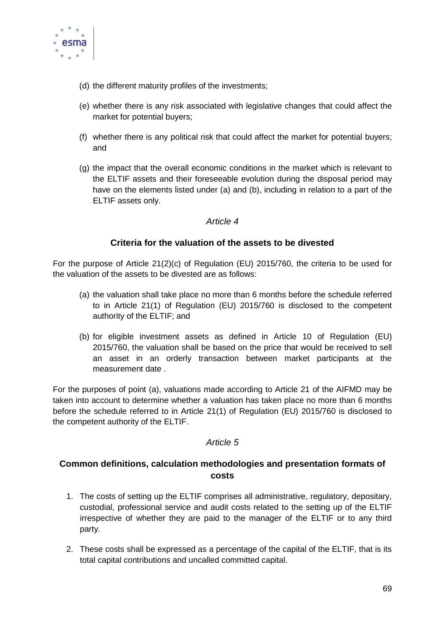

- (d) the different maturity profiles of the investments;
- (e) whether there is any risk associated with legislative changes that could affect the market for potential buyers;
- (f) whether there is any political risk that could affect the market for potential buyers; and
- (g) the impact that the overall economic conditions in the market which is relevant to the ELTIF assets and their foreseeable evolution during the disposal period may have on the elements listed under (a) and (b), including in relation to a part of the ELTIF assets only.

#### *Article 4*

## **Criteria for the valuation of the assets to be divested**

For the purpose of Article 21(2)(c) of Regulation (EU) 2015/760, the criteria to be used for the valuation of the assets to be divested are as follows:

- (a) the valuation shall take place no more than 6 months before the schedule referred to in Article 21(1) of Regulation (EU) 2015/760 is disclosed to the competent authority of the ELTIF; and
- (b) for eligible investment assets as defined in Article 10 of Regulation (EU) 2015/760, the valuation shall be based on the price that would be received to sell an asset in an orderly transaction between market participants at the measurement date .

For the purposes of point (a), valuations made according to Article 21 of the AIFMD may be taken into account to determine whether a valuation has taken place no more than 6 months before the schedule referred to in Article 21(1) of Regulation (EU) 2015/760 is disclosed to the competent authority of the ELTIF.

## *Article 5*

## **Common definitions, calculation methodologies and presentation formats of costs**

- 1. The costs of setting up the ELTIF comprises all administrative, regulatory, depositary, custodial, professional service and audit costs related to the setting up of the ELTIF irrespective of whether they are paid to the manager of the ELTIF or to any third party.
- 2. These costs shall be expressed as a percentage of the capital of the ELTIF, that is its total capital contributions and uncalled committed capital.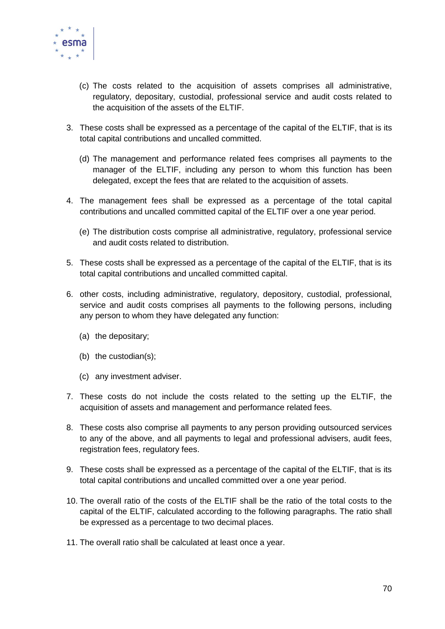

- (c) The costs related to the acquisition of assets comprises all administrative, regulatory, depositary, custodial, professional service and audit costs related to the acquisition of the assets of the ELTIF.
- 3. These costs shall be expressed as a percentage of the capital of the ELTIF, that is its total capital contributions and uncalled committed.
	- (d) The management and performance related fees comprises all payments to the manager of the ELTIF, including any person to whom this function has been delegated, except the fees that are related to the acquisition of assets.
- 4. The management fees shall be expressed as a percentage of the total capital contributions and uncalled committed capital of the ELTIF over a one year period.
	- (e) The distribution costs comprise all administrative, regulatory, professional service and audit costs related to distribution.
- 5. These costs shall be expressed as a percentage of the capital of the ELTIF, that is its total capital contributions and uncalled committed capital.
- 6. other costs, including administrative, regulatory, depository, custodial, professional, service and audit costs comprises all payments to the following persons, including any person to whom they have delegated any function:
	- (a) the depositary;
	- (b) the custodian(s);
	- (c) any investment adviser.
- 7. These costs do not include the costs related to the setting up the ELTIF, the acquisition of assets and management and performance related fees.
- 8. These costs also comprise all payments to any person providing outsourced services to any of the above, and all payments to legal and professional advisers, audit fees, registration fees, regulatory fees.
- 9. These costs shall be expressed as a percentage of the capital of the ELTIF, that is its total capital contributions and uncalled committed over a one year period.
- 10. The overall ratio of the costs of the ELTIF shall be the ratio of the total costs to the capital of the ELTIF, calculated according to the following paragraphs. The ratio shall be expressed as a percentage to two decimal places.
- 11. The overall ratio shall be calculated at least once a year.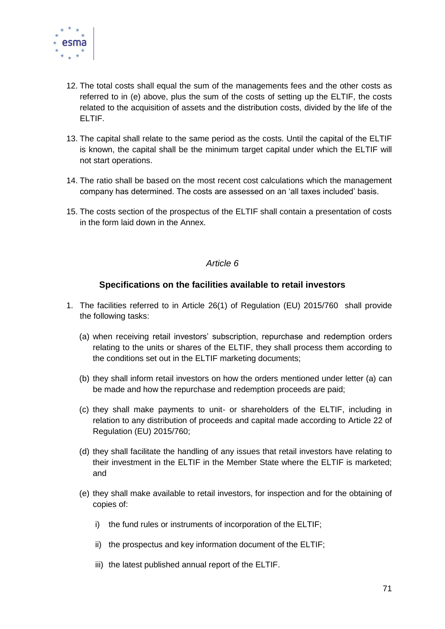

- 12. The total costs shall equal the sum of the managements fees and the other costs as referred to in (e) above, plus the sum of the costs of setting up the ELTIF, the costs related to the acquisition of assets and the distribution costs, divided by the life of the ELTIF.
- 13. The capital shall relate to the same period as the costs. Until the capital of the ELTIF is known, the capital shall be the minimum target capital under which the ELTIF will not start operations.
- 14. The ratio shall be based on the most recent cost calculations which the management company has determined. The costs are assessed on an 'all taxes included' basis.
- 15. The costs section of the prospectus of the ELTIF shall contain a presentation of costs in the form laid down in the Annex.

#### *Article 6*

## **Specifications on the facilities available to retail investors**

- 1. The facilities referred to in Article 26(1) of Regulation (EU) 2015/760 shall provide the following tasks:
	- (a) when receiving retail investors' subscription, repurchase and redemption orders relating to the units or shares of the ELTIF, they shall process them according to the conditions set out in the ELTIF marketing documents;
	- (b) they shall inform retail investors on how the orders mentioned under letter (a) can be made and how the repurchase and redemption proceeds are paid;
	- (c) they shall make payments to unit- or shareholders of the ELTIF, including in relation to any distribution of proceeds and capital made according to Article 22 of Regulation (EU) 2015/760;
	- (d) they shall facilitate the handling of any issues that retail investors have relating to their investment in the ELTIF in the Member State where the ELTIF is marketed; and
	- (e) they shall make available to retail investors, for inspection and for the obtaining of copies of:
		- i) the fund rules or instruments of incorporation of the ELTIF;
		- ii) the prospectus and key information document of the ELTIF;
		- iii) the latest published annual report of the ELTIF.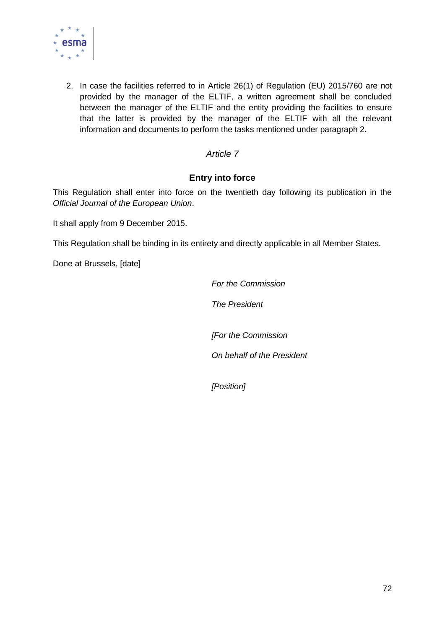

2. In case the facilities referred to in Article 26(1) of Regulation (EU) 2015/760 are not provided by the manager of the ELTIF, a written agreement shall be concluded between the manager of the ELTIF and the entity providing the facilities to ensure that the latter is provided by the manager of the ELTIF with all the relevant information and documents to perform the tasks mentioned under paragraph 2.

## *Article 7*

## **Entry into force**

This Regulation shall enter into force on the twentieth day following its publication in the *Official Journal of the European Union*.

It shall apply from 9 December 2015.

This Regulation shall be binding in its entirety and directly applicable in all Member States.

Done at Brussels, [date]

*For the Commission*

*The President*

*[For the Commission*

*On behalf of the President*

*[Position]*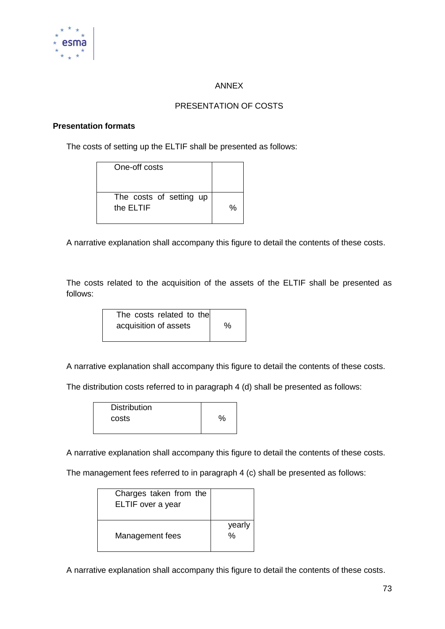

## ANNEX

## PRESENTATION OF COSTS

## **Presentation formats**

The costs of setting up the ELTIF shall be presented as follows:

| One-off costs                        |   |
|--------------------------------------|---|
| The costs of setting up<br>the ELTIF | % |

A narrative explanation shall accompany this figure to detail the contents of these costs.

The costs related to the acquisition of the assets of the ELTIF shall be presented as follows:

| The costs related to the |   |
|--------------------------|---|
| acquisition of assets    | % |
|                          |   |

A narrative explanation shall accompany this figure to detail the contents of these costs.

The distribution costs referred to in paragraph 4 (d) shall be presented as follows:

| <b>Distribution</b> |      |
|---------------------|------|
| costs               | $\%$ |
|                     |      |

A narrative explanation shall accompany this figure to detail the contents of these costs.

The management fees referred to in paragraph 4 (c) shall be presented as follows:

| Charges taken from the<br>ELTIF over a year |             |
|---------------------------------------------|-------------|
| Management fees                             | yearly<br>% |

A narrative explanation shall accompany this figure to detail the contents of these costs.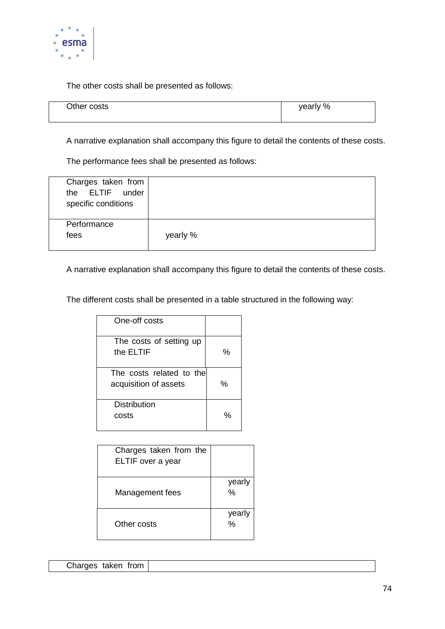

The other costs shall be presented as follows:

| Other costs | yearly % |
|-------------|----------|
|             |          |

A narrative explanation shall accompany this figure to detail the contents of these costs.

The performance fees shall be presented as follows:

| Charges taken from<br>the ELTIF under<br>specific conditions |          |
|--------------------------------------------------------------|----------|
| Performance<br>fees                                          | yearly % |

A narrative explanation shall accompany this figure to detail the contents of these costs.

The different costs shall be presented in a table structured in the following way:

| One-off costs                                     |   |
|---------------------------------------------------|---|
| The costs of setting up<br>the ELTIF              | % |
| The costs related to the<br>acquisition of assets | % |
| Distribution<br>costs                             | % |

| Charges taken from the<br>ELTIF over a year |                         |
|---------------------------------------------|-------------------------|
| Management fees                             | yearly<br>%             |
| Other costs                                 | yearly<br>$\frac{0}{0}$ |

| Charges taken from |  |  |
|--------------------|--|--|
|--------------------|--|--|